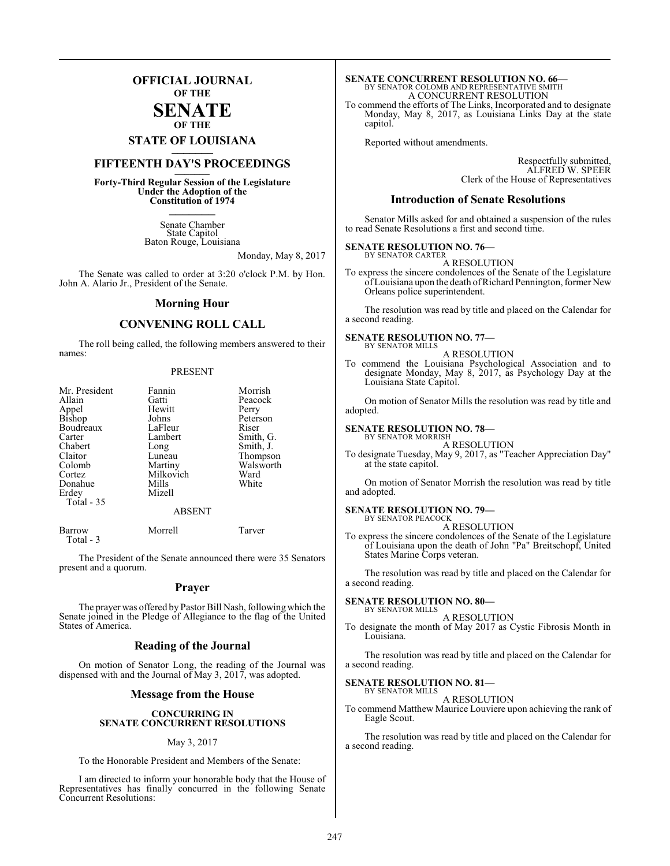## **OFFICIAL JOURNAL OF THE**

#### **SENATE OF THE**

# **STATE OF LOUISIANA \_\_\_\_\_\_\_**

## **FIFTEENTH DAY'S PROCEEDINGS \_\_\_\_\_\_\_**

**Forty-Third Regular Session of the Legislature Under the Adoption of the Constitution of 1974 \_\_\_\_\_\_\_**

> Senate Chamber State Capitol Baton Rouge, Louisiana

> > Monday, May 8, 2017

The Senate was called to order at 3:20 o'clock P.M. by Hon. John A. Alario Jr., President of the Senate.

#### **Morning Hour**

### **CONVENING ROLL CALL**

The roll being called, the following members answered to their names:

#### PRESENT

| Mr. President | Fannin        | Morrish   |
|---------------|---------------|-----------|
| Allain        | Gatti         | Peacock   |
| Appel         | Hewitt        | Perry     |
| Bishop        | Johns         | Peterson  |
| Boudreaux     | LaFleur       | Riser     |
| Carter        | Lambert       | Smith, G. |
| Chabert       | Long          | Smith, J. |
| Claitor       | Luneau        | Thompson  |
| Colomb        | Martiny       | Walsworth |
| Cortez        | Milkovich     | Ward      |
| Donahue       | Mills         | White     |
| Erdey         | Mizell        |           |
| Total - 35    |               |           |
|               | <b>ABSENT</b> |           |

Barrow Morrell Tarver Total - 3

The President of the Senate announced there were 35 Senators present and a quorum.

#### **Prayer**

The prayer was offered by Pastor Bill Nash, following which the Senate joined in the Pledge of Allegiance to the flag of the United States of America.

#### **Reading of the Journal**

On motion of Senator Long, the reading of the Journal was dispensed with and the Journal of May 3, 2017, was adopted.

#### **Message from the House**

#### **CONCURRING IN SENATE CONCURRENT RESOLUTIONS**

#### May 3, 2017

To the Honorable President and Members of the Senate:

I am directed to inform your honorable body that the House of Representatives has finally concurred in the following Senate Concurrent Resolutions:

# **SENATE CONCURRENT RESOLUTION NO. 66—**<br>BY SENATOR COLOMB AND REPRESENTATIVE SMITH<br>A CONCURRENT RESOLUTION

To commend the efforts of The Links, Incorporated and to designate Monday, May 8, 2017, as Louisiana Links Day at the state capitol.

Reported without amendments.

Respectfully submitted, ALFRED W. SPEER Clerk of the House of Representatives

#### **Introduction of Senate Resolutions**

Senator Mills asked for and obtained a suspension of the rules to read Senate Resolutions a first and second time.

#### **SENATE RESOLUTION NO. 76—** BY SENATOR CARTER

A RESOLUTION

To express the sincere condolences of the Senate of the Legislature of Louisiana upon the death of Richard Pennington, former New Orleans police superintendent.

The resolution was read by title and placed on the Calendar for a second reading.

#### **SENATE RESOLUTION NO. 77—** BY SENATOR MILLS

A RESOLUTION

To commend the Louisiana Psychological Association and to designate Monday, May 8, 2017, as Psychology Day at the Louisiana State Capitol.

On motion of Senator Mills the resolution was read by title and adopted.

#### **SENATE RESOLUTION NO. 78—** BY SENATOR MORRISH

A RESOLUTION

To designate Tuesday, May 9, 2017, as "Teacher Appreciation Day" at the state capitol.

On motion of Senator Morrish the resolution was read by title and adopted.

#### **SENATE RESOLUTION NO. 79—**

BY SENATOR PEACOCK A RESOLUTION

To express the sincere condolences of the Senate of the Legislature of Louisiana upon the death of John "Pa" Breitschopf, United States Marine Corps veteran.

The resolution was read by title and placed on the Calendar for a second reading.

#### **SENATE RESOLUTION NO. 80—** BY SENATOR MILLS

A RESOLUTION

To designate the month of May 2017 as Cystic Fibrosis Month in Louisiana.

The resolution was read by title and placed on the Calendar for a second reading.

#### **SENATE RESOLUTION NO. 81—** BY SENATOR MILLS

A RESOLUTION

To commend Matthew Maurice Louviere upon achieving the rank of Eagle Scout.

The resolution was read by title and placed on the Calendar for a second reading.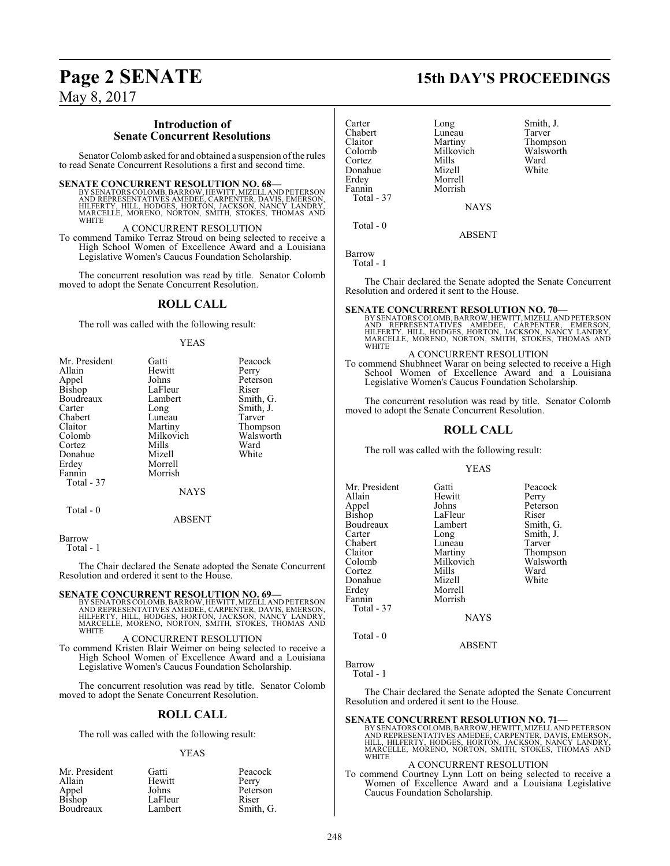# **Page 2 SENATE 15th DAY'S PROCEEDINGS**

May 8, 2017

### **Introduction of Senate Concurrent Resolutions**

Senator Colomb asked for and obtained a suspension of the rules to read Senate Concurrent Resolutions a first and second time.

#### **SENATE CONCURRENT RESOLUTION NO. 68—**

BY SENATORS COLOMB, BARROW, HEWITT, MIZELL AND PETERSON<br>AND REPRESENTATIVES AMEDEE, CARPENTER, DAVIS, EMERSON,<br>HILFERTY, HILL, HODGES, HORTON, JACKSON, NANCY LANDRY,<br>MARCELLE, MORENO, NORTON, SMITH, STOKES, THOMAS AND **WHITE** 

A CONCURRENT RESOLUTION

To commend Tamiko Terraz Stroud on being selected to receive a High School Women of Excellence Award and a Louisiana Legislative Women's Caucus Foundation Scholarship.

The concurrent resolution was read by title. Senator Colomb moved to adopt the Senate Concurrent Resolution.

#### **ROLL CALL**

The roll was called with the following result:

#### YEAS

| Mr. President | Gatti       | Peacock   |
|---------------|-------------|-----------|
| Allain        | Hewitt      | Perry     |
| Appel         | Johns       | Peterson  |
| Bishop        | LaFleur     | Riser     |
| Boudreaux     | Lambert     | Smith, G. |
| Carter        | Long        | Smith, J. |
| Chabert       | Luneau      | Tarver    |
| Claitor       | Martiny     | Thompson  |
| Colomb        | Milkovich   | Walsworth |
| Cortez        | Mills       | Ward      |
| Donahue       | Mizell      | White     |
| Erdey         | Morrell     |           |
| Fannin        | Morrish     |           |
| Total - 37    |             |           |
|               | <b>NAYS</b> |           |
| Total $-0$    |             |           |
|               | ABSENT      |           |

Barrow

Total - 1

The Chair declared the Senate adopted the Senate Concurrent Resolution and ordered it sent to the House.

#### **SENATE CONCURRENT RESOLUTION NO. 69—**

BY SENATORS COLOMB, BARROW, HEWITT, MIZELL AND PETERSON<br>AND REPRESENTATIVES AMEDEE, CARPENTER, DAVIS, EMERSON,<br>HILFERTY, HILL, HODGES, HORTON, JACKSON, NANCY LANDRY,<br>MARCELLE, MORENO, NORTON, SMITH, STOKES, THOMAS AND<br>WHIT

#### A CONCURRENT RESOLUTION

To commend Kristen Blair Weimer on being selected to receive a High School Women of Excellence Award and a Louisiana Legislative Women's Caucus Foundation Scholarship.

The concurrent resolution was read by title. Senator Colomb moved to adopt the Senate Concurrent Resolution.

#### **ROLL CALL**

The roll was called with the following result:

#### YEAS

| Mr. President   | Gatti   | Peacock   |
|-----------------|---------|-----------|
| Allain          | Hewitt  | Perry     |
|                 | Johns   | Peterson  |
| Appel<br>Bishop | LaFleur | Riser     |
| Boudreaux       | Lambert | Smith, G. |

| Carter     | Long        | Smith, J. |
|------------|-------------|-----------|
| Chabert    | Luneau      | Tarver    |
| Claitor    | Martiny     | Thompson  |
| Colomb     | Milkovich   | Walsworth |
| Cortez     | Mills       | Ward      |
| Donahue    | Mizell      | White     |
| Erdey      | Morrell     |           |
| Fannin     | Morrish     |           |
| Total - 37 |             |           |
|            | <b>NAYS</b> |           |
|            |             |           |

ABSENT

Barrow Total - 1

Total - 0

The Chair declared the Senate adopted the Senate Concurrent Resolution and ordered it sent to the House.

**SENATE CONCURRENT RESOLUTION NO. 70—**<br>BY SENATORS COLOMB, BARROW, HEWITT, MIZELLAND PETERSON<br>AND REPRESENTATIVES AMEDEE, CARPENTER, EMERSON,<br>HILFERTY, HILL, HODGES, HORTON, JACKSON, NANCY LANDRY, MARCELLE, MORENO, NORTON, SMITH, STOKES, THOMAS AND WHITE

#### A CONCURRENT RESOLUTION

To commend Shubhneet Warar on being selected to receive a High School Women of Excellence Award and a Louisiana Legislative Women's Caucus Foundation Scholarship.

The concurrent resolution was read by title. Senator Colomb moved to adopt the Senate Concurrent Resolution.

#### **ROLL CALL**

The roll was called with the following result:

YEAS

Long Smith, J.<br>Luneau Tarver

Milkovich Walsworth<br>
Mills Ward

Mr. President Gatti Peacock<br>Allain Hewitt Perry Allain **Hewitt** Perry<br>
Annel Johns Peterson Appel Johns Peterson Bishop LaFleur Riser<br>Boudreaux Lambert Smith, G. Boudreaux Lambert Lambert School Lambert School Lambert School Lambert School Lambert School Lambert School Lambert School Lambert School Lambert School Lambert School Lambert School Lambert School Lambert School Lambert S Chabert Luneau<br>Claitor Martiny Claitor Martiny Thompson Cortez Mills Ward Donahue<br>Erdev Erdey Morrell<br>Fannin Morrish Total - 37

**NAYS** 

ABSENT

Barrow

Total - 0

Total - 1

The Chair declared the Senate adopted the Senate Concurrent Resolution and ordered it sent to the House.

Morrish

**SENATE CONCURRENT RESOLUTION NO. 71—**<br>
BY SENATORS COLOMB, BARROW, HEWITT, MIZELLAND PETERSON<br>
AND REPRESENTATIVES AMEDEE, CARPENTER, DAVIS, EMERSON,<br>
HILL, HILFERTY, HODGES, HORTON, JACKSON, NANCY LANDRY, MARCELLE, MORENO, NORTON, SMITH, STOKES, THOMAS AND WHITE

#### A CONCURRENT RESOLUTION

To commend Courtney Lynn Lott on being selected to receive a Women of Excellence Award and a Louisiana Legislative Caucus Foundation Scholarship.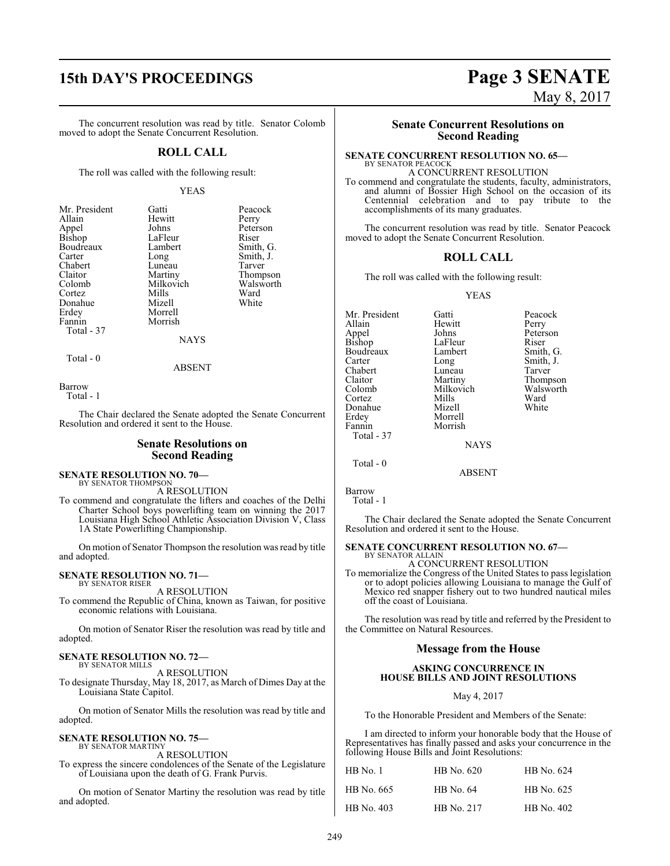# **15th DAY'S PROCEEDINGS Page 3 SENATE**

The concurrent resolution was read by title. Senator Colomb moved to adopt the Senate Concurrent Resolution.

#### **ROLL CALL**

The roll was called with the following result:

#### YEAS

Peacock<br>Perry

Peterson<br>Riser

Smith, G. Smith, J. Tarver Thompson Walsworth<br>Ward

White

| Mr. President | Gatti       | Peaco  |
|---------------|-------------|--------|
| Allain        | Hewitt      | Perry  |
| Appel         | Johns       | Peters |
| Bishop        | LaFleur     | Riser  |
| Boudreaux     | Lambert     | Smith  |
| Carter        | Long        | Smith  |
| Chabert       | Luneau      | Tarve  |
| Claitor       | Martiny     | Thom   |
| Colomb        | Milkovich   | Walsy  |
| Cortez        | Mills       | Ward   |
| Donahue       | Mizell      | White  |
| Erdey         | Morrell     |        |
| Fannin        | Morrish     |        |
| Total - 37    |             |        |
|               | <b>NAYS</b> |        |
|               |             |        |

Total - 0

ABSENT

Barrow

Total - 1

The Chair declared the Senate adopted the Senate Concurrent Resolution and ordered it sent to the House.

#### **Senate Resolutions on Second Reading**

**SENATE RESOLUTION NO. 70—**<br>BY SENATOR THOMPSON

A RESOLUTION

To commend and congratulate the lifters and coaches of the Delhi Charter School boys powerlifting team on winning the 2017 Louisiana High School Athletic Association Division V, Class 1A State Powerlifting Championship.

On motion of Senator Thompson the resolution was read by title and adopted.

#### **SENATE RESOLUTION NO. 71—** BY SENATOR RISER

A RESOLUTION

To commend the Republic of China, known as Taiwan, for positive economic relations with Louisiana.

On motion of Senator Riser the resolution was read by title and adopted.

#### **SENATE RESOLUTION NO. 72—** BY SENATOR MILLS

A RESOLUTION

To designate Thursday, May 18, 2017, as March of Dimes Day at the Louisiana State Capitol.

On motion of Senator Mills the resolution was read by title and adopted.

#### **SENATE RESOLUTION NO. 75—** BY SENATOR MARTINY

A RESOLUTION

To express the sincere condolences of the Senate of the Legislature of Louisiana upon the death of G. Frank Purvis.

On motion of Senator Martiny the resolution was read by title and adopted.

#### **Senate Concurrent Resolutions on Second Reading**

#### **SENATE CONCURRENT RESOLUTION NO. 65—**

BY SENATOR PEACOCK A CONCURRENT RESOLUTION To commend and congratulate the students, faculty, administrators, and alumni of Bossier High School on the occasion of its Centennial celebration and to pay tribute to the accomplishments of its many graduates.

The concurrent resolution was read by title. Senator Peacock moved to adopt the Senate Concurrent Resolution.

### **ROLL CALL**

The roll was called with the following result:

#### YEAS

Mr. President Gatti Peacock<br>Allain Hewitt Perry Hewitt Perry<br>
Johns Peters Appel Johns Peterson<br>Bishop LaFleur Riser Bishop LaFleur Riser<br>Boudreaux Lambert Smith, G. Boudreaux Lamb<br>Carter Long Long Smith, J.<br>Luneau Tarver Chabert Luneau<br>Claitor Martiny Claitor Martiny Thompson Milkovich Walsworth<br>
Mills Ward Cortez Mills Ward Donahue Erdey Morrell Morrish Total - 37 **NAYS** Total - 0

Barrow

Total - 1

The Chair declared the Senate adopted the Senate Concurrent Resolution and ordered it sent to the House.

ABSENT

#### **SENATE CONCURRENT RESOLUTION NO. 67—** BY SENATOR ALLAIN

A CONCURRENT RESOLUTION

To memorialize the Congress of the United States to pass legislation or to adopt policies allowing Louisiana to manage the Gulf of Mexico red snapper fishery out to two hundred nautical miles off the coast of Louisiana.

The resolution was read by title and referred by the President to the Committee on Natural Resources.

#### **Message from the House**

#### **ASKING CONCURRENCE IN HOUSE BILLS AND JOINT RESOLUTIONS**

May 4, 2017

To the Honorable President and Members of the Senate:

I am directed to inform your honorable body that the House of Representatives has finally passed and asks your concurrence in the following House Bills and Joint Resolutions:

| $HB$ No. 1 | HB No. 620 | HB No. 624 |
|------------|------------|------------|
| HB No. 665 | HB No. 64  | HB No. 625 |
| HB No. 403 | HB No. 217 | HB No. 402 |

May 8, 2017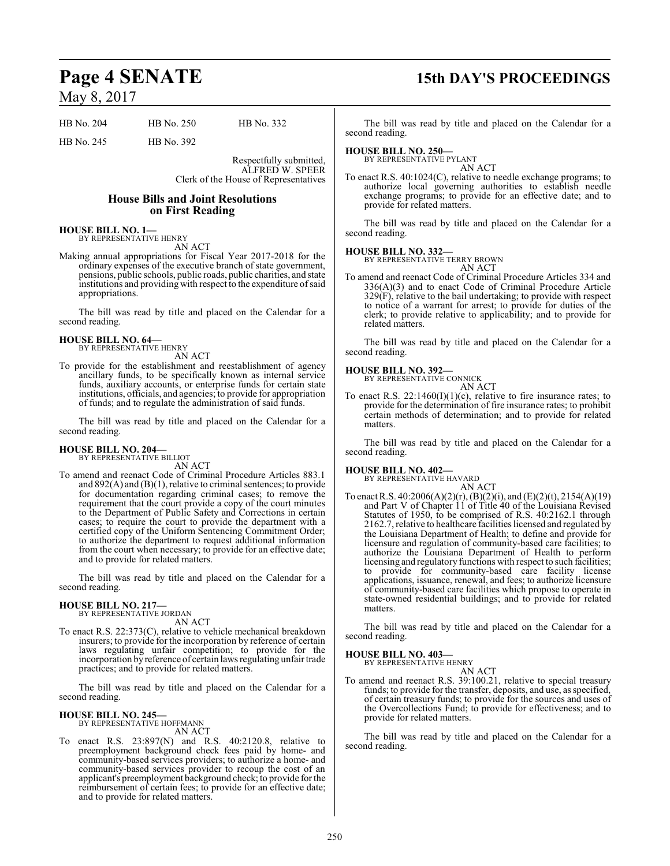## **Page 4 SENATE 15th DAY'S PROCEEDINGS**

| HB No. 204 | HB No. 250 | HB No. 332 |
|------------|------------|------------|
|            |            |            |

HB No. 245 HB No. 392

Respectfully submitted, ALFRED W. SPEER Clerk of the House of Representatives

#### **House Bills and Joint Resolutions on First Reading**

#### **HOUSE BILL NO. 1—**

BY REPRESENTATIVE HENRY AN ACT

Making annual appropriations for Fiscal Year 2017-2018 for the ordinary expenses of the executive branch of state government, pensions, public schools, public roads, public charities, and state institutions and providing with respect to the expenditure of said appropriations.

The bill was read by title and placed on the Calendar for a second reading.

## **HOUSE BILL NO. 64—** BY REPRESENTATIVE HENRY

AN ACT

To provide for the establishment and reestablishment of agency ancillary funds, to be specifically known as internal service funds, auxiliary accounts, or enterprise funds for certain state institutions, officials, and agencies; to provide for appropriation of funds; and to regulate the administration of said funds.

The bill was read by title and placed on the Calendar for a second reading.

# **HOUSE BILL NO. 204—** BY REPRESENTATIVE BILLIOT

AN ACT

To amend and reenact Code of Criminal Procedure Articles 883.1 and 892(A) and (B)(1), relative to criminal sentences; to provide for documentation regarding criminal cases; to remove the requirement that the court provide a copy of the court minutes to the Department of Public Safety and Corrections in certain cases; to require the court to provide the department with a certified copy of the Uniform Sentencing Commitment Order; to authorize the department to request additional information from the court when necessary; to provide for an effective date; and to provide for related matters.

The bill was read by title and placed on the Calendar for a second reading.

#### **HOUSE BILL NO. 217—**

BY REPRESENTATIVE JORDAN AN ACT

To enact R.S. 22:373(C), relative to vehicle mechanical breakdown insurers; to provide for the incorporation by reference of certain laws regulating unfair competition; to provide for the incorporation by reference of certain laws regulating unfair trade practices; and to provide for related matters.

The bill was read by title and placed on the Calendar for a second reading.

#### **HOUSE BILL NO. 245—**

BY REPRESENTATIVE HOFFMANN AN ACT

To enact R.S. 23:897(N) and R.S. 40:2120.8, relative to preemployment background check fees paid by home- and community-based services providers; to authorize a home- and community-based services provider to recoup the cost of an applicant's preemployment background check; to provide for the reimbursement of certain fees; to provide for an effective date; and to provide for related matters.

The bill was read by title and placed on the Calendar for a second reading.

### **HOUSE BILL NO. 250—**

BY REPRESENTATIVE PYLANT AN ACT

To enact R.S. 40:1024(C), relative to needle exchange programs; to authorize local governing authorities to establish needle exchange programs; to provide for an effective date; and to provide for related matters.

The bill was read by title and placed on the Calendar for a second reading.

#### **HOUSE BILL NO. 332—**

BY REPRESENTATIVE TERRY BROWN AN ACT

To amend and reenact Code of Criminal Procedure Articles 334 and 336(A)(3) and to enact Code of Criminal Procedure Article 329(F), relative to the bail undertaking; to provide with respect to notice of a warrant for arrest; to provide for duties of the clerk; to provide relative to applicability; and to provide for related matters.

The bill was read by title and placed on the Calendar for a second reading.

## **HOUSE BILL NO. 392—** BY REPRESENTATIVE CONNICK

AN ACT

To enact R.S. 22:1460(I)(1)(c), relative to fire insurance rates; to provide for the determination of fire insurance rates; to prohibit certain methods of determination; and to provide for related matters.

The bill was read by title and placed on the Calendar for a second reading.

#### **HOUSE BILL NO. 402—**

BY REPRESENTATIVE HAVARD

AN ACT To enact R.S. 40:2006(A)(2)(r), (B)(2)(i), and (E)(2)(t), 2154(A)(19) and Part V of Chapter 11 of Title 40 of the Louisiana Revised Statutes of 1950, to be comprised of R.S. 40:2162.1 through 2162.7, relative to healthcare facilities licensed and regulated by the Louisiana Department of Health; to define and provide for licensure and regulation of community-based care facilities; to authorize the Louisiana Department of Health to perform licensing and regulatory functions with respect to such facilities; provide for community-based care facility license applications, issuance, renewal, and fees; to authorize licensure of community-based care facilities which propose to operate in state-owned residential buildings; and to provide for related matters.

The bill was read by title and placed on the Calendar for a second reading.

#### **HOUSE BILL NO. 403—**

BY REPRESENTATIVE HENRY

AN ACT To amend and reenact R.S. 39:100.21, relative to special treasury funds; to provide for the transfer, deposits, and use, as specified, of certain treasury funds; to provide for the sources and uses of the Overcollections Fund; to provide for effectiveness; and to provide for related matters.

The bill was read by title and placed on the Calendar for a second reading.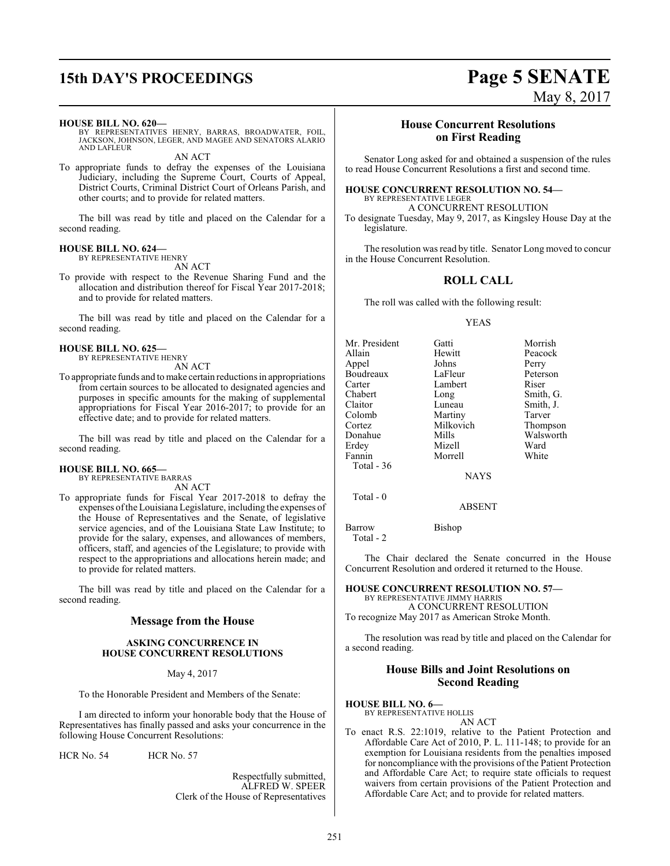# **15th DAY'S PROCEEDINGS Page 5 SENATE**

#### **HOUSE BILL NO. 620—**

BY REPRESENTATIVES HENRY, BARRAS, BROADWATER, FOIL, JACKSON, JOHNSON, LEGER, AND MAGEE AND SENATORS ALARIO AND LAFLEUR

AN ACT

To appropriate funds to defray the expenses of the Louisiana Judiciary, including the Supreme Court, Courts of Appeal, District Courts, Criminal District Court of Orleans Parish, and other courts; and to provide for related matters.

The bill was read by title and placed on the Calendar for a second reading.

#### **HOUSE BILL NO. 624—**

BY REPRESENTATIVE HENRY AN ACT

To provide with respect to the Revenue Sharing Fund and the allocation and distribution thereof for Fiscal Year 2017-2018; and to provide for related matters.

The bill was read by title and placed on the Calendar for a second reading.

#### **HOUSE BILL NO. 625—**

BY REPRESENTATIVE HENRY AN ACT

To appropriate funds and tomake certain reductions in appropriations from certain sources to be allocated to designated agencies and purposes in specific amounts for the making of supplemental appropriations for Fiscal Year 2016-2017; to provide for an effective date; and to provide for related matters.

The bill was read by title and placed on the Calendar for a second reading.

#### **HOUSE BILL NO. 665—**

BY REPRESENTATIVE BARRAS

AN ACT To appropriate funds for Fiscal Year 2017-2018 to defray the expenses ofthe Louisiana Legislature, including the expenses of the House of Representatives and the Senate, of legislative service agencies, and of the Louisiana State Law Institute; to provide for the salary, expenses, and allowances of members, officers, staff, and agencies of the Legislature; to provide with respect to the appropriations and allocations herein made; and to provide for related matters.

The bill was read by title and placed on the Calendar for a second reading.

#### **Message from the House**

#### **ASKING CONCURRENCE IN HOUSE CONCURRENT RESOLUTIONS**

May 4, 2017

To the Honorable President and Members of the Senate:

I am directed to inform your honorable body that the House of Representatives has finally passed and asks your concurrence in the following House Concurrent Resolutions:

HCR No. 54 HCR No. 57

Respectfully submitted, ALFRED W. SPEER Clerk of the House of Representatives

### **House Concurrent Resolutions on First Reading**

Senator Long asked for and obtained a suspension of the rules to read House Concurrent Resolutions a first and second time.

#### **HOUSE CONCURRENT RESOLUTION NO. 54—**

BY REPRESENTATIVE LEGER A CONCURRENT RESOLUTION

To designate Tuesday, May 9, 2017, as Kingsley House Day at the legislature.

The resolution was read by title. Senator Long moved to concur in the House Concurrent Resolution.

#### **ROLL CALL**

The roll was called with the following result:

#### YEAS

| Mr. President    | Gatti       | Morrish   |
|------------------|-------------|-----------|
| Allain           | Hewitt      | Peacock   |
| Appel            | Johns       | Perry     |
| <b>Boudreaux</b> | LaFleur     | Peterson  |
| Carter           | Lambert     | Riser     |
| Chabert          | Long        | Smith, G. |
| Claitor          | Luneau      | Smith, J. |
| Colomb           | Martiny     | Tarver    |
| Cortez           | Milkovich   | Thompson  |
| Donahue          | Mills       | Walsworth |
| Erdey            | Mizell      | Ward      |
| Fannin           | Morrell     | White     |
| Total - 36       |             |           |
|                  | <b>NAYS</b> |           |

Total - 0

Barrow Bishop Total - 2

The Chair declared the Senate concurred in the House Concurrent Resolution and ordered it returned to the House.

ABSENT

#### **HOUSE CONCURRENT RESOLUTION NO. 57—** BY REPRESENTATIVE JIMMY HARRIS

A CONCURRENT RESOLUTION To recognize May 2017 as American Stroke Month.

The resolution was read by title and placed on the Calendar for a second reading.

#### **House Bills and Joint Resolutions on Second Reading**

#### **HOUSE BILL NO. 6—**

BY REPRESENTATIVE HOLLIS AN ACT

To enact R.S. 22:1019, relative to the Patient Protection and Affordable Care Act of 2010, P. L. 111-148; to provide for an exemption for Louisiana residents from the penalties imposed for noncompliance with the provisions of the Patient Protection and Affordable Care Act; to require state officials to request waivers from certain provisions of the Patient Protection and Affordable Care Act; and to provide for related matters.

# May 8, 2017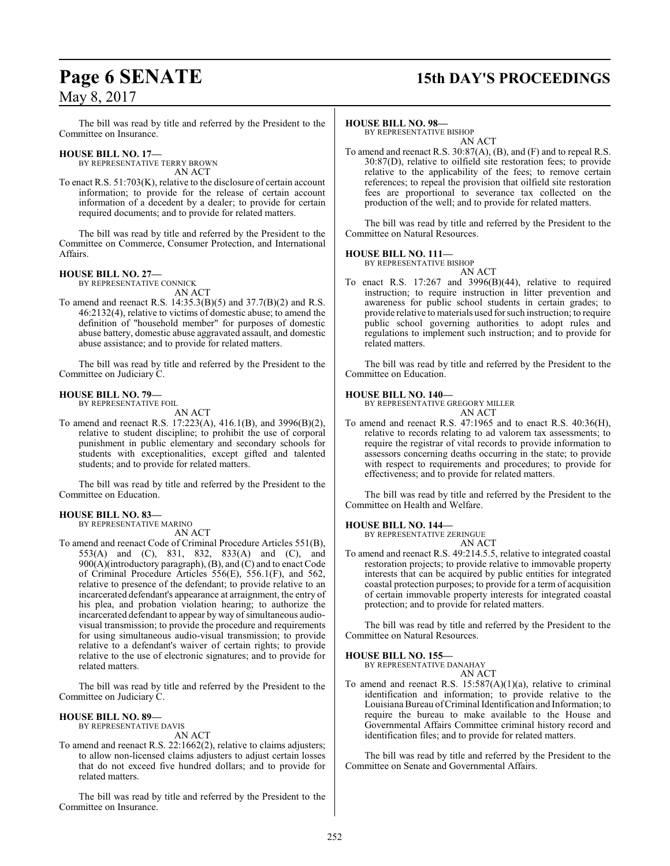## **Page 6 SENATE 15th DAY'S PROCEEDINGS**

The bill was read by title and referred by the President to the Committee on Insurance.

### **HOUSE BILL NO. 17—**

BY REPRESENTATIVE TERRY BROWN AN ACT

To enact R.S. 51:703(K), relative to the disclosure of certain account information; to provide for the release of certain account information of a decedent by a dealer; to provide for certain required documents; and to provide for related matters.

The bill was read by title and referred by the President to the Committee on Commerce, Consumer Protection, and International Affairs.

#### **HOUSE BILL NO. 27—** BY REPRESENTATIVE CONNICK

AN ACT

To amend and reenact R.S. 14:35.3(B)(5) and 37.7(B)(2) and R.S. 46:2132(4), relative to victims of domestic abuse; to amend the definition of "household member" for purposes of domestic abuse battery, domestic abuse aggravated assault, and domestic abuse assistance; and to provide for related matters.

The bill was read by title and referred by the President to the Committee on Judiciary C.

#### **HOUSE BILL NO. 79—**

BY REPRESENTATIVE FOIL AN ACT

To amend and reenact R.S. 17:223(A), 416.1(B), and 3996(B)(2), relative to student discipline; to prohibit the use of corporal punishment in public elementary and secondary schools for students with exceptionalities, except gifted and talented students; and to provide for related matters.

The bill was read by title and referred by the President to the Committee on Education.

#### **HOUSE BILL NO. 83—**

BY REPRESENTATIVE MARINO AN ACT

To amend and reenact Code of Criminal Procedure Articles 551(B), 553(A) and (C), 831, 832, 833(A) and (C), and 900(A)(introductory paragraph),  $(B)$ , and  $(C)$  and to enact Code of Criminal Procedure Articles 556(E), 556.1(F), and 562, relative to presence of the defendant; to provide relative to an incarcerated defendant's appearance at arraignment, the entry of his plea, and probation violation hearing; to authorize the incarcerated defendant to appear by way of simultaneous audiovisual transmission; to provide the procedure and requirements for using simultaneous audio-visual transmission; to provide relative to a defendant's waiver of certain rights; to provide relative to the use of electronic signatures; and to provide for related matters.

The bill was read by title and referred by the President to the Committee on Judiciary C.

#### **HOUSE BILL NO. 89—** BY REPRESENTATIVE DAVIS

AN ACT

To amend and reenact R.S. 22:1662(2), relative to claims adjusters; to allow non-licensed claims adjusters to adjust certain losses that do not exceed five hundred dollars; and to provide for related matters.

The bill was read by title and referred by the President to the Committee on Insurance.

#### **HOUSE BILL NO. 98—**

BY REPRESENTATIVE BISHOP AN ACT

To amend and reenact R.S. 30:87(A), (B), and (F) and to repeal R.S. 30:87(D), relative to oilfield site restoration fees; to provide relative to the applicability of the fees; to remove certain references; to repeal the provision that oilfield site restoration fees are proportional to severance tax collected on the production of the well; and to provide for related matters.

The bill was read by title and referred by the President to the Committee on Natural Resources.

#### **HOUSE BILL NO. 111—**

BY REPRESENTATIVE BISHOP

AN ACT

To enact R.S. 17:267 and 3996(B)(44), relative to required instruction; to require instruction in litter prevention and awareness for public school students in certain grades; to provide relative to materials used for such instruction; to require public school governing authorities to adopt rules and regulations to implement such instruction; and to provide for related matters.

The bill was read by title and referred by the President to the Committee on Education.

#### **HOUSE BILL NO. 140—**

BY REPRESENTATIVE GREGORY MILLER AN ACT

To amend and reenact R.S. 47:1965 and to enact R.S. 40:36(H), relative to records relating to ad valorem tax assessments; to require the registrar of vital records to provide information to assessors concerning deaths occurring in the state; to provide with respect to requirements and procedures; to provide for effectiveness; and to provide for related matters.

The bill was read by title and referred by the President to the Committee on Health and Welfare.

#### **HOUSE BILL NO. 144—**

BY REPRESENTATIVE ZERINGUE AN ACT

To amend and reenact R.S. 49:214.5.5, relative to integrated coastal restoration projects; to provide relative to immovable property interests that can be acquired by public entities for integrated coastal protection purposes; to provide for a term of acquisition of certain immovable property interests for integrated coastal protection; and to provide for related matters.

The bill was read by title and referred by the President to the Committee on Natural Resources.

#### **HOUSE BILL NO. 155—**

BY REPRESENTATIVE DANAHAY

AN ACT To amend and reenact R.S.  $15:587(A)(1)(a)$ , relative to criminal identification and information; to provide relative to the Louisiana Bureau ofCriminal Identification and Information; to require the bureau to make available to the House and Governmental Affairs Committee criminal history record and identification files; and to provide for related matters.

The bill was read by title and referred by the President to the Committee on Senate and Governmental Affairs.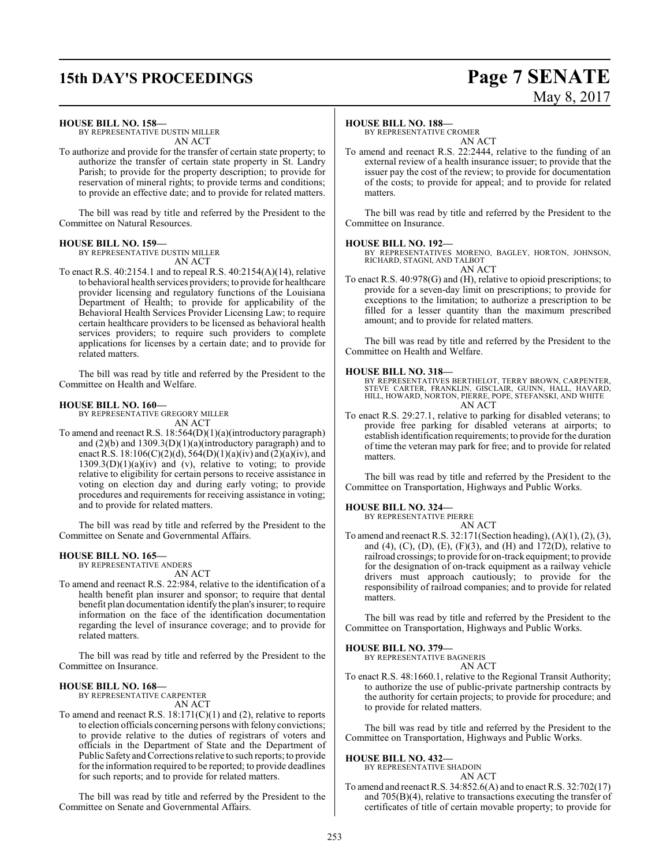# **15th DAY'S PROCEEDINGS Page 7 SENATE**

# May 8, 2017

#### **HOUSE BILL NO. 158—**

BY REPRESENTATIVE DUSTIN MILLER AN ACT

To authorize and provide for the transfer of certain state property; to authorize the transfer of certain state property in St. Landry Parish; to provide for the property description; to provide for reservation of mineral rights; to provide terms and conditions; to provide an effective date; and to provide for related matters.

The bill was read by title and referred by the President to the Committee on Natural Resources.

#### **HOUSE BILL NO. 159—**

BY REPRESENTATIVE DUSTIN MILLER

AN ACT To enact R.S. 40:2154.1 and to repeal R.S. 40:2154(A)(14), relative to behavioral health services providers; to provide for healthcare provider licensing and regulatory functions of the Louisiana Department of Health; to provide for applicability of the Behavioral Health Services Provider Licensing Law; to require certain healthcare providers to be licensed as behavioral health services providers; to require such providers to complete applications for licenses by a certain date; and to provide for related matters.

The bill was read by title and referred by the President to the Committee on Health and Welfare.

#### **HOUSE BILL NO. 160—**

BY REPRESENTATIVE GREGORY MILLER AN ACT

To amend and reenact R.S. 18:564(D)(1)(a)(introductory paragraph) and (2)(b) and 1309.3(D)(1)(a)(introductory paragraph) and to enact R.S. 18:106(C)(2)(d), 564(D)(1)(a)(iv) and (2)(a)(iv), and  $1309.3(D)(1)(a)(iv)$  and (v), relative to voting; to provide relative to eligibility for certain persons to receive assistance in voting on election day and during early voting; to provide procedures and requirements for receiving assistance in voting; and to provide for related matters.

The bill was read by title and referred by the President to the Committee on Senate and Governmental Affairs.

#### **HOUSE BILL NO. 165—**

BY REPRESENTATIVE ANDERS AN ACT

To amend and reenact R.S. 22:984, relative to the identification of a health benefit plan insurer and sponsor; to require that dental benefit plan documentation identify the plan's insurer; to require information on the face of the identification documentation regarding the level of insurance coverage; and to provide for related matters.

The bill was read by title and referred by the President to the Committee on Insurance.

#### **HOUSE BILL NO. 168—**

BY REPRESENTATIVE CARPENTER AN ACT

To amend and reenact R.S.  $18:171(C)(1)$  and (2), relative to reports to election officials concerning persons with felony convictions; to provide relative to the duties of registrars of voters and officials in the Department of State and the Department of Public Safety and Corrections relative to such reports; to provide for the information required to be reported; to provide deadlines for such reports; and to provide for related matters.

The bill was read by title and referred by the President to the Committee on Senate and Governmental Affairs.

#### **HOUSE BILL NO. 188—**

BY REPRESENTATIVE CROMER AN ACT

To amend and reenact R.S. 22:2444, relative to the funding of an external review of a health insurance issuer; to provide that the issuer pay the cost of the review; to provide for documentation of the costs; to provide for appeal; and to provide for related matters.

The bill was read by title and referred by the President to the Committee on Insurance.

#### **HOUSE BILL NO. 192—**

BY REPRESENTATIVES MORENO, BAGLEY, HORTON, JOHNSON, RICHARD, STAGNI, AND TALBOT AN ACT

To enact R.S. 40:978(G) and (H), relative to opioid prescriptions; to provide for a seven-day limit on prescriptions; to provide for exceptions to the limitation; to authorize a prescription to be filled for a lesser quantity than the maximum prescribed amount; and to provide for related matters.

The bill was read by title and referred by the President to the Committee on Health and Welfare.

#### **HOUSE BILL NO. 318—**

BY REPRESENTATIVES BERTHELOT, TERRY BROWN, CARPENTER, STEVE CARTER, FRANKLIN, GISCLAIR, GUINN, HALL, HAVARD, HILL, HOWARD, NORTON, PIERRE, POPE, STEFANSKI, AND WHITE AN ACT

To enact R.S. 29:27.1, relative to parking for disabled veterans; to provide free parking for disabled veterans at airports; to establish identification requirements; to provide for the duration of time the veteran may park for free; and to provide for related matters.

The bill was read by title and referred by the President to the Committee on Transportation, Highways and Public Works.

#### **HOUSE BILL NO. 324—**

BY REPRESENTATIVE PIERRE

AN ACT To amend and reenact R.S. 32:171(Section heading), (A)(1), (2), (3), and (4), (C), (D), (E), (F)(3), and (H) and  $172(D)$ , relative to railroad crossings; to provide for on-track equipment; to provide for the designation of on-track equipment as a railway vehicle drivers must approach cautiously; to provide for the responsibility of railroad companies; and to provide for related matters.

The bill was read by title and referred by the President to the Committee on Transportation, Highways and Public Works.

#### **HOUSE BILL NO. 379—**

BY REPRESENTATIVE BAGNERIS

- AN ACT
- To enact R.S. 48:1660.1, relative to the Regional Transit Authority; to authorize the use of public-private partnership contracts by the authority for certain projects; to provide for procedure; and to provide for related matters.

The bill was read by title and referred by the President to the Committee on Transportation, Highways and Public Works.

#### **HOUSE BILL NO. 432—**

BY REPRESENTATIVE SHADOIN AN ACT

To amend and reenact R.S. 34:852.6(A) and to enact R.S. 32:702(17) and 705(B)(4), relative to transactions executing the transfer of certificates of title of certain movable property; to provide for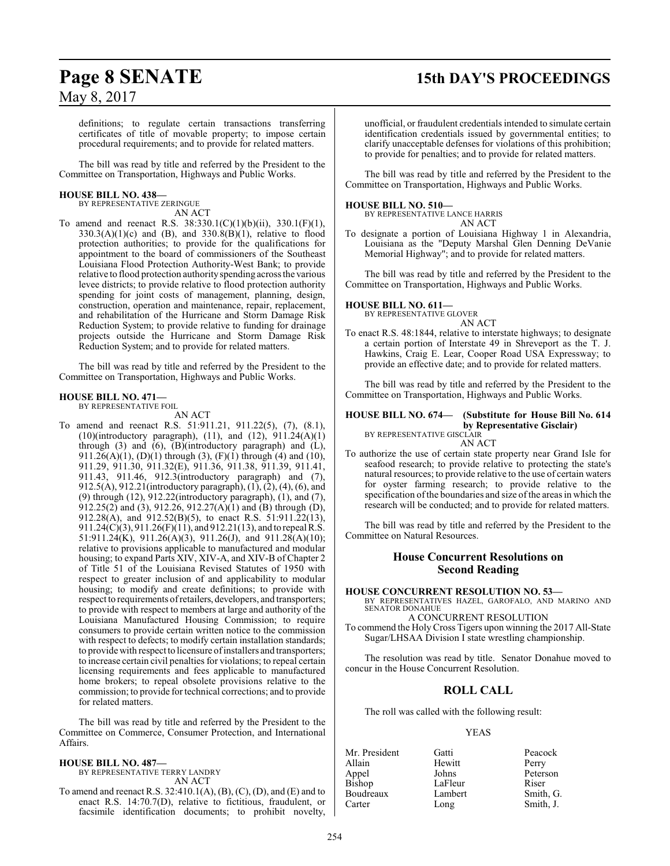## **Page 8 SENATE 15th DAY'S PROCEEDINGS**

May 8, 2017

definitions; to regulate certain transactions transferring certificates of title of movable property; to impose certain procedural requirements; and to provide for related matters.

The bill was read by title and referred by the President to the Committee on Transportation, Highways and Public Works.

#### **HOUSE BILL NO. 438—**

BY REPRESENTATIVE ZERINGUE AN ACT

To amend and reenact R.S. 38:330.1(C)(1)(b)(ii), 330.1(F)(1),  $330.3(A)(1)(c)$  and (B), and  $330.8(B)(1)$ , relative to flood protection authorities; to provide for the qualifications for appointment to the board of commissioners of the Southeast Louisiana Flood Protection Authority-West Bank; to provide relative to flood protection authorityspending across the various levee districts; to provide relative to flood protection authority spending for joint costs of management, planning, design, construction, operation and maintenance, repair, replacement, and rehabilitation of the Hurricane and Storm Damage Risk Reduction System; to provide relative to funding for drainage projects outside the Hurricane and Storm Damage Risk Reduction System; and to provide for related matters.

The bill was read by title and referred by the President to the Committee on Transportation, Highways and Public Works.

#### **HOUSE BILL NO. 471—**

BY REPRESENTATIVE FOIL AN ACT

To amend and reenact R.S. 51:911.21, 911.22(5), (7), (8.1), (10)(introductory paragraph), (11), and (12), 911.24(A)(1) through (3) and (6), (B)(introductory paragraph) and (L), 911.26(A)(1), (D)(1) through (3), (F)(1) through (4) and (10), 911.29, 911.30, 911.32(E), 911.36, 911.38, 911.39, 911.41, 911.43, 911.46, 912.3(introductory paragraph) and (7), 912.5(A), 912.21(introductory paragraph), (1), (2), (4), (6), and (9) through (12), 912.22(introductory paragraph), (1), and (7), 912.25(2) and (3), 912.26, 912.27(A)(1) and (B) through (D), 912.28(A), and  $912.52(B)(5)$ , to enact R.S.  $51:911.22(13)$ , 911.24(C)(3), 911.26(F)(11), and 912.21(13), and to repeal R.S. 51:911.24(K), 911.26(A)(3), 911.26(J), and 911.28(A)(10); relative to provisions applicable to manufactured and modular housing; to expand Parts XIV, XIV-A, and XIV-B of Chapter 2 of Title 51 of the Louisiana Revised Statutes of 1950 with respect to greater inclusion of and applicability to modular housing; to modify and create definitions; to provide with respect to requirements ofretailers, developers, and transporters; to provide with respect to members at large and authority of the Louisiana Manufactured Housing Commission; to require consumers to provide certain written notice to the commission with respect to defects; to modify certain installation standards; to provide with respect to licensure ofinstallers and transporters; to increase certain civil penalties for violations; to repeal certain licensing requirements and fees applicable to manufactured home brokers; to repeal obsolete provisions relative to the commission; to provide for technical corrections; and to provide for related matters.

The bill was read by title and referred by the President to the Committee on Commerce, Consumer Protection, and International Affairs.

#### **HOUSE BILL NO. 487—**

BY REPRESENTATIVE TERRY LANDRY AN ACT

To amend and reenact R.S. 32:410.1(A), (B), (C), (D), and (E) and to enact R.S. 14:70.7(D), relative to fictitious, fraudulent, or facsimile identification documents; to prohibit novelty,

unofficial, or fraudulent credentials intended to simulate certain identification credentials issued by governmental entities; to clarify unacceptable defenses for violations of this prohibition; to provide for penalties; and to provide for related matters.

The bill was read by title and referred by the President to the Committee on Transportation, Highways and Public Works.

#### **HOUSE BILL NO. 510—**

BY REPRESENTATIVE LANCE HARRIS AN ACT

To designate a portion of Louisiana Highway 1 in Alexandria, Louisiana as the "Deputy Marshal Glen Denning DeVanie Memorial Highway"; and to provide for related matters.

The bill was read by title and referred by the President to the Committee on Transportation, Highways and Public Works.

#### **HOUSE BILL NO. 611—**

BY REPRESENTATIVE GLOVER AN ACT

To enact R.S. 48:1844, relative to interstate highways; to designate a certain portion of Interstate 49 in Shreveport as the T. J. Hawkins, Craig E. Lear, Cooper Road USA Expressway; to provide an effective date; and to provide for related matters.

The bill was read by title and referred by the President to the Committee on Transportation, Highways and Public Works.

#### **HOUSE BILL NO. 674— (Substitute for House Bill No. 614 by Representative Gisclair)** BY REPRESENTATIVE GISCLAIR

AN ACT

To authorize the use of certain state property near Grand Isle for seafood research; to provide relative to protecting the state's natural resources; to provide relative to the use of certain waters for oyster farming research; to provide relative to the specification of the boundaries and size of the areas in which the research will be conducted; and to provide for related matters.

The bill was read by title and referred by the President to the Committee on Natural Resources.

## **House Concurrent Resolutions on Second Reading**

#### **HOUSE CONCURRENT RESOLUTION NO. 53—**

BY REPRESENTATIVES HAZEL, GAROFALO, AND MARINO AND SENATOR DONAHUE

#### A CONCURRENT RESOLUTION

To commend the Holy Cross Tigers upon winning the 2017 All-State Sugar/LHSAA Division I state wrestling championship.

The resolution was read by title. Senator Donahue moved to concur in the House Concurrent Resolution.

#### **ROLL CALL**

The roll was called with the following result:

#### YEAS

| Mr. President | Gatti   | Peacock   |
|---------------|---------|-----------|
| Allain        | Hewitt  | Perry     |
| Appel         | Johns   | Peterson  |
| Bishop        | LaFleur | Riser     |
| Boudreaux     | Lambert | Smith, G. |
| Carter        | Long    | Smith, J. |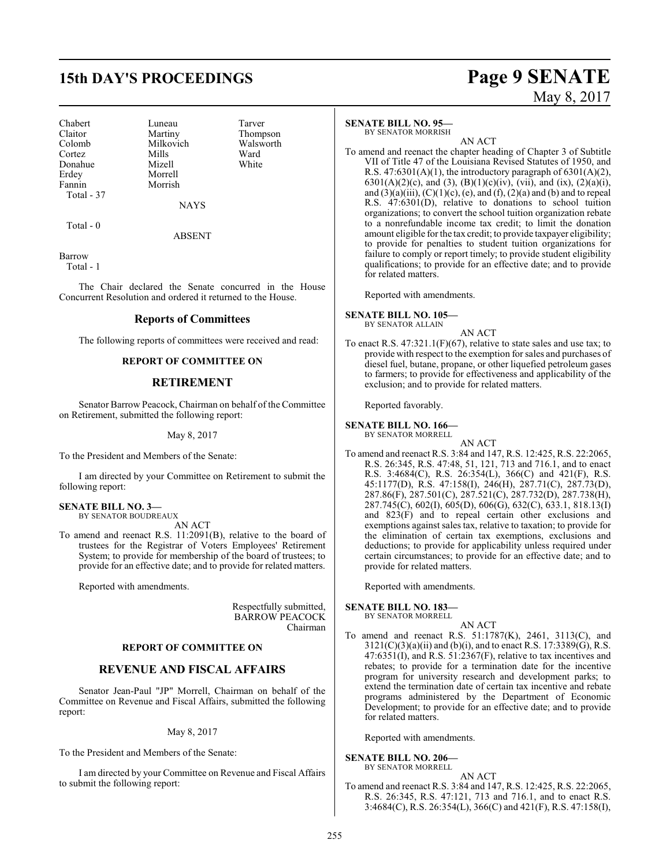## **15th DAY'S PROCEEDINGS Page 9 SENATE**

Chabert Luneau Tarver Claitor Martiny Thompson<br>Colomb Milkovich Walsworth Colomb Milkovich Walsworth<br>Cortez Mills Ward Cortez Mills Ward Donahue Mizell White Erdey Morrell<br>Fannin Morrish Total - 37

Morrish

**NAYS** 

Total - 0

ABSENT

Barrow Total - 1

The Chair declared the Senate concurred in the House Concurrent Resolution and ordered it returned to the House.

#### **Reports of Committees**

The following reports of committees were received and read:

#### **REPORT OF COMMITTEE ON**

#### **RETIREMENT**

Senator Barrow Peacock, Chairman on behalf of the Committee on Retirement, submitted the following report:

May 8, 2017

To the President and Members of the Senate:

I am directed by your Committee on Retirement to submit the following report:

#### **SENATE BILL NO. 3—** BY SENATOR BOUDREAUX

AN ACT

To amend and reenact R.S. 11:2091(B), relative to the board of trustees for the Registrar of Voters Employees' Retirement System; to provide for membership of the board of trustees; to provide for an effective date; and to provide for related matters.

Reported with amendments.

Respectfully submitted, BARROW PEACOCK Chairman

#### **REPORT OF COMMITTEE ON**

#### **REVENUE AND FISCAL AFFAIRS**

Senator Jean-Paul "JP" Morrell, Chairman on behalf of the Committee on Revenue and Fiscal Affairs, submitted the following report:

May 8, 2017

To the President and Members of the Senate:

I am directed by your Committee on Revenue and Fiscal Affairs to submit the following report:

#### **SENATE BILL NO. 95—**

BY SENATOR MORRISH

AN ACT To amend and reenact the chapter heading of Chapter 3 of Subtitle VII of Title 47 of the Louisiana Revised Statutes of 1950, and R.S.  $47:6301(A)(1)$ , the introductory paragraph of  $6301(A)(2)$ , 6301(A)(2)(c), and (3), (B)(1)(c)(iv), (vii), and (ix), (2)(a)(i), and  $(3)(a)(iii)$ ,  $(C)(1)(c)$ ,  $(e)$ , and  $(f)$ ,  $(2)(a)$  and  $(b)$  and to repeal R.S. 47:6301(D), relative to donations to school tuition organizations; to convert the school tuition organization rebate to a nonrefundable income tax credit; to limit the donation amount eligible for the tax credit; to provide taxpayer eligibility; to provide for penalties to student tuition organizations for failure to comply or report timely; to provide student eligibility qualifications; to provide for an effective date; and to provide for related matters.

Reported with amendments.

#### **SENATE BILL NO. 105—** BY SENATOR ALLAIN

AN ACT

To enact R.S. 47:321.1(F)(67), relative to state sales and use tax; to provide with respect to the exemption for sales and purchases of diesel fuel, butane, propane, or other liquefied petroleum gases to farmers; to provide for effectiveness and applicability of the exclusion; and to provide for related matters.

Reported favorably.

#### **SENATE BILL NO. 166—**

BY SENATOR MORRELL AN ACT

To amend and reenact R.S. 3:84 and 147, R.S. 12:425, R.S. 22:2065, R.S. 26:345, R.S. 47:48, 51, 121, 713 and 716.1, and to enact R.S. 3:4684(C), R.S. 26:354(L), 366(C) and 421(F), R.S. 45:1177(D), R.S. 47:158(I), 246(H), 287.71(C), 287.73(D), 287.86(F), 287.501(C), 287.521(C), 287.732(D), 287.738(H), 287.745(C), 602(I), 605(D), 606(G), 632(C), 633.1, 818.13(I) and 823(F) and to repeal certain other exclusions and exemptions against sales tax, relative to taxation; to provide for the elimination of certain tax exemptions, exclusions and deductions; to provide for applicability unless required under certain circumstances; to provide for an effective date; and to provide for related matters.

Reported with amendments.

#### **SENATE BILL NO. 183—**

BY SENATOR MORRELL AN ACT

To amend and reenact R.S. 51:1787(K), 2461, 3113(C), and 3121(C)(3)(a)(ii) and (b)(i), and to enact R.S. 17:3389(G), R.S.  $47:6351(I)$ , and R.S.  $51:2367(F)$ , relative to tax incentives and rebates; to provide for a termination date for the incentive program for university research and development parks; to extend the termination date of certain tax incentive and rebate programs administered by the Department of Economic Development; to provide for an effective date; and to provide for related matters.

Reported with amendments.

#### **SENATE BILL NO. 206—**

BY SENATOR MORRELL AN ACT

To amend and reenact R.S. 3:84 and 147, R.S. 12:425, R.S. 22:2065, R.S. 26:345, R.S. 47:121, 713 and 716.1, and to enact R.S. 3:4684(C), R.S. 26:354(L), 366(C) and 421(F), R.S. 47:158(I),

# May 8, 2017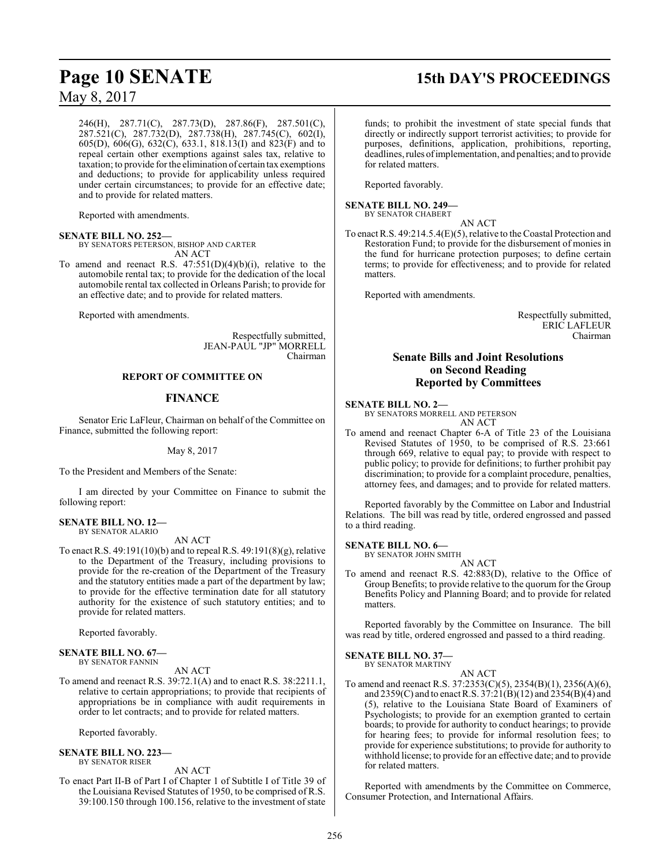246(H), 287.71(C), 287.73(D), 287.86(F), 287.501(C), 287.521(C), 287.732(D), 287.738(H), 287.745(C), 602(I), 605(D), 606(G), 632(C), 633.1, 818.13(I) and 823(F) and to repeal certain other exemptions against sales tax, relative to taxation; to provide for the elimination of certain tax exemptions and deductions; to provide for applicability unless required under certain circumstances; to provide for an effective date; and to provide for related matters.

Reported with amendments.

#### **SENATE BILL NO. 252—**

BY SENATORS PETERSON, BISHOP AND CARTER AN ACT

To amend and reenact R.S.  $47:551(D)(4)(b)(i)$ , relative to the automobile rental tax; to provide for the dedication of the local automobile rental tax collected in Orleans Parish; to provide for an effective date; and to provide for related matters.

Reported with amendments.

Respectfully submitted, JEAN-PAUL "JP" MORRELL Chairman

#### **REPORT OF COMMITTEE ON**

#### **FINANCE**

Senator Eric LaFleur, Chairman on behalf of the Committee on Finance, submitted the following report:

May 8, 2017

To the President and Members of the Senate:

I am directed by your Committee on Finance to submit the following report:

#### **SENATE BILL NO. 12—** BY SENATOR ALARIO

AN ACT

To enact R.S. 49:191(10)(b) and to repeal R.S. 49:191(8)(g), relative to the Department of the Treasury, including provisions to provide for the re-creation of the Department of the Treasury and the statutory entities made a part of the department by law; to provide for the effective termination date for all statutory authority for the existence of such statutory entities; and to provide for related matters.

Reported favorably.

#### **SENATE BILL NO. 67—** BY SENATOR FANNIN

AN ACT

To amend and reenact R.S. 39:72.1(A) and to enact R.S. 38:2211.1, relative to certain appropriations; to provide that recipients of appropriations be in compliance with audit requirements in order to let contracts; and to provide for related matters.

Reported favorably.

#### **SENATE BILL NO. 223—** BY SENATOR RISER

#### AN ACT

To enact Part II-B of Part I of Chapter 1 of Subtitle I of Title 39 of the Louisiana Revised Statutes of 1950, to be comprised of R.S. 39:100.150 through 100.156, relative to the investment of state

## **Page 10 SENATE 15th DAY'S PROCEEDINGS**

funds; to prohibit the investment of state special funds that directly or indirectly support terrorist activities; to provide for purposes, definitions, application, prohibitions, reporting, deadlines, rules ofimplementation, and penalties; and to provide for related matters.

Reported favorably.

#### **SENATE BILL NO. 249—** BY SENATOR CHABERT

AN ACT

To enact R.S. 49:214.5.4(E)(5), relative to the Coastal Protection and Restoration Fund; to provide for the disbursement of monies in the fund for hurricane protection purposes; to define certain terms; to provide for effectiveness; and to provide for related matters.

Reported with amendments.

Respectfully submitted, ERIC LAFLEUR Chairman

### **Senate Bills and Joint Resolutions on Second Reading Reported by Committees**

#### **SENATE BILL NO. 2—**

BY SENATORS MORRELL AND PETERSON AN ACT

To amend and reenact Chapter 6-A of Title 23 of the Louisiana Revised Statutes of 1950, to be comprised of R.S. 23:661 through 669, relative to equal pay; to provide with respect to public policy; to provide for definitions; to further prohibit pay discrimination; to provide for a complaint procedure, penalties, attorney fees, and damages; and to provide for related matters.

Reported favorably by the Committee on Labor and Industrial Relations. The bill was read by title, ordered engrossed and passed to a third reading.

**SENATE BILL NO. 6—**

BY SENATOR JOHN SMITH

- AN ACT
- To amend and reenact R.S. 42:883(D), relative to the Office of Group Benefits; to provide relative to the quorum for the Group Benefits Policy and Planning Board; and to provide for related matters.

Reported favorably by the Committee on Insurance. The bill was read by title, ordered engrossed and passed to a third reading.

**SENATE BILL NO. 37—**

BY SENATOR MARTINY

AN ACT To amend and reenact R.S. 37:2353(C)(5), 2354(B)(1), 2356(A)(6), and 2359(C) and to enact R.S. 37:21(B)(12) and 2354(B)(4) and (5), relative to the Louisiana State Board of Examiners of Psychologists; to provide for an exemption granted to certain boards; to provide for authority to conduct hearings; to provide for hearing fees; to provide for informal resolution fees; to provide for experience substitutions; to provide for authority to withhold license; to provide for an effective date; and to provide for related matters.

Reported with amendments by the Committee on Commerce, Consumer Protection, and International Affairs.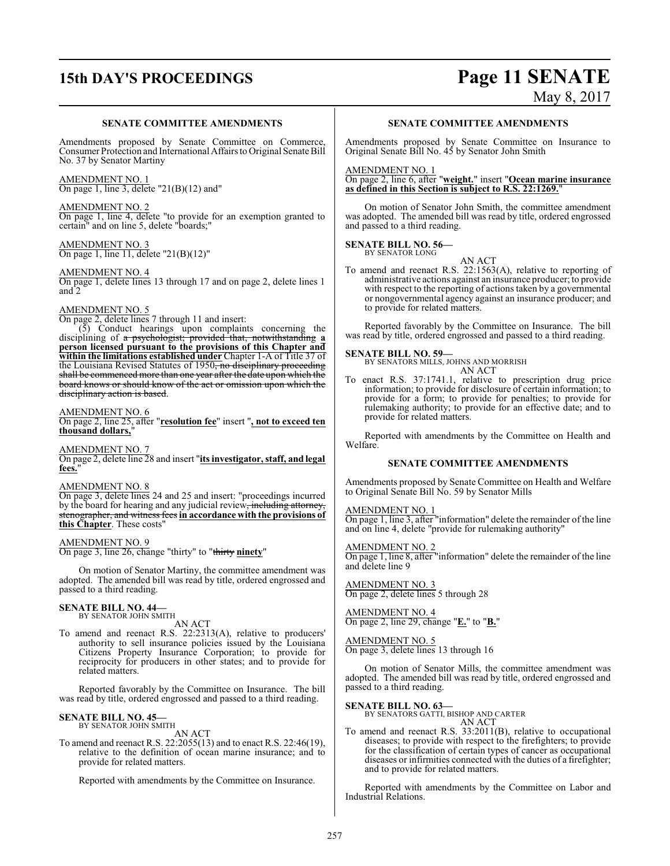# **15th DAY'S PROCEEDINGS Page 11 SENATE**

# May 8, 2017

#### **SENATE COMMITTEE AMENDMENTS**

Amendments proposed by Senate Committee on Commerce, Consumer Protection and International Affairs to Original Senate Bill No. 37 by Senator Martiny

AMENDMENT NO. 1 On page 1, line 3, delete "21(B)(12) and"

AMENDMENT NO. 2 On page 1, line 4, delete "to provide for an exemption granted to certain" and on line 5, delete "boards;"

AMENDMENT NO. 3 On page 1, line 11, delete "21(B)(12)"

AMENDMENT NO. 4

On page 1, delete lines 13 through 17 and on page 2, delete lines 1 and 2

#### AMENDMENT NO. 5

On page 2, delete lines 7 through 11 and insert:

(5) Conduct hearings upon complaints concerning the disciplining of a psychologist; provided that, notwithstanding **a person licensed pursuant to the provisions of this Chapter and within the limitations established under** Chapter 1-A of Title 37 of the Louisiana Revised Statutes of 1950, no disciplinary proceeding shall be commenced more than one year after the date upon which the board knows or should know of the act or omission upon which the disciplinary action is based.

#### AMENDMENT NO. 6

On page 2, line 25, after "**resolution fee**" insert "**, not to exceed ten thousand dollars,**"

AMENDMENT NO. 7 On page 2, delete line 28 and insert "**its investigator, staff, and legal fees.**"

#### AMENDMENT NO. 8

On page 3, delete lines 24 and 25 and insert: "proceedings incurred by the board for hearing and any judicial review, including attorney stenographer, and witness fees **in accordance with the provisions of this Chapter**. These costs"

#### AMENDMENT NO. 9

On page 3, line 26, change "thirty" to "thirty **ninety**"

On motion of Senator Martiny, the committee amendment was adopted. The amended bill was read by title, ordered engrossed and passed to a third reading.

## **SENATE BILL NO. 44—**<br>BY SENATOR JOHN SMITH

AN ACT

To amend and reenact R.S. 22:2313(A), relative to producers' authority to sell insurance policies issued by the Louisiana Citizens Property Insurance Corporation; to provide for reciprocity for producers in other states; and to provide for related matters.

Reported favorably by the Committee on Insurance. The bill was read by title, ordered engrossed and passed to a third reading.

#### **SENATE BILL NO. 45—** BY SENATOR JOHN SMITH

AN ACT

To amend and reenact R.S. 22:2055(13) and to enact R.S. 22:46(19), relative to the definition of ocean marine insurance; and to provide for related matters.

Reported with amendments by the Committee on Insurance.

#### **SENATE COMMITTEE AMENDMENTS**

Amendments proposed by Senate Committee on Insurance to Original Senate Bill No. 45 by Senator John Smith

#### AMENDMENT NO. 1

On page 2, line 6, after "**weight.**" insert "**Ocean marine insurance as defined in this Section is subject to R.S. 22:1269.**"

On motion of Senator John Smith, the committee amendment was adopted. The amended bill was read by title, ordered engrossed and passed to a third reading.

#### **SENATE BILL NO. 56—** BY SENATOR LONG

AN ACT To amend and reenact R.S. 22:1563(A), relative to reporting of administrative actions against an insurance producer; to provide with respect to the reporting of actions taken by a governmental or nongovernmental agency against an insurance producer; and to provide for related matters.

Reported favorably by the Committee on Insurance. The bill was read by title, ordered engrossed and passed to a third reading.

**SENATE BILL NO. 59—** BY SENATORS MILLS, JOHNS AND MORRISH AN ACT

To enact R.S. 37:1741.1, relative to prescription drug price information; to provide for disclosure of certain information; to provide for a form; to provide for penalties; to provide for rulemaking authority; to provide for an effective date; and to provide for related matters.

Reported with amendments by the Committee on Health and Welfare.

#### **SENATE COMMITTEE AMENDMENTS**

Amendments proposed by Senate Committee on Health and Welfare to Original Senate Bill No. 59 by Senator Mills

#### AMENDMENT NO. 1

On page 1, line 3, after "information" delete the remainder of the line and on line 4, delete "provide for rulemaking authority"

#### AMENDMENT NO. 2

On page 1, line 8, after "information" delete the remainder of the line and delete line 9

AMENDMENT NO. 3 On page 2, delete lines 5 through 28

AMENDMENT NO. 4 On page 2, line 29, change "**E.**" to "**B.**"

## AMENDMENT NO. 5

On page 3, delete lines 13 through 16

On motion of Senator Mills, the committee amendment was adopted. The amended bill was read by title, ordered engrossed and passed to a third reading.

**SENATE BILL NO. 63—** BY SENATORS GATTI, BISHOP AND CARTER

- AN ACT
- To amend and reenact R.S. 33:2011(B), relative to occupational diseases; to provide with respect to the firefighters; to provide for the classification of certain types of cancer as occupational diseases or infirmities connected with the duties of a firefighter; and to provide for related matters.

Reported with amendments by the Committee on Labor and Industrial Relations.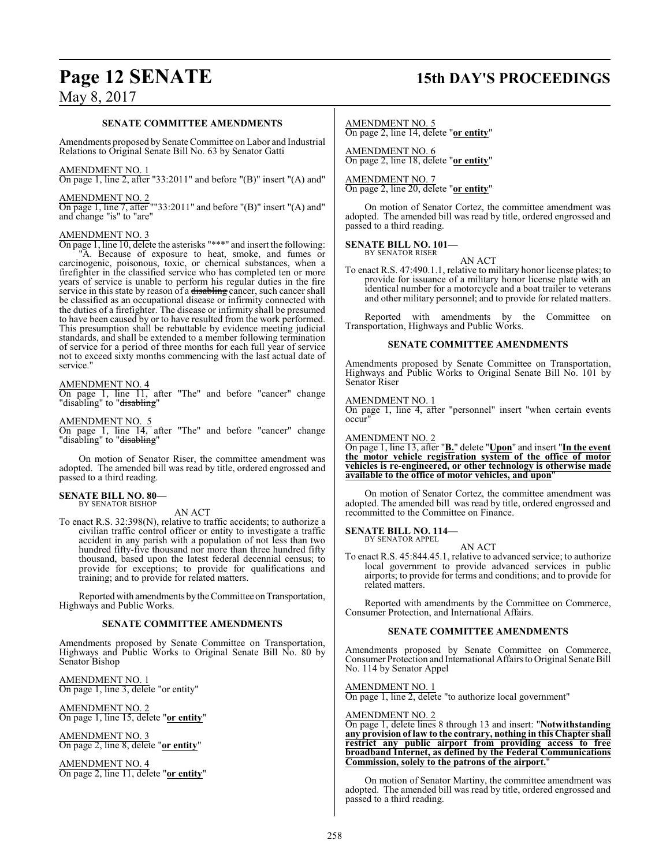## **Page 12 SENATE 15th DAY'S PROCEEDINGS**

## May 8, 2017

#### **SENATE COMMITTEE AMENDMENTS**

Amendments proposed by Senate Committee on Labor and Industrial Relations to Original Senate Bill No. 63 by Senator Gatti

#### AMENDMENT NO. 1

On page 1, line 2, after "33:2011" and before "(B)" insert "(A) and"

#### AMENDMENT NO. 2

On page 1, line 7, after ""33:2011" and before "(B)" insert "(A) and" and change "is" to "are"

#### AMENDMENT NO. 3

On page 1, line 10, delete the asterisks "\*\*\*" and insert the following: A. Because of exposure to heat, smoke, and fumes or carcinogenic, poisonous, toxic, or chemical substances, when a firefighter in the classified service who has completed ten or more years of service is unable to perform his regular duties in the fire service in this state by reason of a disabling cancer, such cancer shall be classified as an occupational disease or infirmity connected with the duties of a firefighter. The disease or infirmity shall be presumed to have been caused by or to have resulted from the work performed. This presumption shall be rebuttable by evidence meeting judicial standards, and shall be extended to a member following termination of service for a period of three months for each full year of service not to exceed sixty months commencing with the last actual date of service."

#### AMENDMENT NO. 4

On page 1, line 11, after "The" and before "cancer" change "disabling" to "<del>disabling</del>"

#### AMENDMENT NO. 5

On page 1, line 14, after "The" and before "cancer" change "disabling" to "disabling"

On motion of Senator Riser, the committee amendment was adopted. The amended bill was read by title, ordered engrossed and passed to a third reading.

#### **SENATE BILL NO. 80—** BY SENATOR BISHOP

#### AN ACT

To enact R.S. 32:398(N), relative to traffic accidents; to authorize a civilian traffic control officer or entity to investigate a traffic accident in any parish with a population of not less than two hundred fifty-five thousand nor more than three hundred fifty thousand, based upon the latest federal decennial census; to provide for exceptions; to provide for qualifications and training; and to provide for related matters.

Reported with amendments by the Committee on Transportation, Highways and Public Works.

#### **SENATE COMMITTEE AMENDMENTS**

Amendments proposed by Senate Committee on Transportation, Highways and Public Works to Original Senate Bill No. 80 by Senator Bishop

AMENDMENT NO. 1 On page 1, line 3, delete "or entity"

AMENDMENT NO. 2 On page 1, line 15, delete "**or entity**"

AMENDMENT NO. 3 On page 2, line 8, delete "**or entity**"

AMENDMENT NO. 4 On page 2, line 11, delete "**or entity**"

## AMENDMENT NO. 5

On page 2, line 14, delete "**or entity**"

AMENDMENT NO. 6 On page 2, line 18, delete "**or entity**"

AMENDMENT NO. 7 On page 2, line 20, delete "**or entity**"

On motion of Senator Cortez, the committee amendment was adopted. The amended bill was read by title, ordered engrossed and passed to a third reading.

#### **SENATE BILL NO. 101—** BY SENATOR RISER

AN ACT

To enact R.S. 47:490.1.1, relative to military honor license plates; to provide for issuance of a military honor license plate with an identical number for a motorcycle and a boat trailer to veterans and other military personnel; and to provide for related matters.

Reported with amendments by the Committee on Transportation, Highways and Public Works.

#### **SENATE COMMITTEE AMENDMENTS**

Amendments proposed by Senate Committee on Transportation, Highways and Public Works to Original Senate Bill No. 101 by Senator Riser

#### AMENDMENT NO. 1

On page 1, line 4, after "personnel" insert "when certain events occur<sub></sub>

#### AMENDMENT NO. 2

On page 1, line 13, after "**B.**" delete "**Upon**" and insert "**In the event the motor vehicle registration system of the office of motor vehicles is re-engineered, or other technology is otherwise made available to the office of motor vehicles, and upon**"

On motion of Senator Cortez, the committee amendment was adopted. The amended bill was read by title, ordered engrossed and recommitted to the Committee on Finance.

#### **SENATE BILL NO. 114—** BY SENATOR APPEL

- AN ACT
- To enact R.S. 45:844.45.1, relative to advanced service; to authorize local government to provide advanced services in public airports; to provide for terms and conditions; and to provide for related matters.

Reported with amendments by the Committee on Commerce, Consumer Protection, and International Affairs.

#### **SENATE COMMITTEE AMENDMENTS**

Amendments proposed by Senate Committee on Commerce, Consumer Protection and International Affairs to Original Senate Bill No. 114 by Senator Appel

AMENDMENT NO. 1

On page 1, line 2, delete "to authorize local government"

#### AMENDMENT NO. 2

On page 1, delete lines 8 through 13 and insert: "**Notwithstanding any provision of law to the contrary, nothing in this Chapter shall restrict any public airport from providing access to free broadband Internet, as defined by the Federal Communications Commission, solely to the patrons of the airport.**"

On motion of Senator Martiny, the committee amendment was adopted. The amended bill was read by title, ordered engrossed and passed to a third reading.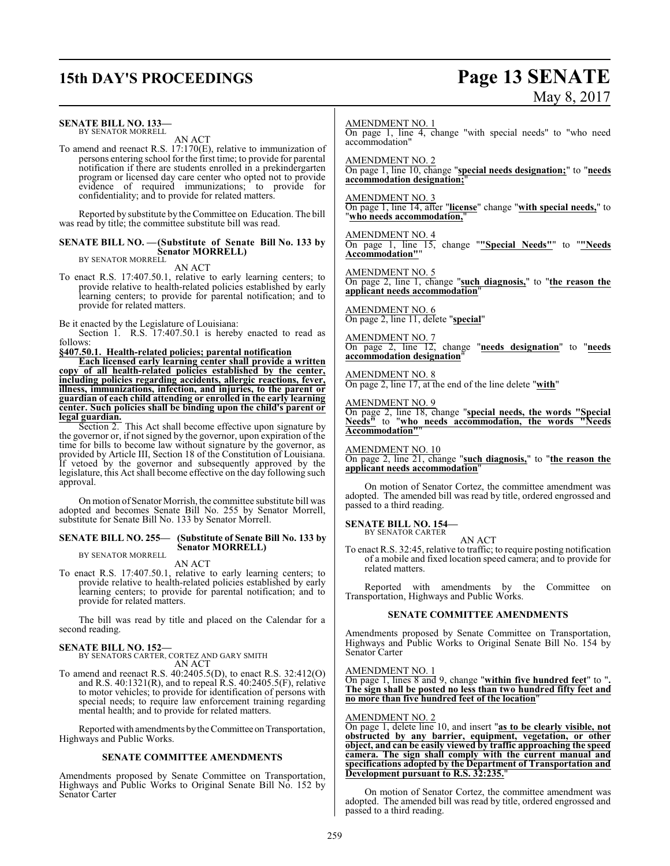## **15th DAY'S PROCEEDINGS Page 13 SENATE**

# $M_{\text{ext}}$  8, 2017

|                                                                                                                                                                                                                                                                                     | May 8, 2017                                                                                                                                                                                        |
|-------------------------------------------------------------------------------------------------------------------------------------------------------------------------------------------------------------------------------------------------------------------------------------|----------------------------------------------------------------------------------------------------------------------------------------------------------------------------------------------------|
| <b>SENATE BILL NO. 133-</b><br>BY SENATOR MORRELL<br>AN ACT<br>To amend and reenact R.S. 17:170(E), relative to immunization of<br>persons entering school for the first time; to provide for parental                                                                              | <b>AMENDMENT NO. 1</b><br>On page 1, line 4, change "with special needs" to "who need<br>accommodation"<br><b>AMENDMENT NO. 2</b>                                                                  |
| notification if there are students enrolled in a prekindergarten<br>program or licensed day care center who opted not to provide<br>evidence of required immunizations; to provide for<br>confidentiality; and to provide for related matters.                                      | On page 1, line 10, change "special needs designation;" to "needs"<br>accommodation designation;"<br><b>AMENDMENT NO. 3</b><br>On page 1, line 14, after "license" change "with special needs," to |
| Reported by substitute by the Committee on Education. The bill<br>was read by title; the committee substitute bill was read.<br><b>SENATE BILL NO. - (Substitute of Senate Bill No. 133 by</b>                                                                                      | "who needs accommodation,"<br><b>AMENDMENT NO. 4</b><br>On page 1, line 15, change ""Special Needs"" to ""Needs                                                                                    |
| <b>Senator MORRELL)</b><br>BY SENATOR MORRELL<br>AN ACT<br>To enact R.S. 17:407.50.1, relative to early learning centers; to                                                                                                                                                        | Accommodation""<br><b>AMENDMENT NO. 5</b><br>On page 2, line 1, change "such diagnosis," to "the reason the                                                                                        |
| provide relative to health-related policies established by early<br>learning centers; to provide for parental notification; and to<br>provide for related matters.<br>Be it enacted by the Legislature of Louisiana:                                                                | applicant needs accommodation"<br><b>AMENDMENT NO. 6</b><br>On page 2, line 11, delete "special"                                                                                                   |
| Section 1. R.S. 17:407.50.1 is hereby enacted to read as<br>follows:<br>§407.50.1. Health-related policies; parental notification<br>Each licensed early learning center shall provide a written                                                                                    | <b>AMENDMENT NO. 7</b><br>On page 2, line 12, change "needs designation" to "needs<br>accommodation designation"                                                                                   |
| copy of all health-related policies established by the center,<br>including policies regarding accidents, allergic reactions, fever,<br>illness, immunizations, infection, and injuries, to the parent or<br>guardian of each child attending or enrolled in the early learning     | <b>AMENDMENT NO. 8</b><br>On page 2, line 17, at the end of the line delete "with"                                                                                                                 |
| center. Such policies shall be binding upon the child's parent or<br>legal guardian.<br>Section 2. This Act shall become effective upon signature by<br>the governor or, if not signed by the governor, upon expiration of the                                                      | <b>AMENDMENT NO. 9</b><br>On page 2, line 18, change "special needs, the words "Special<br>Needs" to "who needs accommodation, the words "Needs<br>Accommodation""                                 |
| time for bills to become law without signature by the governor, as<br>provided by Article III, Section 18 of the Constitution of Louisiana.<br>If vetoed by the governor and subsequently approved by the<br>legislature, this Act shall become effective on the day following such | <b>AMENDMENT NO. 10</b><br>On page 2, line 21, change "such diagnosis," to "the reason the<br>applicant needs accommodation"                                                                       |
| approval.<br>On motion of Senator Morrish, the committee substitute bill was<br>adopted and becomes Senate Bill No. 255 by Senator Morrell,                                                                                                                                         | On motion of Senator Cortez, the committee amendment was<br>adopted. The amended bill was read by title, ordered engrossed and<br>passed to a third reading.                                       |
| substitute for Senate Bill No. 133 by Senator Morrell.<br>SENATE BILL NO. 255- (Substitute of Senate Bill No. 133 by<br><b>Senator MORRELL)</b>                                                                                                                                     | <b>SENATE BILL NO. 154-</b><br><b>BY SENATOR CARTER</b><br>AN ACT<br>To enact R.S. 32:45, relative to traffic: to require posting notification                                                     |

BY SENATOR MORRELL

AN ACT

To enact R.S. 17:407.50.1, relative to early learning centers; to provide relative to health-related policies established by early learning centers; to provide for parental notification; and to provide for related matters.

The bill was read by title and placed on the Calendar for a second reading.

# **SENATE BILL NO. 152—** BY SENATORS CARTER, CORTEZ AND GARY SMITH

AN ACT To amend and reenact R.S. 40:2405.5(D), to enact R.S. 32:412(O) and R.S. 40:1321(R), and to repeal R.S. 40:2405.5(F), relative to motor vehicles; to provide for identification of persons with special needs; to require law enforcement training regarding mental health; and to provide for related matters.

Reported with amendments by the Committee on Transportation, Highways and Public Works.

#### **SENATE COMMITTEE AMENDMENTS**

Amendments proposed by Senate Committee on Transportation, Highways and Public Works to Original Senate Bill No. 152 by Senator Carter

To enact R.S. 32:45, relative to traffic; to require posting notification of a mobile and fixed location speed camera; and to provide for related matters.

Reported with amendments by the Committee on Transportation, Highways and Public Works.

#### **SENATE COMMITTEE AMENDMENTS**

Amendments proposed by Senate Committee on Transportation, Highways and Public Works to Original Senate Bill No. 154 by Senator Carter

#### AMENDMENT NO. 1

On page 1, lines 8 and 9, change "**within five hundred feet**" to "**. The sign shall be posted no less than two hundred fifty feet and no more than five hundred feet of the location**"

#### AMENDMENT NO. 2

On page 1, delete line 10, and insert "**as to be clearly visible, not obstructed by any barrier, equipment, vegetation, or other object, and can be easily viewed by traffic approaching the speed camera. The sign shall comply with the current manual and specifications adopted by the Department of Transportation and Development pursuant to R.S. 32:235.**"

On motion of Senator Cortez, the committee amendment was adopted. The amended bill was read by title, ordered engrossed and passed to a third reading.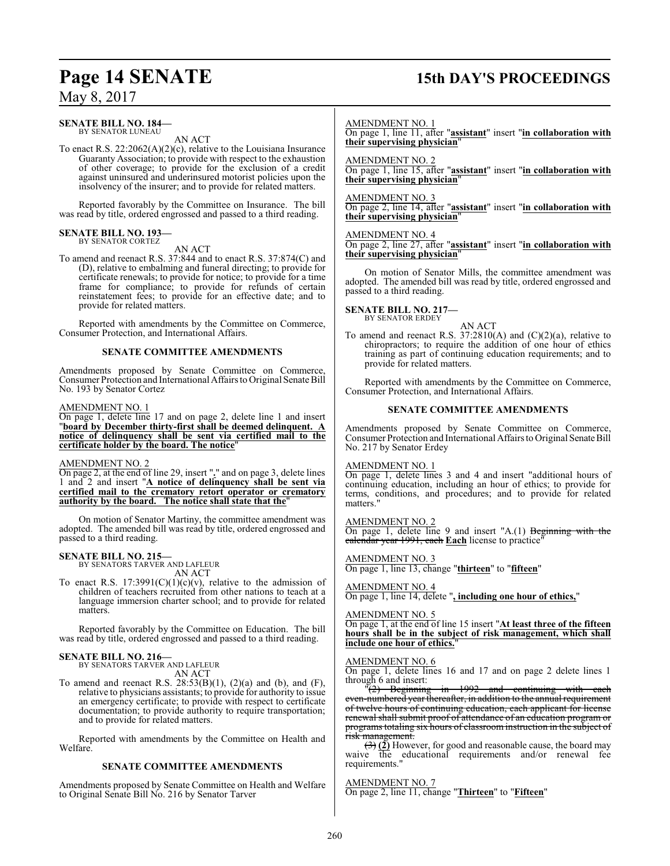#### **SENATE BILL NO. 184—** BY SENATOR LUNEAU

AN ACT

To enact R.S. 22:2062(A)(2)(c), relative to the Louisiana Insurance Guaranty Association; to provide with respect to the exhaustion of other coverage; to provide for the exclusion of a credit against uninsured and underinsured motorist policies upon the insolvency of the insurer; and to provide for related matters.

Reported favorably by the Committee on Insurance. The bill was read by title, ordered engrossed and passed to a third reading.

#### **SENATE BILL NO. 193—** BY SENATOR CORTEZ

AN ACT

To amend and reenact R.S. 37:844 and to enact R.S. 37:874(C) and (D), relative to embalming and funeral directing; to provide for certificate renewals; to provide for notice; to provide for a time frame for compliance; to provide for refunds of certain reinstatement fees; to provide for an effective date; and to provide for related matters.

Reported with amendments by the Committee on Commerce, Consumer Protection, and International Affairs.

#### **SENATE COMMITTEE AMENDMENTS**

Amendments proposed by Senate Committee on Commerce, Consumer Protection and International Affairs to Original Senate Bill No. 193 by Senator Cortez

#### AMENDMENT NO. 1

On page 1, delete line 17 and on page 2, delete line 1 and insert "**board by December thirty-first shall be deemed delinquent. A notice of delinquency shall be sent via certified mail to the certificate holder by the board. The notice**"

#### AMENDMENT NO. 2

On page 2, at the end of line 29, insert "**.**" and on page 3, delete lines 1 and 2 and insert "**A notice of delinquency shall be sent via certified mail to the crematory retort operator or crematory authority by the board. The notice shall state that the**"

On motion of Senator Martiny, the committee amendment was adopted. The amended bill was read by title, ordered engrossed and passed to a third reading.

#### **SENATE BILL NO. 215—**

BY SENATORS TARVER AND LAFLEUR AN ACT

To enact R.S.  $17:3991(C)(1)(c)(v)$ , relative to the admission of children of teachers recruited from other nations to teach at a language immersion charter school; and to provide for related matters.

Reported favorably by the Committee on Education. The bill was read by title, ordered engrossed and passed to a third reading.

## **SENATE BILL NO. 216—** BY SENATORS TARVER AND LAFLEUR

AN ACT

To amend and reenact R.S.  $28:53(B)(1)$ ,  $(2)(a)$  and  $(b)$ , and  $(F)$ , relative to physicians assistants; to provide for authority to issue an emergency certificate; to provide with respect to certificate documentation; to provide authority to require transportation; and to provide for related matters.

Reported with amendments by the Committee on Health and Welfare.

#### **SENATE COMMITTEE AMENDMENTS**

Amendments proposed by Senate Committee on Health and Welfare to Original Senate Bill No. 216 by Senator Tarver

## **Page 14 SENATE 15th DAY'S PROCEEDINGS**

AMENDMENT NO. 1

On page 1, line 11, after "**assistant**" insert "**in collaboration with their supervising physician**"

#### AMENDMENT NO. 2

On page 1, line 15, after "**assistant**" insert "**in collaboration with their supervising physician**"

#### AMENDMENT NO. 3

On page 2, line 14, after "**assistant**" insert "**in collaboration with their supervising physician**"

#### AMENDMENT NO. 4

On page 2, line 27, after "**assistant**" insert "**in collaboration with their supervising physician**"

On motion of Senator Mills, the committee amendment was adopted. The amended bill was read by title, ordered engrossed and passed to a third reading.

## **SENATE BILL NO. 217—** BY SENATOR ERDEY

AN ACT

To amend and reenact R.S. 37:2810(A) and (C)(2)(a), relative to chiropractors; to require the addition of one hour of ethics training as part of continuing education requirements; and to provide for related matters.

Reported with amendments by the Committee on Commerce, Consumer Protection, and International Affairs.

#### **SENATE COMMITTEE AMENDMENTS**

Amendments proposed by Senate Committee on Commerce, Consumer Protection and International Affairs to Original Senate Bill No. 217 by Senator Erdey

#### AMENDMENT NO. 1

On page 1, delete lines 3 and 4 and insert "additional hours of continuing education, including an hour of ethics; to provide for terms, conditions, and procedures; and to provide for related matters."

#### AMENDMENT NO. 2

On page 1, delete line 9 and insert "A.(1) Beginning with the calendar year 1991, each **Each** license to practice"

#### AMENDMENT NO. 3

On page 1, line 13, change "**thirteen**" to "**fifteen**"

AMENDMENT NO. 4

On page 1, line 14, delete "**, including one hour of ethics,**"

#### AMENDMENT NO. 5

On page 1, at the end of line 15 insert "**At least three of the fifteen hours shall be in the subject of risk management, which shall include one hour of ethics.**"

### AMENDMENT NO. 6

On page 1, delete lines 16 and 17 and on page 2 delete lines 1 through 6 and insert:<br> $\frac{12}{2}$  Beginning

"(2) Beginning in 1992 and continuing with each even-numbered year thereafter, in addition to the annual requirement of twelve hours of continuing education, each applicant for license renewal shall submit proof of attendance of an education program or programs totaling six hours of classroom instruction in the subject of risk management.

(3) **(2)** However, for good and reasonable cause, the board may waive the educational requirements and/or renewal fee requirements."

#### AMENDMENT NO. 7

On page 2, line 11, change "**Thirteen**" to "**Fifteen**"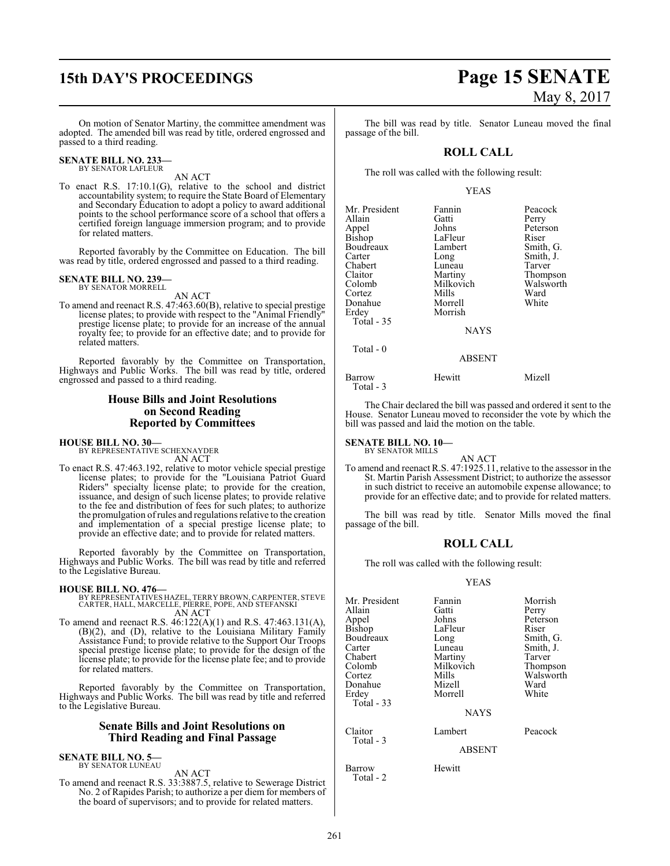On motion of Senator Martiny, the committee amendment was adopted. The amended bill was read by title, ordered engrossed and passed to a third reading.

#### **SENATE BILL NO. 233** BY SENATOR LAFLEUR

AN ACT

To enact R.S. 17:10.1(G), relative to the school and district accountability system; to require the State Board of Elementary and Secondary Education to adopt a policy to award additional points to the school performance score of a school that offers a certified foreign language immersion program; and to provide for related matters.

Reported favorably by the Committee on Education. The bill was read by title, ordered engrossed and passed to a third reading.

#### **SENATE BILL NO. 239** BY SENATOR MORRELL

AN ACT

To amend and reenact R.S. 47:463.60(B), relative to special prestige license plates; to provide with respect to the "Animal Friendly" prestige license plate; to provide for an increase of the annual royalty fee; to provide for an effective date; and to provide for related matters.

Reported favorably by the Committee on Transportation, Highways and Public Works. The bill was read by title, ordered engrossed and passed to a third reading.

#### **House Bills and Joint Resolutions on Second Reading Reported by Committees**

**HOUSE BILL NO. 30—**

BY REPRESENTATIVE SCHEXNAYDER AN ACT

To enact R.S. 47:463.192, relative to motor vehicle special prestige license plates; to provide for the "Louisiana Patriot Guard Riders" specialty license plate; to provide for the creation, issuance, and design of such license plates; to provide relative to the fee and distribution of fees for such plates; to authorize the promulgation ofrules and regulations relative to the creation and implementation of a special prestige license plate; to provide an effective date; and to provide for related matters.

Reported favorably by the Committee on Transportation, Highways and Public Works. The bill was read by title and referred to the Legislative Bureau.

- **HOUSE BILL NO. 476—** BY REPRESENTATIVES HAZEL, TERRY BROWN, CARPENTER, STEVE CARTER, HALL, MARCELLE, PIERRE, POPE, AND STEFANSKI AN ACT
- To amend and reenact R.S. 46:122(A)(1) and R.S. 47:463.131(A), (B)(2), and (D), relative to the Louisiana Military Family Assistance Fund; to provide relative to the Support Our Troops special prestige license plate; to provide for the design of the license plate; to provide for the license plate fee; and to provide for related matters.

Reported favorably by the Committee on Transportation, Highways and Public Works. The bill was read by title and referred to the Legislative Bureau.

#### **Senate Bills and Joint Resolutions on Third Reading and Final Passage**

**SENATE BILL NO. 5—** BY SENATOR LUNEAU

AN ACT

To amend and reenact R.S. 33:3887.5, relative to Sewerage District No. 2 of Rapides Parish; to authorize a per diem for members of the board of supervisors; and to provide for related matters.

# **15th DAY'S PROCEEDINGS Page 15 SENATE** May 8, 2017

The bill was read by title. Senator Luneau moved the final passage of the bill.

#### **ROLL CALL**

The roll was called with the following result:

#### YEAS

| Mr. President   | Fannin        | Peacock   |
|-----------------|---------------|-----------|
| Allain          | Gatti         | Perry     |
| Appel<br>Bishop | Johns         | Peterson  |
|                 | LaFleur       | Riser     |
| Boudreaux       | Lambert       | Smith, G. |
| Carter          | Long          | Smith, J. |
| Chabert         | Luneau        | Tarver    |
| Claitor         | Martiny       | Thompson  |
| Colomb          | Milkovich     | Walsworth |
| Cortez          | Mills         | Ward      |
| Donahue         | Morrell       | White     |
| Erdey           | Morrish       |           |
| Total - 35      |               |           |
|                 | <b>NAYS</b>   |           |
| Total - 0       |               |           |
|                 | <b>ABSENT</b> |           |
| Barrow          | Hewitt        | Mizell    |

Total - 3

The Chair declared the bill was passed and ordered it sent to the House. Senator Luneau moved to reconsider the vote by which the bill was passed and laid the motion on the table.

#### **SENATE BILL NO. 10—** BY SENATOR MILLS

AN ACT To amend and reenact R.S. 47:1925.11, relative to the assessor in the St. Martin Parish Assessment District; to authorize the assessor in such district to receive an automobile expense allowance; to provide for an effective date; and to provide for related matters.

The bill was read by title. Senator Mills moved the final passage of the bill.

#### **ROLL CALL**

The roll was called with the following result:

#### YEAS

| Mr. President<br>Allain<br>Appel<br>Bishop<br>Boudreaux | Fannin<br>Gatti<br>Johns<br>LaFleur<br>Long | Morrish<br>Perry<br>Peterson<br>Riser<br>Smith, G. |
|---------------------------------------------------------|---------------------------------------------|----------------------------------------------------|
| Carter<br>Chabert<br>Colomb<br>Cortez                   | Luneau<br>Martiny<br>Milkovich<br>Mills     | Smith, J.<br>Tarver<br>Thompson<br>Walsworth       |
| Donahue<br>Erdev<br>Total - 33                          | Mizell<br>Morrell<br><b>NAYS</b>            | Ward<br>White                                      |
| Claitor<br>Total - 3                                    | Lambert<br><b>ABSENT</b>                    | Peacock                                            |

Barrow Hewitt Total - 2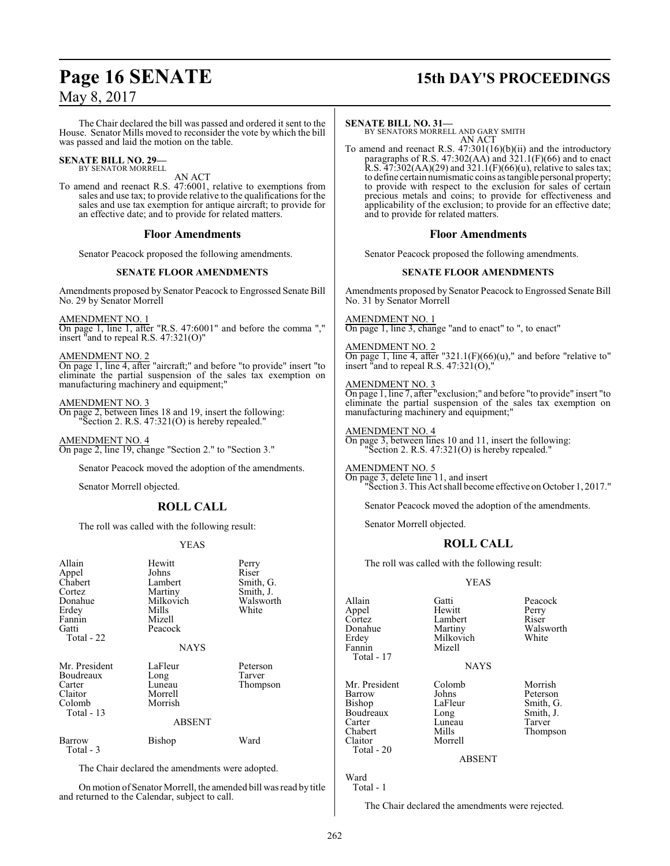The Chair declared the bill was passed and ordered it sent to the House. Senator Mills moved to reconsider the vote by which the bill was passed and laid the motion on the table.

#### **SENATE BILL NO. 29—** BY SENATOR MORRELL

AN ACT

To amend and reenact R.S. 47:6001, relative to exemptions from sales and use tax; to provide relative to the qualifications for the sales and use tax exemption for antique aircraft; to provide for an effective date; and to provide for related matters.

#### **Floor Amendments**

Senator Peacock proposed the following amendments.

#### **SENATE FLOOR AMENDMENTS**

Amendments proposed by Senator Peacock to Engrossed Senate Bill No. 29 by Senator Morrell

AMENDMENT NO. 1

On page 1, line 1, after "R.S. 47:6001" and before the comma "," insert "and to repeal R.S. 47:321(O)"

AMENDMENT NO. 2

On page 1, line 4, after "aircraft;" and before "to provide" insert "to eliminate the partial suspension of the sales tax exemption on manufacturing machinery and equipment;"

#### AMENDMENT NO. 3

On page 2, between lines 18 and 19, insert the following: "Section 2. R.S. 47:321(O) is hereby repealed."

AMENDMENT NO. 4 On page 2, line 19, change "Section 2." to "Section 3."

Senator Peacock moved the adoption of the amendments.

Senator Morrell objected.

## **ROLL CALL**

The roll was called with the following result:

#### YEAS

| Allain<br>Appel<br>Chabert<br>Cortez<br>Donahue<br>Erdey<br>Fannin<br>Gatti<br>Total - 22 | Hewitt<br>Johns<br>Lambert<br>Martiny<br>Milkovich<br>Mills<br>Mizell<br>Peacock<br><b>NAYS</b> | Perry<br>Riser<br>Smith, G.<br>Smith, J.<br>Walsworth<br>White |
|-------------------------------------------------------------------------------------------|-------------------------------------------------------------------------------------------------|----------------------------------------------------------------|
| Mr. President<br>Boudreaux<br>Carter<br>Claitor<br>Colomb<br>Total $-13$                  | LaFleur<br>Long<br>Luneau<br>Morrell<br>Morrish<br>ABSENT                                       | Peterson<br>Tarver<br>Thompson                                 |
| Barrow<br>Total - 3                                                                       | Bishop                                                                                          | Ward                                                           |

The Chair declared the amendments were adopted.

On motion of Senator Morrell, the amended bill was read by title and returned to the Calendar, subject to call.

## **Page 16 SENATE 15th DAY'S PROCEEDINGS**

#### **SENATE BILL NO. 31—**

BY SENATORS MORRELL AND GARY SMITH AN ACT

To amend and reenact R.S. 47:301(16)(b)(ii) and the introductory paragraphs of R.S. 47:302(AA) and 321.1(F)(66) and to enact R.S.  $47:302(AA)(29)$  and  $321.1(F)(66)(u)$ , relative to sales tax; to define certain numismatic coins as tangible personal property; to provide with respect to the exclusion for sales of certain precious metals and coins; to provide for effectiveness and applicability of the exclusion; to provide for an effective date; and to provide for related matters.

#### **Floor Amendments**

Senator Peacock proposed the following amendments.

#### **SENATE FLOOR AMENDMENTS**

Amendments proposed by Senator Peacock to Engrossed Senate Bill No. 31 by Senator Morrell

AMENDMENT NO. 1

On page 1, line 3, change "and to enact" to ", to enact"

#### AMENDMENT NO. 2

On page 1, line 4, after "321.1(F)(66)(u)," and before "relative to" insert "and to repeal R.S. 47:321(O),"

#### AMENDMENT NO. 3

On page 1, line 7, after "exclusion;" and before "to provide" insert "to eliminate the partial suspension of the sales tax exemption on manufacturing machinery and equipment;"

AMENDMENT NO. 4 On page 3, between lines 10 and 11, insert the following: "Section 2. R.S. 47:321(O) is hereby repealed."

## AMENDMENT NO. 5

On page 3, delete line 11, and insert "Section 3. This Act shall become effective on October 1, 2017."

Senator Peacock moved the adoption of the amendments.

Senator Morrell objected.

## **ROLL CALL**

The roll was called with the following result:

#### YEAS

Allain Gatti Peacock Appel Hewitt Perry Cortez Lambert<br>Donahue Martiny Donahue Martiny Walsworth<br>
Erdey Milkovich White Erdey Milkovich<br>Fannin Mizell Mizell

Mr. President Colomb Morrish<br>Barrow Johns Peterson Barrow Johns Peterson<br>Bishop LaFleur Smith, G Boudreaux Long Smith,<br>Carter Luneau Tarver Carter Luneau<br>Chabert Mills

**NAYS** 

Mills Thompson<br>Morrell

LaFleur Smith, G.<br>Long Smith, J.

ABSENT

Ward Total - 1

Total - 17

Claitor Total - 20

The Chair declared the amendments were rejected.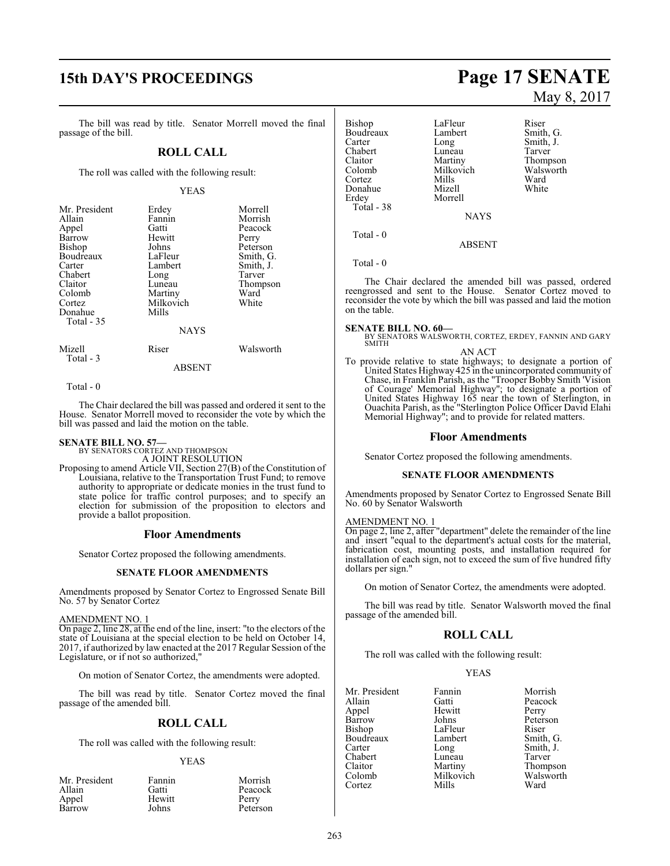# **15th DAY'S PROCEEDINGS Page 17 SENATE**

The bill was read by title. Senator Morrell moved the final passage of the bill.

#### **ROLL CALL**

The roll was called with the following result:

#### YEAS

| Mr. President<br>Allain<br>Appel<br>Barrow<br>Bishop<br>Boudreaux<br>Carter<br>Chabert<br>Claitor<br>Colomb<br>Cortez<br>Donahue<br>Total $-35$ | Erdey<br>Fannin<br>Gatti<br>Hewitt<br>Johns<br>LaFleur<br>Lambert<br>Long<br>Luneau<br>Martiny<br>Milkovich<br>Mills<br><b>NAYS</b> | Morrell<br>Morrish<br>Peacock<br>Perry<br>Peterson<br>Smith, G.<br>Smith, J.<br>Tarver<br>Thompson<br>Ward<br>White |
|-------------------------------------------------------------------------------------------------------------------------------------------------|-------------------------------------------------------------------------------------------------------------------------------------|---------------------------------------------------------------------------------------------------------------------|
| Mizell                                                                                                                                          | Riser                                                                                                                               | Walsworth                                                                                                           |
| Total $-3$                                                                                                                                      |                                                                                                                                     |                                                                                                                     |

#### ABSENT

Total - 0

The Chair declared the bill was passed and ordered it sent to the House. Senator Morrell moved to reconsider the vote by which the bill was passed and laid the motion on the table.

## **SENATE BILL NO. 57—** BY SENATORS CORTEZ AND THOMPSON

A JOINT RESOLUTION

Proposing to amend Article VII, Section 27(B) of the Constitution of Louisiana, relative to the Transportation Trust Fund; to remove authority to appropriate or dedicate monies in the trust fund to state police for traffic control purposes; and to specify an election for submission of the proposition to electors and provide a ballot proposition.

#### **Floor Amendments**

Senator Cortez proposed the following amendments.

#### **SENATE FLOOR AMENDMENTS**

Amendments proposed by Senator Cortez to Engrossed Senate Bill No. 57 by Senator Cortez

#### AMENDMENT NO. 1

On page 2, line 28, at the end of the line, insert: "to the electors of the state of Louisiana at the special election to be held on October 14, 2017, if authorized by law enacted at the 2017 Regular Session of the Legislature, or if not so authorized,"

On motion of Senator Cortez, the amendments were adopted.

The bill was read by title. Senator Cortez moved the final passage of the amended bill.

#### **ROLL CALL**

The roll was called with the following result:

#### YEAS

| Mr. President | Fannin | Morrish  |
|---------------|--------|----------|
| Allain        | Gatti  | Peacock  |
| Appel         | Hewitt | Perry    |
| Barrow        | Johns  | Peterson |

# May 8, 2017

| <b>Bishop</b><br>Boudreaux<br>Carter<br>Chabert<br>Claitor<br>Colomb<br>Cortez | LaFleur<br>Lambert<br>Long<br>Luneau<br>Martiny<br>Milkovich<br>Mills | Riser<br>Smith, G.<br>Smith, J.<br>Tarver<br>Thompson<br>Walsworth<br>Ward |
|--------------------------------------------------------------------------------|-----------------------------------------------------------------------|----------------------------------------------------------------------------|
| Erdey<br>Total - 38                                                            | Morrell<br><b>NAYS</b>                                                |                                                                            |
| Total - 0                                                                      |                                                                       |                                                                            |

ABSENT

Total - 0

The Chair declared the amended bill was passed, ordered reengrossed and sent to the House. Senator Cortez moved to reconsider the vote by which the bill was passed and laid the motion on the table.

**SENATE BILL NO. 60—**<br>BY SENATORS WALSWORTH, CORTEZ, ERDEY, FANNIN AND GARY<br>SMITH

#### AN ACT To provide relative to state highways; to designate a portion of United States Highway 425 in the unincorporated community of Chase, in Franklin Parish, as the "Trooper Bobby Smith 'Vision of Courage' Memorial Highway"; to designate a portion of United States Highway 165 near the town of Sterlington, in Ouachita Parish, as the "Sterlington Police Officer David Elahi

## Memorial Highway"; and to provide for related matters. **Floor Amendments**

Senator Cortez proposed the following amendments.

#### **SENATE FLOOR AMENDMENTS**

Amendments proposed by Senator Cortez to Engrossed Senate Bill No. 60 by Senator Walsworth

#### AMENDMENT NO. 1

On page 2, line 2, after "department" delete the remainder of the line and insert "equal to the department's actual costs for the material, fabrication cost, mounting posts, and installation required for installation of each sign, not to exceed the sum of five hundred fifty dollars per sign."

On motion of Senator Cortez, the amendments were adopted.

The bill was read by title. Senator Walsworth moved the final passage of the amended bill.

#### **ROLL CALL**

The roll was called with the following result:

#### YEAS

| Mr. President | Fannin    | Morrish   |
|---------------|-----------|-----------|
| Allain        | Gatti     | Peacock   |
| Appel         | Hewitt    | Perry     |
| Barrow        | Johns     | Peterson  |
| Bishop        | LaFleur   | Riser     |
| Boudreaux     | Lambert   | Smith, G. |
| Carter        | Long      | Smith, J. |
| Chabert       | Luneau    | Tarver    |
| Claitor       | Martiny   | Thompson  |
| Colomb        | Milkovich | Walsworth |
| Cortez        | Mills     | Ward      |
|               |           |           |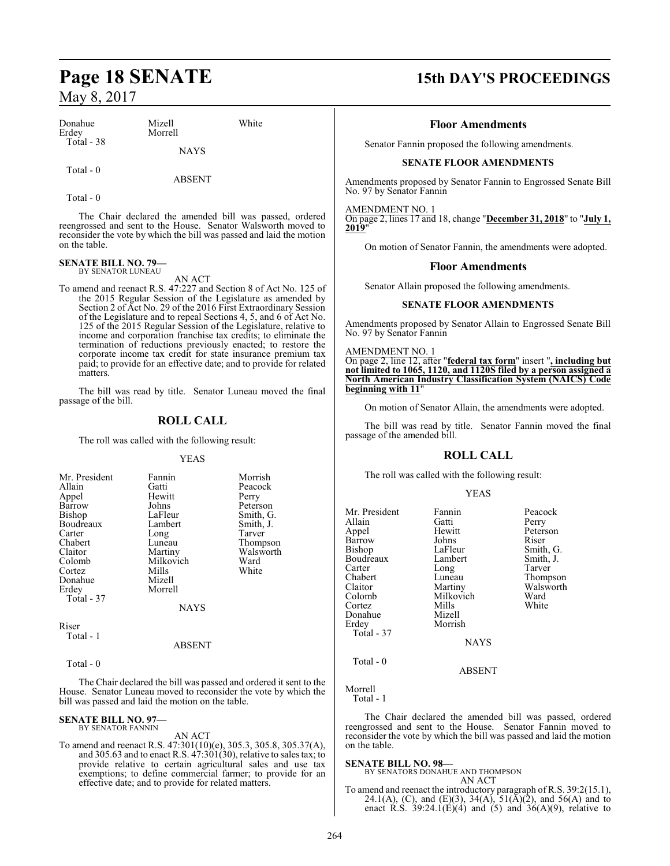| Donahue<br>Erdey | Mizell<br>Morrell | White |
|------------------|-------------------|-------|
| Total - 38       | <b>NAYS</b>       |       |
| Total - 0        |                   |       |

ABSENT

Total - 0

The Chair declared the amended bill was passed, ordered reengrossed and sent to the House. Senator Walsworth moved to reconsider the vote by which the bill was passed and laid the motion on the table.

## **SENATE BILL NO. 79—** BY SENATOR LUNEAU

AN ACT

To amend and reenact R.S. 47:227 and Section 8 of Act No. 125 of the 2015 Regular Session of the Legislature as amended by Section 2 of Act No. 29 of the 2016 First Extraordinary Session of the Legislature and to repeal Sections 4, 5, and 6 of Act No. 125 of the 2015 Regular Session of the Legislature, relative to income and corporation franchise tax credits; to eliminate the termination of reductions previously enacted; to restore the corporate income tax credit for state insurance premium tax paid; to provide for an effective date; and to provide for related matters.

The bill was read by title. Senator Luneau moved the final passage of the bill.

## **ROLL CALL**

The roll was called with the following result:

#### YEAS

| Mr. President | Fannin    | Morrish   |
|---------------|-----------|-----------|
| Allain        | Gatti     | Peacock   |
| Appel         | Hewitt    | Perry     |
| Barrow        | Johns     | Peterson  |
| Bishop        | LaFleur   | Smith, G. |
| Boudreaux     | Lambert   | Smith, J. |
| Carter        | Long      | Tarver    |
| Chabert       | Luneau    | Thompson  |
| Claitor       | Martiny   | Walsworth |
| Colomb        | Milkovich | Ward      |
| Cortez        | Mills     | White     |
| Donahue       | Mizell    |           |
| Erdey         | Morrell   |           |
| Total - 37    |           |           |
|               | NAYS      |           |

Riser Total - 1

#### ABSENT

Total - 0

The Chair declared the bill was passed and ordered it sent to the House. Senator Luneau moved to reconsider the vote by which the bill was passed and laid the motion on the table.

## **SENATE BILL NO. 97—** BY SENATOR FANNIN

AN ACT To amend and reenact R.S. 47:301(10)(e), 305.3, 305.8, 305.37(A), and 305.63 and to enact R.S. 47:301(30), relative to sales tax; to provide relative to certain agricultural sales and use tax exemptions; to define commercial farmer; to provide for an effective date; and to provide for related matters.

## **Page 18 SENATE 15th DAY'S PROCEEDINGS**

#### **Floor Amendments**

Senator Fannin proposed the following amendments.

#### **SENATE FLOOR AMENDMENTS**

Amendments proposed by Senator Fannin to Engrossed Senate Bill No. 97 by Senator Fannin

AMENDMENT NO. 1

On page 2, lines 17 and 18, change "**December 31, 2018**" to "**July 1, 2019**"

On motion of Senator Fannin, the amendments were adopted.

#### **Floor Amendments**

Senator Allain proposed the following amendments.

#### **SENATE FLOOR AMENDMENTS**

Amendments proposed by Senator Allain to Engrossed Senate Bill No. 97 by Senator Fannin

#### AMENDMENT NO. 1

On page 2, line 12, after "**federal tax form**" insert "**, including but not limited to 1065, 1120, and 1120S filed by a person assigned a North American Industry Classification System (NAICS) Code beginning with 11**"

On motion of Senator Allain, the amendments were adopted.

The bill was read by title. Senator Fannin moved the final passage of the amended bill.

#### **ROLL CALL**

The roll was called with the following result:

#### YEAS

Smith, G. Smith, J. Tarver Thompson Walsworth<br>Ward

| Mr. President | Fannin      | Peacock       |
|---------------|-------------|---------------|
| Allain        | Gatti       | Perry         |
| Appel         | Hewitt      | Peterson      |
| Barrow        | Johns       | Riser         |
| <b>Bishop</b> | LaFleur     | Smith, C      |
| Boudreaux     | Lambert     | Smith, J.     |
| Carter        | Long        | Tarver        |
| Chabert       | Luneau      | <b>Thomps</b> |
| Claitor       | Martiny     | Walswor       |
| Colomb        | Milkovich   | Ward          |
| Cortez        | Mills       | White         |
| Donahue       | Mizell      |               |
| Erdey         | Morrish     |               |
| Total - 37    |             |               |
|               | <b>NAYS</b> |               |
| Total - 0     |             |               |

#### ABSENT

Morrell Total - 1

The Chair declared the amended bill was passed, ordered reengrossed and sent to the House. Senator Fannin moved to reconsider the vote by which the bill was passed and laid the motion on the table.

**SENATE BILL NO. 98—** BY SENATORS DONAHUE AND THOMPSON AN ACT

To amend and reenact the introductory paragraph of R.S. 39:2(15.1), 24.1(A), (C), and (E)(3), 34(A), 51( $\bar{A}$ )(2), and 56(A) and to enact R.S. 39:24.1(E)(4) and (5) and 36(A)(9), relative to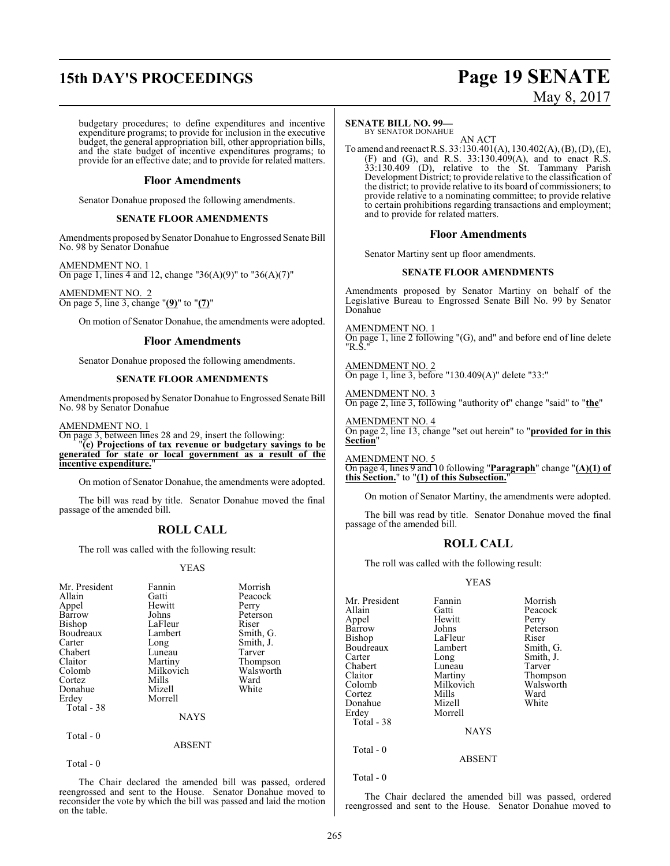# **15th DAY'S PROCEEDINGS Page 19 SENATE**

# May 8, 2017

budgetary procedures; to define expenditures and incentive expenditure programs; to provide for inclusion in the executive budget, the general appropriation bill, other appropriation bills, and the state budget of incentive expenditures programs; to provide for an effective date; and to provide for related matters.

#### **Floor Amendments**

Senator Donahue proposed the following amendments.

#### **SENATE FLOOR AMENDMENTS**

Amendments proposed by Senator Donahue to Engrossed Senate Bill No. 98 by Senator Donahue

AMENDMENT NO. 1 On page 1, lines 4 and 12, change "36(A)(9)" to "36(A)(7)"

AMENDMENT NO. 2 On page 5, line 3, change "**(9)**" to "**(7)**"

On motion of Senator Donahue, the amendments were adopted.

#### **Floor Amendments**

Senator Donahue proposed the following amendments.

#### **SENATE FLOOR AMENDMENTS**

Amendments proposed by Senator Donahue to Engrossed Senate Bill No. 98 by Senator Donahue

#### AMENDMENT NO. 1

On page 3, between lines 28 and 29, insert the following: "**(e) Projections of tax revenue or budgetary savings to be generated for state or local government as a result of the incentive expenditure.**"

On motion of Senator Donahue, the amendments were adopted.

The bill was read by title. Senator Donahue moved the final passage of the amended bill.

## **ROLL CALL**

The roll was called with the following result:

#### YEAS

| Mr. President | Fannin      | Morrish   |
|---------------|-------------|-----------|
| Allain        | Gatti       | Peacock   |
| Appel         | Hewitt      | Perry     |
| Barrow        | Johns       | Peterson  |
| <b>Bishop</b> | LaFleur     | Riser     |
| Boudreaux     | Lambert     | Smith, G. |
| Carter        | Long        | Smith, J. |
| Chabert       | Luneau      | Tarver    |
| Claitor       | Martiny     | Thompson  |
| Colomb        | Milkovich   | Walsworth |
| Cortez        | Mills       | Ward      |
| Donahue       | Mizell      | White     |
| Erdey         | Morrell     |           |
| Total - 38    |             |           |
|               | <b>NAYS</b> |           |
| Total - 0     |             |           |
|               | ABSENT      |           |

Total - 0

The Chair declared the amended bill was passed, ordered reengrossed and sent to the House. Senator Donahue moved to reconsider the vote by which the bill was passed and laid the motion on the table.

#### **SENATE BILL NO. 99—**

BY SENATOR DONAHUE AN ACT

To amend and reenact R.S. 33:130.401(A), 130.402(A), (B), (D), (E),  $(F)$  and  $(G)$ , and R.S. 33:130.409 $(A)$ , and to enact R.S. 33:130.409 (D), relative to the St. Tammany Parish Development District; to provide relative to the classification of the district; to provide relative to its board of commissioners; to provide relative to a nominating committee; to provide relative to certain prohibitions regarding transactions and employment; and to provide for related matters.

#### **Floor Amendments**

Senator Martiny sent up floor amendments.

#### **SENATE FLOOR AMENDMENTS**

Amendments proposed by Senator Martiny on behalf of the Legislative Bureau to Engrossed Senate Bill No. 99 by Senator Donahue

AMENDMENT NO. 1 On page 1, line 2 following "(G), and" and before end of line delete "R.S."

AMENDMENT NO. 2 On page 1, line 3, before "130.409(A)" delete "33:"

AMENDMENT NO. 3 On page 2, line 3, following "authority of" change "said" to "**the**"

AMENDMENT NO. 4 On page 2, line 13, change "set out herein" to "**provided for in this Section**"

AMENDMENT NO. 5 On page 4, lines 9 and 10 following "**Paragraph**" change "**(A)(1) of this Section.**" to "**(1) of this Subsection.**"

On motion of Senator Martiny, the amendments were adopted.

The bill was read by title. Senator Donahue moved the final passage of the amended bill.

#### **ROLL CALL**

The roll was called with the following result:

#### YEAS

| Mr. President<br>Allain<br>Appel<br>Barrow<br>Bishop<br>Boudreaux<br>Carter<br>Chabert<br>Claitor<br>Colomb<br>Cortez<br>Donahue<br>Erdey<br>Total - 38 | Fannin<br>Gatti<br>Hewitt<br>Johns<br>LaFleur<br>Lambert<br>Long<br>Luneau<br>Martiny<br>Milkovich<br>Mills<br>Mizell<br>Morrell<br><b>NAYS</b> | Morrish<br>Peacock<br>Perry<br>Peterson<br>Riser<br>Smith, G.<br>Smith, J.<br>Tarver<br>Thompson<br>Walsworth<br>Ward<br>White |
|---------------------------------------------------------------------------------------------------------------------------------------------------------|-------------------------------------------------------------------------------------------------------------------------------------------------|--------------------------------------------------------------------------------------------------------------------------------|
|                                                                                                                                                         |                                                                                                                                                 |                                                                                                                                |
| Total $-0$                                                                                                                                              | <b>ABSENT</b>                                                                                                                                   |                                                                                                                                |

Total - 0

The Chair declared the amended bill was passed, ordered reengrossed and sent to the House. Senator Donahue moved to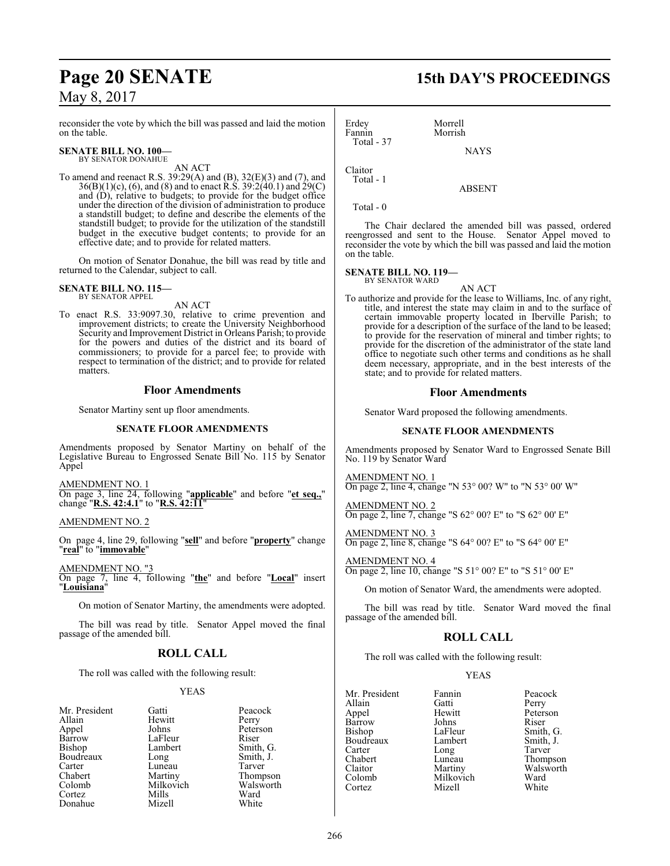reconsider the vote by which the bill was passed and laid the motion on the table.

#### **SENATE BILL NO. 100—** BY SENATOR DONAHUE

AN ACT

To amend and reenact R.S. 39:29(A) and (B), 32(E)(3) and (7), and 36(B)(1)(c), (6), and (8) and to enact R.S. 39:2(40.1) and 29(C) and (D), relative to budgets; to provide for the budget office under the direction of the division of administration to produce a standstill budget; to define and describe the elements of the standstill budget; to provide for the utilization of the standstill budget in the executive budget contents; to provide for an effective date; and to provide for related matters.

On motion of Senator Donahue, the bill was read by title and returned to the Calendar, subject to call.

#### **SENATE BILL NO. 115—** BY SENATOR APPEL

AN ACT

To enact R.S. 33:9097.30, relative to crime prevention and improvement districts; to create the University Neighborhood Security and Improvement District in Orleans Parish; to provide for the powers and duties of the district and its board of commissioners; to provide for a parcel fee; to provide with respect to termination of the district; and to provide for related matters.

#### **Floor Amendments**

Senator Martiny sent up floor amendments.

#### **SENATE FLOOR AMENDMENTS**

Amendments proposed by Senator Martiny on behalf of the Legislative Bureau to Engrossed Senate Bill No. 115 by Senator Appel

AMENDMENT NO. 1 On page 3, line 24, following "**applicable**" and before "**et seq.,**" change "**R.S. 42:4.1**" to "**R.S. 42:11**"

AMENDMENT NO. 2

On page 4, line 29, following "**sell**" and before "**property**" change "**real**" to "**immovable**"

AMENDMENT NO. "3 On page 7, line 4, following "**the**" and before "**Local**" insert "**Louisiana**"

On motion of Senator Martiny, the amendments were adopted.

The bill was read by title. Senator Appel moved the final passage of the amended bill.

#### **ROLL CALL**

The roll was called with the following result:

#### YEAS

| Mr. President | Gatti     | Peaco        |
|---------------|-----------|--------------|
| Allain        | Hewitt    | Perry        |
| Appel         | Johns     | Peters       |
| <b>Barrow</b> | LaFleur   | Riser        |
| Bishop        | Lambert   | Smith        |
| Boudreaux     | Long      | Smith        |
| Carter        | Luneau    | <b>Tarve</b> |
| Chabert       | Martiny   | Thom         |
| Colomb        | Milkovich | Walsy        |
| Cortez        | Mills     | Ward         |
| Donahue       | Mizell    | White        |
|               |           |              |

Mr. President Gatti **Gatti** Peacock<br>
ain Hewitt Perry Hewitt Perry<br>Johns Peters Peterson<br>Riser Lambert Smith, G.<br>
Long Smith, J. Smith, J. Luneau Tarver<br>
Martiny Thomp Thompson<br>Walsworth Milkovich Walsworth<br>
Mills Ward

Erdey Morrell Morrish Total - 37 **NAYS** 

Claitor Total - 1

Total - 0

The Chair declared the amended bill was passed, ordered reengrossed and sent to the House. Senator Appel moved to reconsider the vote by which the bill was passed and laid the motion on the table.

ABSENT

## **SENATE BILL NO. 119—** BY SENATOR WARD

AN ACT

To authorize and provide for the lease to Williams, Inc. of any right, title, and interest the state may claim in and to the surface of certain immovable property located in Iberville Parish; to provide for a description of the surface of the land to be leased; to provide for the reservation of mineral and timber rights; to provide for the discretion of the administrator of the state land office to negotiate such other terms and conditions as he shall deem necessary, appropriate, and in the best interests of the state; and to provide for related matters.

#### **Floor Amendments**

Senator Ward proposed the following amendments.

#### **SENATE FLOOR AMENDMENTS**

Amendments proposed by Senator Ward to Engrossed Senate Bill No. 119 by Senator Ward

AMENDMENT NO. 1 On page 2, line 4, change "N 53° 00? W" to "N 53° 00' W"

AMENDMENT NO. 2 On page 2, line 7, change "S 62° 00? E" to "S 62° 00' E"

AMENDMENT NO. 3 On page 2, line 8, change "S 64° 00? E" to "S 64° 00' E"

AMENDMENT NO. 4 On page 2, line 10, change "S 51° 00? E" to "S 51° 00' E"

On motion of Senator Ward, the amendments were adopted.

The bill was read by title. Senator Ward moved the final passage of the amended bill.

#### **ROLL CALL**

The roll was called with the following result:

#### YEAS

| Mr. President | Fannin    | Peacock   |
|---------------|-----------|-----------|
| Allain        | Gatti     | Perry     |
| Appel         | Hewitt    | Peterson  |
| Barrow        | Johns     | Riser     |
| Bishop        | LaFleur   | Smith, G. |
| Boudreaux     | Lambert   | Smith, J. |
| Carter        | Long      | Tarver    |
| Chabert       | Luneau    | Thompson  |
| Claitor       | Martiny   | Walsworth |
| Colomb        | Milkovich | Ward      |
| Cortez        | Mizell    | White     |
|               |           |           |

# **Page 20 SENATE 15th DAY'S PROCEEDINGS**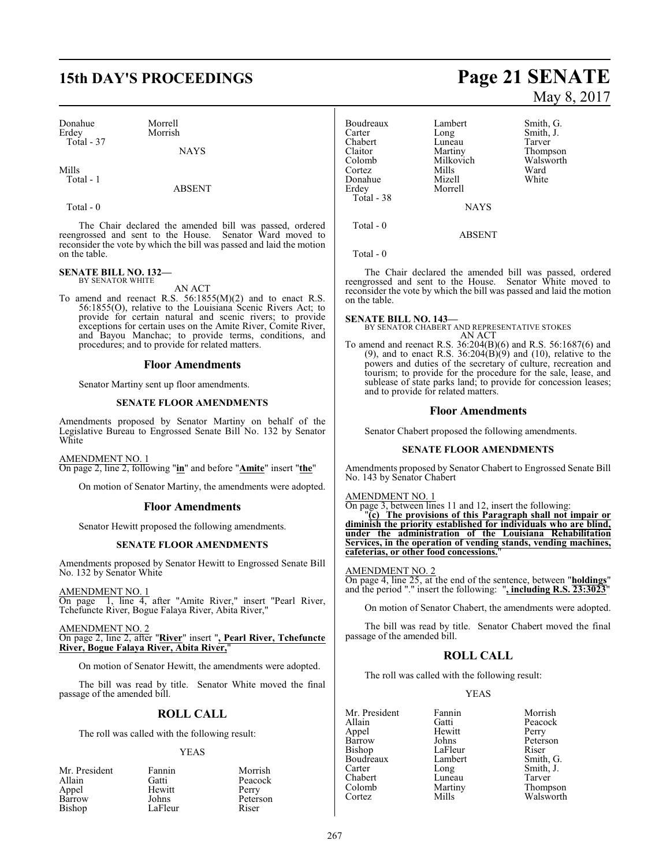# **15th DAY'S PROCEEDINGS Page 21 SENATE**

Morrish

Donahue Morrell Total - 37

**NAYS** 

Mills Total - 1

#### ABSENT

Total - 0

The Chair declared the amended bill was passed, ordered reengrossed and sent to the House. Senator Ward moved to reconsider the vote by which the bill was passed and laid the motion on the table.

## **SENATE BILL NO. 132—** BY SENATOR WHITE

AN ACT

To amend and reenact R.S. 56:1855(M)(2) and to enact R.S. 56:1855(O), relative to the Louisiana Scenic Rivers Act; to provide for certain natural and scenic rivers; to provide exceptions for certain uses on the Amite River, Comite River, and Bayou Manchac; to provide terms, conditions, and procedures; and to provide for related matters.

#### **Floor Amendments**

Senator Martiny sent up floor amendments.

#### **SENATE FLOOR AMENDMENTS**

Amendments proposed by Senator Martiny on behalf of the Legislative Bureau to Engrossed Senate Bill No. 132 by Senator White

#### AMENDMENT NO. 1

On page 2, line 2, following "**in**" and before "**Amite**" insert "**the**"

On motion of Senator Martiny, the amendments were adopted.

#### **Floor Amendments**

Senator Hewitt proposed the following amendments.

#### **SENATE FLOOR AMENDMENTS**

Amendments proposed by Senator Hewitt to Engrossed Senate Bill No. 132 by Senator White

AMENDMENT NO. 1 On page 1, line 4, after "Amite River," insert "Pearl River, Tchefuncte River, Bogue Falaya River, Abita River,"

AMENDMENT NO. 2 On page 2, line 2, after "**River**" insert "**, Pearl River, Tchefuncte River, Bogue Falaya River, Abita River,**"

On motion of Senator Hewitt, the amendments were adopted.

The bill was read by title. Senator White moved the final passage of the amended bill.

#### **ROLL CALL**

The roll was called with the following result:

#### YEAS

| Mr. President | Fannin  | Morrish  |
|---------------|---------|----------|
| Allain        | Gatti   | Peacock  |
| Appel         | Hewitt  | Perry    |
| Barrow        | Johns   | Peterson |
| Bishop        | LaFleur | Riser    |

# May 8, 2017

Boudreaux Lambert Smith, G.<br>
Carter Long Smith, J. Long Smith, J.<br>
Luneau Tarver Chabert Luneau<br>Claitor Martiny Claitor Martiny Thompson Milkovich Walsworth<br>
Mills Ward Cortez Mills Ward Donahue Erdey Morrell Total - 38 NAYS

ABSENT

Total - 0

Total - 0

The Chair declared the amended bill was passed, ordered reengrossed and sent to the House. Senator White moved to reconsider the vote by which the bill was passed and laid the motion on the table.

**SENATE BILL NO. 143—** BY SENATOR CHABERT AND REPRESENTATIVE STOKES AN ACT

To amend and reenact R.S. 36:204(B)(6) and R.S. 56:1687(6) and (9), and to enact R.S.  $36:204(B)(9)$  and (10), relative to the powers and duties of the secretary of culture, recreation and tourism; to provide for the procedure for the sale, lease, and sublease of state parks land; to provide for concession leases; and to provide for related matters.

#### **Floor Amendments**

Senator Chabert proposed the following amendments.

#### **SENATE FLOOR AMENDMENTS**

Amendments proposed by Senator Chabert to Engrossed Senate Bill No. 143 by Senator Chabert

#### AMENDMENT NO. 1

On page 3, between lines 11 and 12, insert the following:

"**(c) The provisions of this Paragraph shall not impair or diminish the priority established for individuals who are blind, under the administration of the Louisiana Rehabilitation Services, in the operation of vending stands, vending machines, cafeterias, or other food concessions.**"

#### AMENDMENT NO. 2

On page 4, line 25, at the end of the sentence, between "**holdings**" and the period "." insert the following: "**, including R.S. 23:3023**"

On motion of Senator Chabert, the amendments were adopted.

The bill was read by title. Senator Chabert moved the final passage of the amended bill.

#### **ROLL CALL**

The roll was called with the following result:

#### YEAS

Mr. President Fannin Morrish<br>Allain Gatti Peacock Appel Hewit<br>Barrow Johns Barrow Johns Peterson<br>Bishop LaFleur Riser Boudreaux Lamb<br>Carter Long Carter Long Smith, J.<br>Chabert Luneau Tarver Chabert Luneau<br>Colomb Martiny Colomb Martiny Thompson

Gatti Peacock<br>
Hewitt Perry LaFleur Riser<br>Lambert Smith, G. Walsworth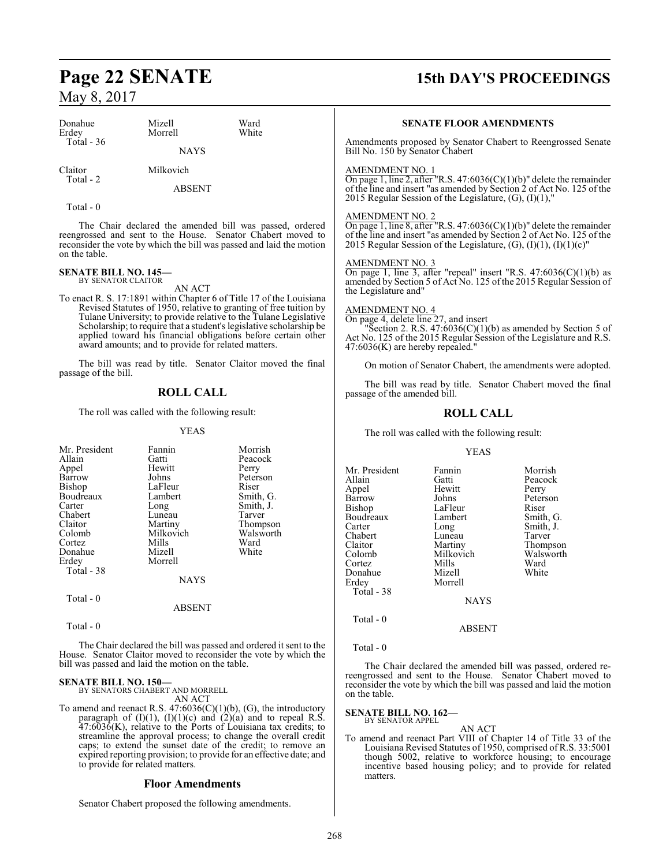## **Page 22 SENATE 15th DAY'S PROCEEDINGS**

## May 8, 2017

| Donahue<br>Erdey                                                                                                                        | Mizell<br>Morrell                                                                                                                         |                  | Ward<br>White                                                                                                                                                                                  |  |
|-----------------------------------------------------------------------------------------------------------------------------------------|-------------------------------------------------------------------------------------------------------------------------------------------|------------------|------------------------------------------------------------------------------------------------------------------------------------------------------------------------------------------------|--|
| Total - 36                                                                                                                              |                                                                                                                                           | <b>NAYS</b>      |                                                                                                                                                                                                |  |
| Claitor<br>Total - 2                                                                                                                    | Milkovich                                                                                                                                 |                  |                                                                                                                                                                                                |  |
|                                                                                                                                         | <b>ABSENT</b>                                                                                                                             |                  |                                                                                                                                                                                                |  |
| Total $-0$                                                                                                                              |                                                                                                                                           |                  |                                                                                                                                                                                                |  |
| on the table.                                                                                                                           |                                                                                                                                           |                  | The Chair declared the amended bill was passed, ordered<br>reengrossed and sent to the House. Senator Chabert moved to<br>reconsider the vote by which the bill was passed and laid the motion |  |
| SENATE BILL NO. 145—<br><b>BY SENATOR CLAITOR</b><br>AN ACT                                                                             |                                                                                                                                           |                  |                                                                                                                                                                                                |  |
|                                                                                                                                         | To enact R. S. 17:1891 within Chapter 6 of Title 17 of the Louisiana<br>Revised Statutes of 1950, relative to granting of free tuition by |                  |                                                                                                                                                                                                |  |
| Tulane University; to provide relative to the Tulane Legislative<br>Scholarship; to require that a student's legislative scholarship be |                                                                                                                                           |                  |                                                                                                                                                                                                |  |
| applied toward his financial obligations before certain other<br>award amounts; and to provide for related matters.                     |                                                                                                                                           |                  |                                                                                                                                                                                                |  |
| The bill was read by title. Senator Claitor moved the final<br>passage of the bill.                                                     |                                                                                                                                           |                  |                                                                                                                                                                                                |  |
|                                                                                                                                         |                                                                                                                                           | <b>ROLL CALL</b> |                                                                                                                                                                                                |  |

The roll was called with the following result:

#### YEAS

| Mr. President | Fannin      | Morrish   |
|---------------|-------------|-----------|
|               |             |           |
| Allain        | Gatti       | Peacock   |
| Appel         | Hewitt      | Perry     |
| Barrow        | Johns       | Peterson  |
| Bishop        | LaFleur     | Riser     |
| Boudreaux     | Lambert     | Smith, G. |
| Carter        | Long        | Smith, J. |
| Chabert       | Luneau      | Tarver    |
| Claitor       | Martiny     | Thompson  |
| Colomb        | Milkovich   | Walsworth |
| Cortez        | Mills       | Ward      |
| Donahue       | Mizell      | White     |
| Erdey         | Morrell     |           |
| Total - 38    |             |           |
|               | <b>NAYS</b> |           |
| Total - 0     |             |           |
|               | ABSENT      |           |

Total - 0

The Chair declared the bill was passed and ordered it sent to the House. Senator Claitor moved to reconsider the vote by which the bill was passed and laid the motion on the table.

## **SENATE BILL NO. 150—** BY SENATORS CHABERT AND MORRELL

AN ACT

To amend and reenact R.S. 47:6036(C)(1)(b), (G), the introductory paragraph of  $(I)(1)$ ,  $(I)(1)(c)$  and  $(2)(a)$  and to repeal R.S. 47:6036(K), relative to the Ports of Louisiana tax credits; to streamline the approval process; to change the overall credit caps; to extend the sunset date of the credit; to remove an expired reporting provision; to provide for an effective date; and to provide for related matters.

#### **Floor Amendments**

Senator Chabert proposed the following amendments.

#### **SENATE FLOOR AMENDMENTS**

Amendments proposed by Senator Chabert to Reengrossed Senate Bill No. 150 by Senator Chabert

#### AMENDMENT NO. 1

On page 1, line 2, after "R.S. 47:6036(C)(1)(b)" delete the remainder of the line and insert "as amended by Section 2 of Act No. 125 of the 2015 Regular Session of the Legislature, (G), (I)(1),"

#### AMENDMENT NO. 2

On page 1, line 8, after "R.S.  $47:6036(C)(1)(b)$ " delete the remainder of the line and insert "as amended by Section 2 of Act No. 125 of the 2015 Regular Session of the Legislature,  $(G)$ ,  $(I)(1)$ ,  $(I)(1)(c)$ "

#### AMENDMENT NO. 3

On page 1, line 3, after "repeal" insert "R.S.  $47:6036(C)(1)(b)$  as amended by Section 5 of Act No. 125 ofthe 2015 Regular Session of the Legislature and"

#### AMENDMENT NO. 4

On page 4, delete line 27, and insert

"Section 2. R.S.  $47:6036(C)(1)(b)$  as amended by Section 5 of Act No. 125 of the 2015 Regular Session of the Legislature and R.S. 47:6036(K) are hereby repealed."

On motion of Senator Chabert, the amendments were adopted.

The bill was read by title. Senator Chabert moved the final passage of the amended bill.

#### **ROLL CALL**

The roll was called with the following result:

#### YEAS

| Mr. President | Fannin      | Morrish   |
|---------------|-------------|-----------|
|               |             |           |
| Allain        | Gatti       | Peacock   |
| Appel         | Hewitt      | Perry     |
| Barrow        | Johns       | Peterson  |
| Bishop        | LaFleur     | Riser     |
| Boudreaux     | Lambert     | Smith, G. |
| Carter        | Long        | Smith, J. |
| Chabert       | Luneau      | Tarver    |
| Claitor       | Martiny     | Thompson  |
| Colomb        | Milkovich   | Walsworth |
| Cortez        | Mills       | Ward      |
| Donahue       | Mizell      | White     |
| Erdev         | Morrell     |           |
| Total - 38    |             |           |
|               | <b>NAYS</b> |           |
| $Total - 0$   |             |           |

```
 Total - 0
```
The Chair declared the amended bill was passed, ordered rereengrossed and sent to the House. Senator Chabert moved to reconsider the vote by which the bill was passed and laid the motion on the table.

ABSENT

#### **SENATE BILL NO. 162—** BY SENATOR APPEL

AN ACT

To amend and reenact Part VIII of Chapter 14 of Title 33 of the Louisiana Revised Statutes of 1950, comprised of R.S. 33:5001 though 5002, relative to workforce housing; to encourage incentive based housing policy; and to provide for related matters.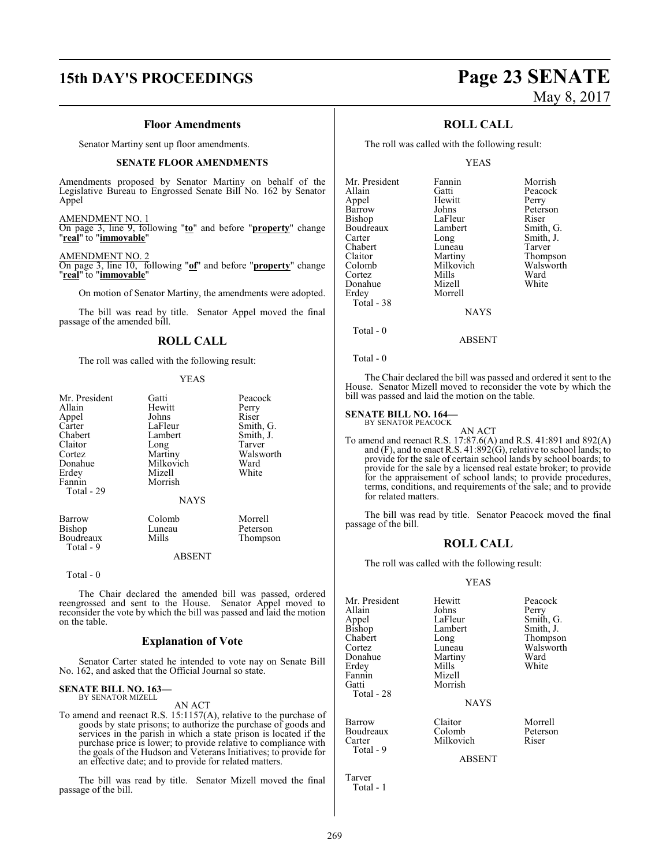## **15th DAY'S PROCEEDINGS Page 23 SENATE**

#### **Floor Amendments**

Senator Martiny sent up floor amendments.

#### **SENATE FLOOR AMENDMENTS**

Amendments proposed by Senator Martiny on behalf of the Legislative Bureau to Engrossed Senate Bill No. 162 by Senator Appel

AMENDMENT NO. 1

On page 3, line 9, following "**to**" and before "**property**" change "**real**" to "**immovable**"

#### AMENDMENT NO. 2

On page 3, line 10, following "**of**" and before "**property**" change "**real**" to "**immovable**"

On motion of Senator Martiny, the amendments were adopted.

The bill was read by title. Senator Appel moved the final passage of the amended bill.

#### **ROLL CALL**

The roll was called with the following result:

#### YEAS

| Mr. President<br>Allain<br>Appel<br>Carter<br>Chabert<br>Claitor<br>Cortez<br>Donahue<br>Erdey<br>Fannin<br>Total - 29 | Gatti<br>Hewitt<br>Johns<br>LaFleur<br>Lambert<br>Long<br>Martiny<br>Milkovich<br>Mizell<br>Morrish | Peacock<br>Perry<br>Riser<br>Smith, G.<br>Smith, J.<br>Tarver<br>Walsworth<br>Ward<br>White |
|------------------------------------------------------------------------------------------------------------------------|-----------------------------------------------------------------------------------------------------|---------------------------------------------------------------------------------------------|
|                                                                                                                        | <b>NAYS</b>                                                                                         |                                                                                             |
| Barrow<br><b>Bishop</b><br>Boudreaux<br>Total - 9                                                                      | Colomb<br>Luneau<br>Mills                                                                           | Morrell<br>Peterson<br>Thompson                                                             |

ABSENT

Total - 0

The Chair declared the amended bill was passed, ordered reengrossed and sent to the House. Senator Appel moved to reconsider the vote by which the bill was passed and laid the motion on the table.

#### **Explanation of Vote**

Senator Carter stated he intended to vote nay on Senate Bill No. 162, and asked that the Official Journal so state.

#### **SENATE BILL NO. 163—** BY SENATOR MIZELL

AN ACT

To amend and reenact R.S. 15:1157(A), relative to the purchase of goods by state prisons; to authorize the purchase of goods and services in the parish in which a state prison is located if the purchase price is lower; to provide relative to compliance with the goals of the Hudson and Veterans Initiatives; to provide for an effective date; and to provide for related matters.

The bill was read by title. Senator Mizell moved the final passage of the bill.

## **ROLL CALL**

The roll was called with the following result:

#### YEAS

| Mr. President | Fannin    | Morrish   |
|---------------|-----------|-----------|
| Allain        | Gatti     | Peacock   |
| Appel         | Hewitt    | Perry     |
| Barrow        | Johns     | Peterson  |
| Bishop        | LaFleur   | Riser     |
| Boudreaux     | Lambert   | Smith, G. |
| Carter        | Long      | Smith, J. |
| Chabert       | Luneau    | Tarver    |
| Claitor       | Martiny   | Thompson  |
| Colomb        | Milkovich | Walsworth |
| Cortez        | Mills     | Ward      |
| Donahue       | Mizell    | White     |
| Erdey         | Morrell   |           |
| Total - 38    |           |           |
|               | NAYS      |           |

Total - 0

Total - 0

The Chair declared the bill was passed and ordered it sent to the House. Senator Mizell moved to reconsider the vote by which the bill was passed and laid the motion on the table.

ABSENT

#### **SENATE BILL NO. 164—**

BY SENATOR PEACOCK AN ACT

To amend and reenact R.S. 17:87.6(A) and R.S. 41:891 and 892(A) and (F), and to enact R.S. 41:892(G), relative to school lands; to provide for the sale of certain school lands by school boards; to provide for the sale by a licensed real estate broker; to provide for the appraisement of school lands; to provide procedures, terms, conditions, and requirements of the sale; and to provide for related matters.

The bill was read by title. Senator Peacock moved the final passage of the bill.

## **ROLL CALL**

The roll was called with the following result:

#### YEAS

| Mr. President<br>Allain<br>Appel<br>Bishop<br>Chabert<br>Cortez<br>Donahue<br>Erdey<br>Fannin<br>Gatti<br>Total - 28 | Hewitt<br>Johns<br>LaFleur<br>Lambert<br>Long<br>Luneau<br>Martiny<br>Mills<br>Mizell<br>Morrish<br><b>NAYS</b> | Peacock<br>Perry<br>Smith, G.<br>Smith, J.<br>Thompson<br>Walsworth<br>Ward<br>White |
|----------------------------------------------------------------------------------------------------------------------|-----------------------------------------------------------------------------------------------------------------|--------------------------------------------------------------------------------------|
| Barrow<br>Boudreaux<br>Carter<br>Total - 9                                                                           | Claitor<br>Colomb<br>Milkovich                                                                                  | Morrell<br>Peterson<br>Riser                                                         |
|                                                                                                                      |                                                                                                                 |                                                                                      |

ABSENT

Tarver Total - 1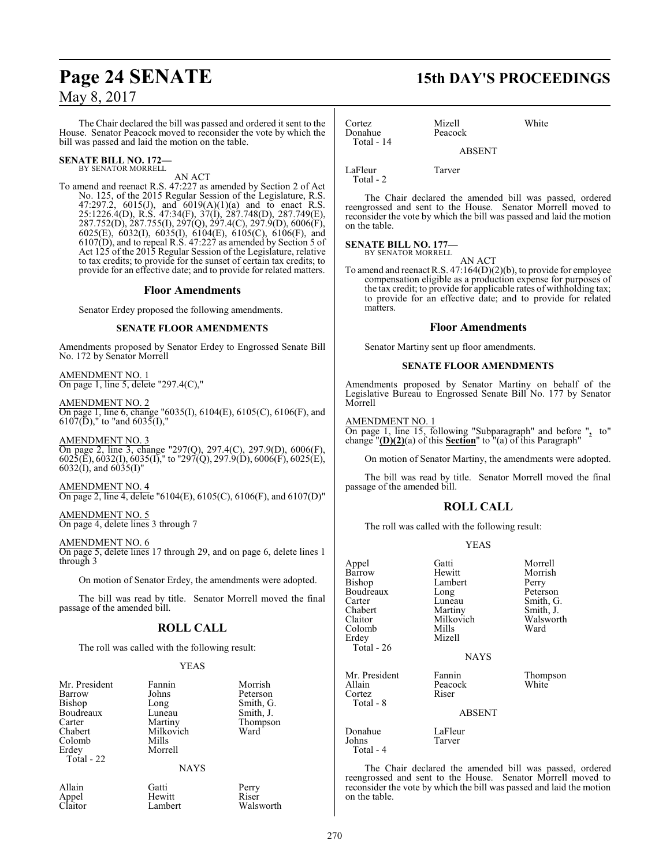The Chair declared the bill was passed and ordered it sent to the House. Senator Peacock moved to reconsider the vote by which the bill was passed and laid the motion on the table.

#### **SENATE BILL NO. 172—** BY SENATOR MORRELL

AN ACT

To amend and reenact R.S. 47:227 as amended by Section 2 of Act No. 125, of the 2015 Regular Session of the Legislature, R.S. 47:297.2, 6015(J), and 6019(A)(1)(a) and to enact R.S. 25:1226.4(D), R.S. 47:34(F), 37(I), 287.748(D), 287.749(E), 287.752(D), 287.755(I), 297(Q), 297.4(C), 297.9(D), 6006(F), 6025(E), 6032(I), 6035(I), 6104(E), 6105(C), 6106(F), and 6107(D), and to repeal R.S. 47:227 as amended by Section 5 of Act 125 of the 2015 Regular Session of the Legislature, relative to tax credits; to provide for the sunset of certain tax credits; to provide for an effective date; and to provide for related matters.

#### **Floor Amendments**

Senator Erdey proposed the following amendments.

#### **SENATE FLOOR AMENDMENTS**

Amendments proposed by Senator Erdey to Engrossed Senate Bill No. 172 by Senator Morrell

AMENDMENT NO. 1 On page 1, line 5, delete "297.4(C),"

AMENDMENT NO. 2 On page 1, line 6, change "6035(I), 6104(E), 6105(C), 6106(F), and  $6107(D)$ ," to "and  $6035(I)$ ,"

AMENDMENT NO. 3 On page 2, line 3, change "297(Q), 297.4(C), 297.9(D), 6006(F), 6025(E), 6032(I), 6035(I)," to "297(Q), 297.9(D), 6006(F), 6025(E),  $6032(I)$ , and  $6035(I)$ "

AMENDMENT NO. 4 On page 2, line 4, delete "6104(E), 6105(C), 6106(F), and 6107(D)"

AMENDMENT NO. 5 On page 4, delete lines 3 through 7

#### AMENDMENT NO. 6

On page 5, delete lines 17 through 29, and on page 6, delete lines 1 through 3

On motion of Senator Erdey, the amendments were adopted.

The bill was read by title. Senator Morrell moved the final passage of the amended bill.

## **ROLL CALL**

The roll was called with the following result:

#### YEAS

| Mr. President<br>Barrow<br>Bishop<br>Boudreaux<br>Carter<br>Chabert<br>Colomb<br>Erdey<br>Total - 22 | Fannin<br>Johns<br>Long<br>Luneau<br>Martiny<br>Milkovich<br>Mills<br>Morrell<br><b>NAYS</b> | Morrish<br>Peterson<br>Smith, G.<br>Smith, J.<br>Thompson<br>Ward |
|------------------------------------------------------------------------------------------------------|----------------------------------------------------------------------------------------------|-------------------------------------------------------------------|
| Allain                                                                                               | Gatti                                                                                        | Perry                                                             |

Appel Hewitt Riser<br>Claitor Lambert Walsy Walsworth

## **Page 24 SENATE 15th DAY'S PROCEEDINGS**

| Cortez<br>Donahue<br>Total - 14 | Mizell<br>Peacock | White |
|---------------------------------|-------------------|-------|
|                                 | <b>ABSENT</b>     |       |
| LaFleur<br>Total - 2            | Tarver            |       |

The Chair declared the amended bill was passed, ordered reengrossed and sent to the House. Senator Morrell moved to reconsider the vote by which the bill was passed and laid the motion on the table.

#### **SENATE BILL NO. 177—** BY SENATOR MORRELL

AN ACT

To amend and reenact R.S. 47:164(D)(2)(b), to provide for employee compensation eligible as a production expense for purposes of the tax credit; to provide for applicable rates of withholding tax; to provide for an effective date; and to provide for related matters.

#### **Floor Amendments**

Senator Martiny sent up floor amendments.

#### **SENATE FLOOR AMENDMENTS**

Amendments proposed by Senator Martiny on behalf of the Legislative Bureau to Engrossed Senate Bill No. 177 by Senator Morrell

#### AMENDMENT NO. 1

On page 1, line 15, following "Subparagraph" and before "**,** to" change "**(D)(2)**(a) of this **Section**" to "(a) of this Paragraph"

On motion of Senator Martiny, the amendments were adopted.

The bill was read by title. Senator Morrell moved the final passage of the amended bill.

#### **ROLL CALL**

The roll was called with the following result:

#### YEAS

| Appel<br>Barrow<br>Bishop<br>Boudreaux<br>Carter<br>Chabert<br>Claitor<br>Colomb<br>Erdey<br>Total - 26 | Gatti<br>Hewitt<br>Lambert<br>Long<br>Luneau<br>Martiny<br>Milkovich<br>Mills<br>Mizell<br><b>NAYS</b> | Morrell<br>Morrish<br>Perry<br>Peterson<br>Smith, G.<br>Smith, J.<br>Walsworth<br>Ward |
|---------------------------------------------------------------------------------------------------------|--------------------------------------------------------------------------------------------------------|----------------------------------------------------------------------------------------|
| Mr. President<br>Allain<br>Cortez<br>Total - 8                                                          | Fannin<br>Peacock<br>Riser<br><b>ABSENT</b>                                                            | Thompson<br>White                                                                      |
| Donahue<br>Johns<br>Total - 4                                                                           | LaFleur<br>Tarver                                                                                      |                                                                                        |

The Chair declared the amended bill was passed, ordered reengrossed and sent to the House. Senator Morrell moved to reconsider the vote by which the bill was passed and laid the motion on the table.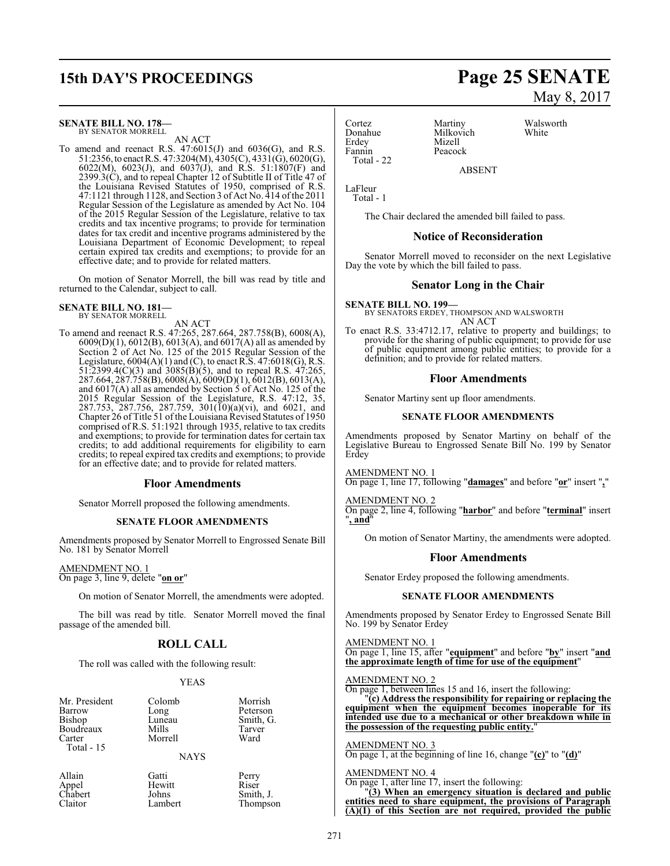# **15th DAY'S PROCEEDINGS Page 25 SENATE**

#### **SENATE BILL NO. 178—** BY SENATOR MORRELL

AN ACT

To amend and reenact R.S.  $47:6015(J)$  and  $6036(G)$ , and R.S. 51:2356,to enactR.S. 47:3204(M), 4305(C), 4331(G), 6020(G), 6022(M), 6023(J), and 6037(J), and R.S. 51:1807(F) and 2399.3(C), and to repeal Chapter 12 of Subtitle II of Title 47 of the Louisiana Revised Statutes of 1950, comprised of R.S. 47:1121 through 1128, and Section 3 of Act No. 414 ofthe 2011 Regular Session of the Legislature as amended by Act No. 104 of the 2015 Regular Session of the Legislature, relative to tax credits and tax incentive programs; to provide for termination dates for tax credit and incentive programs administered by the Louisiana Department of Economic Development; to repeal certain expired tax credits and exemptions; to provide for an effective date; and to provide for related matters.

On motion of Senator Morrell, the bill was read by title and returned to the Calendar, subject to call.

## **SENATE BILL NO. 181—** BY SENATOR MORRELL

AN ACT

To amend and reenact R.S. 47:265, 287.664, 287.758(B), 6008(A), 6009(D)(1), 6012(B), 6013(A), and 6017(A) all as amended by Section 2 of Act No. 125 of the 2015 Regular Session of the Legislature,  $6004(A)(1)$  and  $(C)$ , to enact R.S.  $47:6018(G)$ , R.S. 51:2399.4(C)(3) and 3085(B)(5), and to repeal R.S. 47:265, 287.664, 287.758(B), 6008(A), 6009(D)(1), 6012(B), 6013(A), and  $6017(A)$  all as amended by Section 5 of Act No. 125 of the 2015 Regular Session of the Legislature, R.S. 47:12, 35, 287.753, 287.756, 287.759, 301(10)(a)(vi), and 6021, and Chapter 26 of Title 51 ofthe Louisiana Revised Statutes of 1950 comprised of R.S. 51:1921 through 1935, relative to tax credits and exemptions; to provide for termination dates for certain tax credits; to add additional requirements for eligibility to earn credits; to repeal expired tax credits and exemptions; to provide for an effective date; and to provide for related matters.

#### **Floor Amendments**

Senator Morrell proposed the following amendments.

#### **SENATE FLOOR AMENDMENTS**

Amendments proposed by Senator Morrell to Engrossed Senate Bill No. 181 by Senator Morrell

#### AMENDMENT NO. 1 On page 3, line 9, delete "**on or**"

On motion of Senator Morrell, the amendments were adopted.

The bill was read by title. Senator Morrell moved the final passage of the amended bill.

#### **ROLL CALL**

The roll was called with the following result:

#### YEAS

| Mr. President<br>Barrow<br>Bishop<br>Boudreaux<br>Carter<br>Total - $15$ | Colomb<br>Long<br>Luneau<br>Mills<br>Morrell | Morrish<br>Peterson<br>Smith, G.<br>Tarver<br>Ward |
|--------------------------------------------------------------------------|----------------------------------------------|----------------------------------------------------|
|                                                                          | <b>NAYS</b>                                  |                                                    |

Appel Hewitt<br>Chabert Johns Chabert<br>Claitor

Allain Gatti Perry

| Gatti   | Perry     |
|---------|-----------|
| Hewitt  | Riser     |
| Johns   | Smith, J. |
| Lambert | Thompson  |

Donahue Milkovich<br>Erdev Mizell Fannin Peacock Total - 22

Cortez Martiny Walsworth<br>
Donahue Milkovich White Mizell

ABSENT

LaFleur Total - 1

The Chair declared the amended bill failed to pass.

#### **Notice of Reconsideration**

Senator Morrell moved to reconsider on the next Legislative Day the vote by which the bill failed to pass.

#### **Senator Long in the Chair**

**SENATE BILL NO. 199—** BY SENATORS ERDEY, THOMPSON AND WALSWORTH AN ACT

To enact R.S. 33:4712.17, relative to property and buildings; to provide for the sharing of public equipment; to provide for use of public equipment among public entities; to provide for a definition; and to provide for related matters.

#### **Floor Amendments**

Senator Martiny sent up floor amendments.

#### **SENATE FLOOR AMENDMENTS**

Amendments proposed by Senator Martiny on behalf of the Legislative Bureau to Engrossed Senate Bill No. 199 by Senator Erdey

AMENDMENT NO. 1

On page 1, line 17, following "**damages**" and before "**or**" insert "**,**"

AMENDMENT NO. 2 On page 2, line 4, following "**harbor**" and before "**terminal**" insert "**, and**"

On motion of Senator Martiny, the amendments were adopted.

#### **Floor Amendments**

Senator Erdey proposed the following amendments.

#### **SENATE FLOOR AMENDMENTS**

Amendments proposed by Senator Erdey to Engrossed Senate Bill No. 199 by Senator Erdey

#### AMENDMENT NO. 1

On page 1, line 15, after "**equipment**" and before "**by**" insert "**and the approximate length of time for use of the equipment**"

#### AMENDMENT NO. 2

On page 1, between lines 15 and 16, insert the following: "**(c) Address the responsibility for repairing or replacing the equipment when the equipment becomes inoperable for its intended use due to a mechanical or other breakdown while in the possession of the requesting public entity.**"

AMENDMENT NO. 3 On page 1, at the beginning of line 16, change "**(c)**" to "**(d)**"

#### AMENDMENT NO. 4

On page 1, after line 17, insert the following:

"**(3) When an emergency situation is declared and public entities need to share equipment, the provisions of Paragraph (A)(1) of this Section are not required, provided the public**

May 8, 2017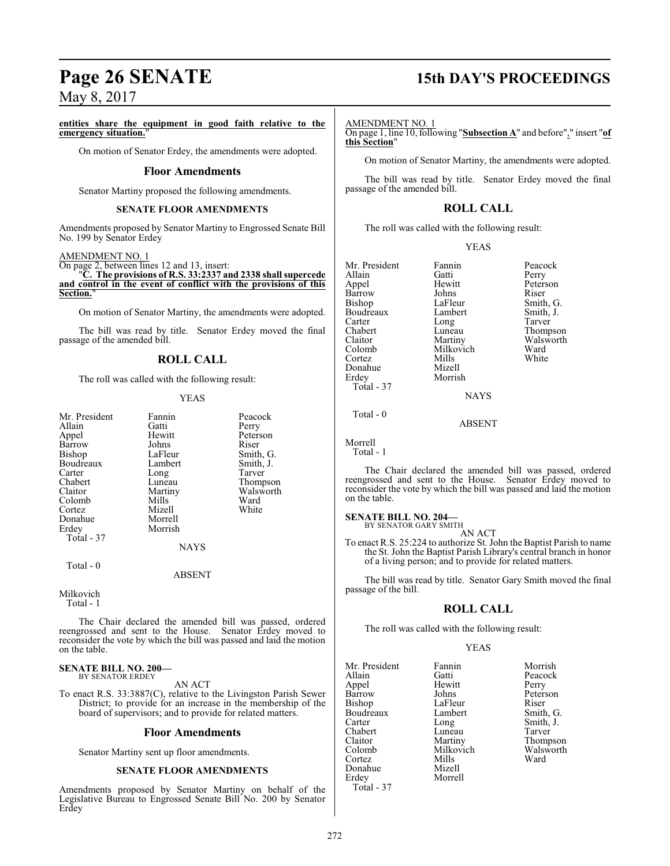#### **entities share the equipment in good faith relative to the emergency situation.**

On motion of Senator Erdey, the amendments were adopted.

#### **Floor Amendments**

Senator Martiny proposed the following amendments.

#### **SENATE FLOOR AMENDMENTS**

Amendments proposed by Senator Martiny to Engrossed Senate Bill No. 199 by Senator Erdey

#### AMENDMENT NO. 1

On page 2, between lines 12 and 13, insert: "**C. The provisions of R.S. 33:2337 and 2338 shall supercede and control in the event of conflict with the provisions of this**

**Section.**"

On motion of Senator Martiny, the amendments were adopted.

The bill was read by title. Senator Erdey moved the final passage of the amended bill.

## **ROLL CALL**

The roll was called with the following result:

#### YEAS

| Fannin  | Peaco  |
|---------|--------|
| Gatti   | Perry  |
| Hewitt  | Peters |
| Johns   | Riser  |
| LaFleur | Smith  |
| Lambert | Smith  |
|         | Tarve  |
| Luneau  | Thom   |
| Martiny | Walsy  |
| Mills   | Ward   |
| Mizell  | White  |
| Morrell |        |
| Morrish |        |
|         |        |
|         | Long   |

Fannin Peacock<br>Gatti Perry Gatti Perry<br>
Hewitt Peters Peterson<br>Riser Smith, G.<br>Smith, J. Lambert Smith,<br>
Long Tarver Luneau Thompson<br>Martiny Walsworth Martiny Walsworth<br>
Mills Ward Mizell White

Total - 0

**NAYS** 

ABSENT

```
Milkovich
   Total - 1
```
The Chair declared the amended bill was passed, ordered reengrossed and sent to the House. Senator Erdey moved to reconsider the vote by which the bill was passed and laid the motion on the table.

#### **SENATE BILL NO. 200—** BY SENATOR ERDEY

AN ACT

To enact R.S. 33:3887(C), relative to the Livingston Parish Sewer District; to provide for an increase in the membership of the board of supervisors; and to provide for related matters.

#### **Floor Amendments**

Senator Martiny sent up floor amendments.

#### **SENATE FLOOR AMENDMENTS**

Amendments proposed by Senator Martiny on behalf of the Legislative Bureau to Engrossed Senate Bill No. 200 by Senator Erdey

## **Page 26 SENATE 15th DAY'S PROCEEDINGS**

#### AMENDMENT NO. 1

On page 1, line 10, following "**Subsection A**" and before"," insert "**of this Section**"

On motion of Senator Martiny, the amendments were adopted.

The bill was read by title. Senator Erdey moved the final passage of the amended bill.

#### **ROLL CALL**

The roll was called with the following result:

| v | I |
|---|---|
|---|---|

| Mr. President | Fannin    | Peacock   |
|---------------|-----------|-----------|
| Allain        | Gatti     | Perry     |
| Appel         | Hewitt    | Peterson  |
| Barrow        | Johns     | Riser     |
| Bishop        | LaFleur   | Smith, G. |
| Boudreaux     | Lambert   | Smith, J. |
| Carter        | Long      | Tarver    |
| Chabert       | Luneau    | Thompson  |
| Claitor       | Martiny   | Walsworth |
| Colomb        | Milkovich | Ward      |
| Cortez        | Mills     | White     |
| Donahue       | Mizell    |           |
| Erdey         | Morrish   |           |
| Total - 37    |           |           |
|               | NAYS      |           |

Tarver Walsworth<br>Ward

ABSENT

Morrell

Total - 1

Total - 0

The Chair declared the amended bill was passed, ordered reengrossed and sent to the House. Senator Erdey moved to reconsider the vote by which the bill was passed and laid the motion on the table.

#### **SENATE BILL NO. 204—**

BY SENATOR GARY SMITH AN ACT

To enact R.S. 25:224 to authorize St. John the Baptist Parish to name the St. John the Baptist Parish Library's central branch in honor of a living person; and to provide for related matters.

The bill was read by title. Senator Gary Smith moved the final passage of the bill.

#### **ROLL CALL**

The roll was called with the following result:

#### YEAS

Mr. President Fannin Morrish<br>Allain Gatti Peacock Appel Hewit<br>Barrow Johns Barrow Johns Peterson<br>Bishop LaFleur Riser Boudreaux Lamb<br>Carter Long Carter Long Smith, J.<br>
Chabert Luneau Tarver Chabert Luneau<br>Claitor Martiny Claitor Martiny Thompson Colomb Milkovich Walsworth Mills<br>Mizell Donahue Erdey Morrell Total - 37

Gatti Peacock<br>
Hewitt Perry LaFleur Riser<br>Lambert Smith, G.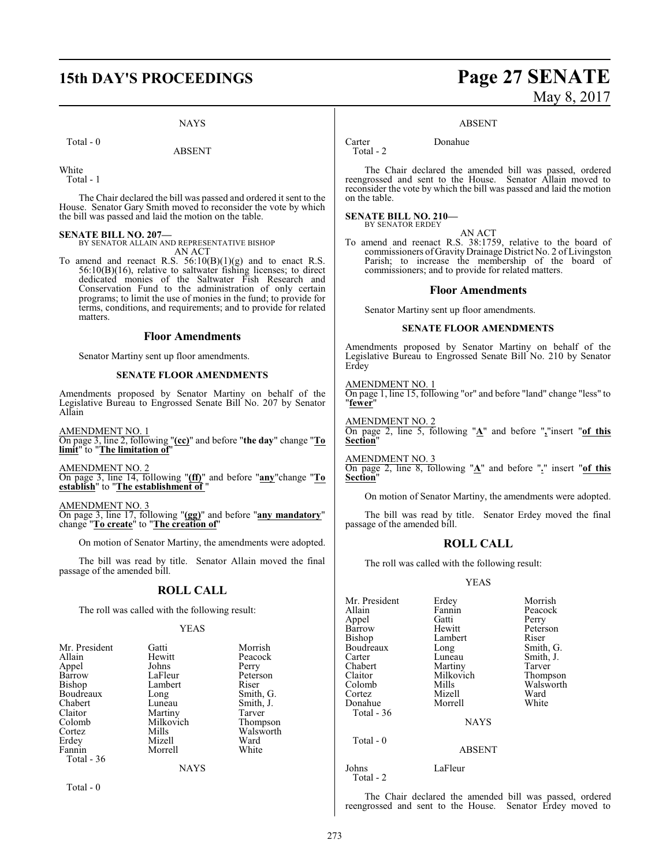## **15th DAY'S PROCEEDINGS Page 27 SENATE**

#### NAYS

Total - 0

ABSENT

White

Total - 1

The Chair declared the bill was passed and ordered it sent to the House. Senator Gary Smith moved to reconsider the vote by which the bill was passed and laid the motion on the table.

**SENATE BILL NO. 207—** BY SENATOR ALLAIN AND REPRESENTATIVE BISHOP AN ACT

To amend and reenact R.S.  $56:10(B)(1)(g)$  and to enact R.S. 56:10(B)(16), relative to saltwater fishing licenses; to direct dedicated monies of the Saltwater Fish Research and Conservation Fund to the administration of only certain programs; to limit the use of monies in the fund; to provide for terms, conditions, and requirements; and to provide for related matters.

#### **Floor Amendments**

Senator Martiny sent up floor amendments.

#### **SENATE FLOOR AMENDMENTS**

Amendments proposed by Senator Martiny on behalf of the Legislative Bureau to Engrossed Senate Bill No. 207 by Senator Allain

AMENDMENT NO. 1 On page 3, line 2, following "**(cc)**" and before "**the day**" change "**To limit**" to "**The limitation of**"

AMENDMENT NO. 2 On page 3, line 14, following "**(ff)**" and before "**any**"change "**To establish**" to "**The establishment of** "

AMENDMENT NO. 3

On page 3, line 17, following "**(gg)**" and before "**any mandatory**" change "**To create**" to "**The creation of**"

On motion of Senator Martiny, the amendments were adopted.

The bill was read by title. Senator Allain moved the final passage of the amended bill.

#### **ROLL CALL**

The roll was called with the following result:

#### YEAS

| Mr. President | Gatti       | Morrish   |
|---------------|-------------|-----------|
| Allain        | Hewitt      | Peacock   |
| Appel         | Johns       | Perry     |
| Barrow        | LaFleur     | Peterson  |
| Bishop        | Lambert     | Riser     |
| Boudreaux     | Long        | Smith, G. |
| Chabert       | Luneau      | Smith, J. |
| Claitor       | Martiny     | Tarver    |
| Colomb        | Milkovich   | Thompson  |
| Cortez        | Mills       | Walsworth |
| Erdey         | Mizell      | Ward      |
| Fannin        | Morrell     | White     |
| Total - 36    |             |           |
|               | <b>NAYS</b> |           |

Total - 0

# May 8, 2017

#### ABSENT

Carter Donahue

Total - 2

The Chair declared the amended bill was passed, ordered reengrossed and sent to the House. Senator Allain moved to reconsider the vote by which the bill was passed and laid the motion on the table.

#### **SENATE BILL NO. 210—** BY SENATOR ERDEY

AN ACT

To amend and reenact R.S. 38:1759, relative to the board of commissioners of Gravity Drainage District No. 2 of Livingston Parish; to increase the membership of the board of commissioners; and to provide for related matters.

#### **Floor Amendments**

Senator Martiny sent up floor amendments.

#### **SENATE FLOOR AMENDMENTS**

Amendments proposed by Senator Martiny on behalf of the Legislative Bureau to Engrossed Senate Bill No. 210 by Senator Erdey

AMENDMENT NO. 1 On page 1, line 15, following "or" and before "land" change "less" to "**fewer**"

AMENDMENT NO. 2 On page 2, line 5, following "**A**" and before "**,**"insert "**of this Section**"

AMENDMENT NO. 3 On page 2, line 8, following "**A**" and before "**.**" insert "**of this Section**"

On motion of Senator Martiny, the amendments were adopted.

The bill was read by title. Senator Erdey moved the final passage of the amended bill.

#### **ROLL CALL**

The roll was called with the following result:

#### YEAS

| Mr. President | Erdey       | Morrish   |
|---------------|-------------|-----------|
| Allain        | Fannin      | Peacock   |
| Appel         | Gatti       | Perry     |
| Barrow        | Hewitt      | Peterson  |
| <b>Bishop</b> | Lambert     | Riser     |
| Boudreaux     | Long        | Smith, G. |
| Carter        | Luneau      | Smith, J. |
| Chabert       | Martiny     | Tarver    |
| Claitor       | Milkovich   | Thompson  |
| Colomb        | Mills       | Walsworth |
| Cortez        | Mizell      | Ward      |
| Donahue       | Morrell     | White     |
| Total $-36$   |             |           |
|               | <b>NAYS</b> |           |
| Total $-0$    |             |           |
|               | ABSENT      |           |

Johns LaFleur Total - 2

The Chair declared the amended bill was passed, ordered reengrossed and sent to the House. Senator Erdey moved to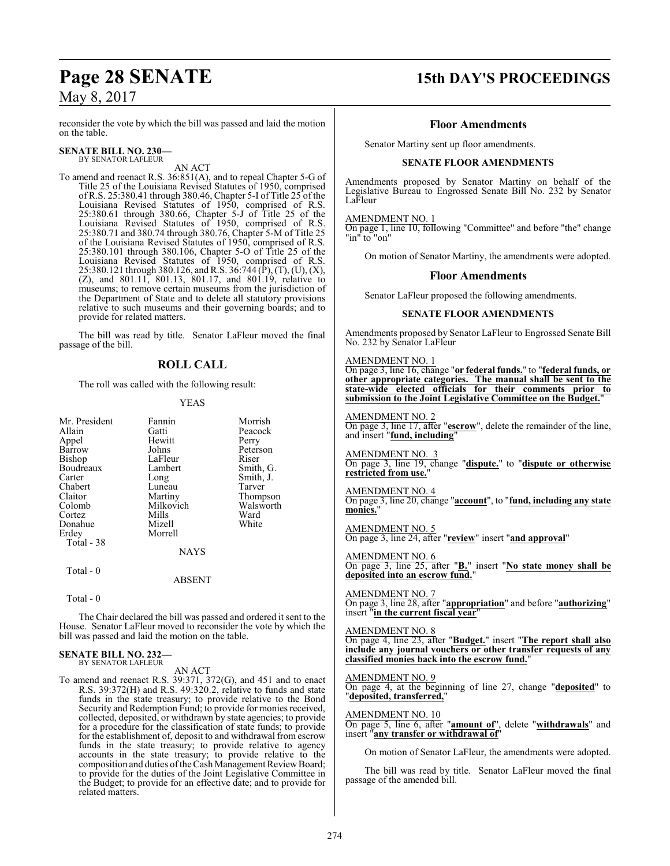reconsider the vote by which the bill was passed and laid the motion on the table.

#### **SENATE BILL NO. 230—** BY SENATOR LAFLEUR

AN ACT

To amend and reenact R.S. 36:851(A), and to repeal Chapter 5-G of Title 25 of the Louisiana Revised Statutes of 1950, comprised of R.S. 25:380.41 through 380.46, Chapter 5-I of Title 25 of the Louisiana Revised Statutes of 1950, comprised of R.S. 25:380.61 through 380.66, Chapter 5-J of Title 25 of the Louisiana Revised Statutes of 1950, comprised of R.S. 25:380.71 and 380.74 through 380.76, Chapter 5-M of Title 25 of the Louisiana Revised Statutes of 1950, comprised of R.S. 25:380.101 through 380.106, Chapter 5-O of Title 25 of the Louisiana Revised Statutes of 1950, comprised of R.S. 25:380.121 through 380.126, and R.S. 36:744 (P̄), (T), (U), (X), (Z), and 801.11, 801.13, 801.17, and 801.19, relative to museums; to remove certain museums from the jurisdiction of the Department of State and to delete all statutory provisions relative to such museums and their governing boards; and to provide for related matters.

The bill was read by title. Senator LaFleur moved the final passage of the bill.

## **ROLL CALL**

The roll was called with the following result:

#### YEAS

| Mr. President                    | Fannin                                  | Morrish   |
|----------------------------------|-----------------------------------------|-----------|
| Allain                           | Gatti                                   | Peacock   |
| Appel                            | Hewitt                                  | Perry     |
| Barrow                           | Johns                                   | Peterson  |
| Bishop                           | LaFleur                                 | Riser     |
| Boudreaux                        | Lambert                                 | Smith, G. |
| Carter                           | Long                                    | Smith, J. |
| Chabert                          | Luneau                                  | Tarver    |
| Claitor                          | Martiny                                 | Thompson  |
| Colomb                           | Milkovich                               | Walsworth |
| Cortez                           | Mills                                   | Ward      |
| Donahue                          | Mizell                                  | White     |
| Erdey<br>Total - 38<br>Total - 0 | Morrell<br><b>NAYS</b><br><b>ABSENT</b> |           |

Total - 0

The Chair declared the bill was passed and ordered it sent to the House. Senator LaFleur moved to reconsider the vote by which the bill was passed and laid the motion on the table.

#### **SENATE BILL NO. 232—** BY SENATOR LAFLEUR

AN ACT

To amend and reenact R.S. 39:371, 372(G), and 451 and to enact R.S. 39:372(H) and R.S. 49:320.2, relative to funds and state funds in the state treasury; to provide relative to the Bond Security and Redemption Fund; to provide for monies received, collected, deposited, or withdrawn by state agencies; to provide for a procedure for the classification of state funds; to provide for the establishment of, deposit to and withdrawal from escrow funds in the state treasury; to provide relative to agency accounts in the state treasury; to provide relative to the composition and duties of the Cash Management Review Board; to provide for the duties of the Joint Legislative Committee in the Budget; to provide for an effective date; and to provide for related matters.

## **Page 28 SENATE 15th DAY'S PROCEEDINGS**

#### **Floor Amendments**

Senator Martiny sent up floor amendments.

#### **SENATE FLOOR AMENDMENTS**

Amendments proposed by Senator Martiny on behalf of the Legislative Bureau to Engrossed Senate Bill No. 232 by Senator LaFleur

#### AMENDMENT NO. 1

On page 1, line 10, following "Committee" and before "the" change "in" to "on"

On motion of Senator Martiny, the amendments were adopted.

#### **Floor Amendments**

Senator LaFleur proposed the following amendments.

#### **SENATE FLOOR AMENDMENTS**

Amendments proposed by Senator LaFleur to Engrossed Senate Bill No. 232 by Senator LaFleur

#### AMENDMENT NO. 1

On page 3, line 16, change "**or federal funds.**" to "**federal funds, or other appropriate categories. The manual shall be sent to the state-wide elected officials for their comments prior to submission to the Joint Legislative Committee on the Budget.**"

#### AMENDMENT NO. 2 On page 3, line 17, after "**escrow**", delete the remainder of the line, and insert "**fund, including**"

AMENDMENT NO. 3 On page 3, line 19, change "**dispute.**" to "**dispute or otherwise restricted from use.**"

AMENDMENT NO. 4 On page 3, line 20, change "**account**", to "**fund, including any state monies.**"

AMENDMENT NO. 5 On page 3, line 24, after "**review**" insert "**and approval**"

AMENDMENT NO. 6 On page 3, line 25, after "**B.**" insert "**No state money shall be deposited into an escrow fund.**"

AMENDMENT NO. 7 On page 3, line 28, after "**appropriation**" and before "**authorizing**" insert "**in the current fiscal year**"

#### AMENDMENT NO. 8

On page 4, line 23, after "**Budget.**" insert "**The report shall also include any journal vouchers or other transfer requests of any classified monies back into the escrow fund.**"

#### AMENDMENT NO. 9

On page 4, at the beginning of line 27, change "**deposited**" to "**deposited, transferred,**"

#### AMENDMENT NO. 10

On page 5, line 6, after "**amount of**", delete "**withdrawals**" and insert "**any transfer or withdrawal of**"

On motion of Senator LaFleur, the amendments were adopted.

The bill was read by title. Senator LaFleur moved the final passage of the amended bill.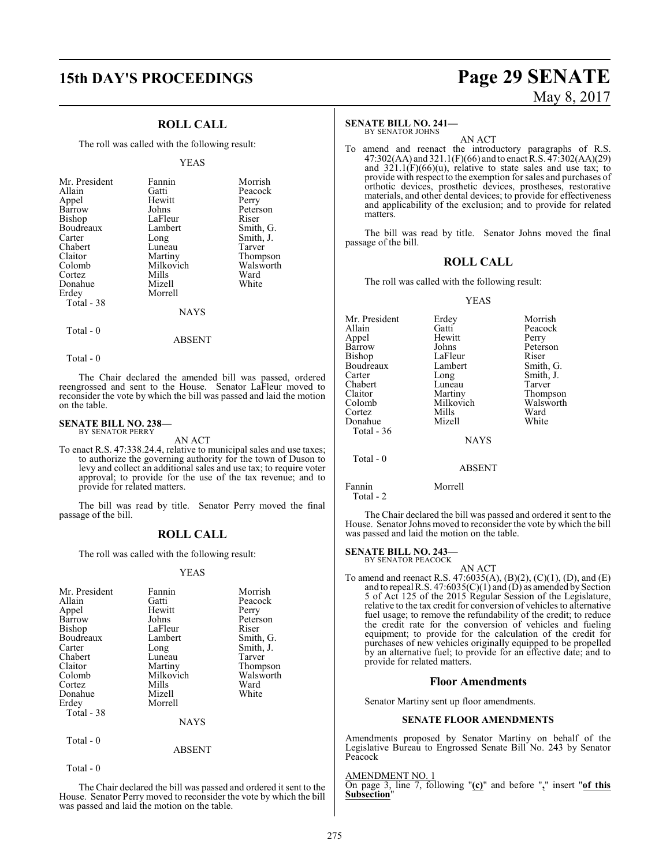## **15th DAY'S PROCEEDINGS Page 29 SENATE**

### **ROLL CALL**

The roll was called with the following result:

#### YEAS

| Mr. President | Fannin    | Morrish   |
|---------------|-----------|-----------|
| Allain        | Gatti     | Peacock   |
| Appel         | Hewitt    | Perry     |
| Barrow        | Johns     | Peterson  |
| Bishop        | LaFleur   | Riser     |
| Boudreaux     | Lambert   | Smith, G. |
| Carter        | Long      | Smith, J. |
| Chabert       | Luneau    | Tarver    |
| Claitor       | Martiny   | Thompson  |
| Colomb        | Milkovich | Walsworth |
| Cortez        | Mills     | Ward      |
| Donahue       | Mizell    | White     |
| Erdey         | Morrell   |           |
| Total - 38    |           |           |
|               | NAYS      |           |

 $Total - 0$ 

ABSENT

Total - 0

The Chair declared the amended bill was passed, ordered reengrossed and sent to the House. Senator LaFleur moved to reconsider the vote by which the bill was passed and laid the motion on the table.

#### **SENATE BILL NO. 238—** BY SENATOR PERRY

AN ACT

To enact R.S. 47:338.24.4, relative to municipal sales and use taxes; to authorize the governing authority for the town of Duson to levy and collect an additional sales and use tax; to require voter approval; to provide for the use of the tax revenue; and to provide for related matters.

The bill was read by title. Senator Perry moved the final passage of the bill.

#### **ROLL CALL**

The roll was called with the following result:

#### YEAS

| Mr. President<br>Allain<br>Appel<br>Barrow<br>Bishop<br>Boudreaux<br>Carter<br>Chabert<br>Claitor<br>Colomb<br>Cortez<br>Donahue<br>Erdey<br>Total - 38 | Fannin<br>Gatti<br>Hewitt<br>Johns<br>LaFleur<br>Lambert<br>Long<br>Luneau<br>Martiny<br>Milkovich<br>Mills<br>Mizell<br>Morrell<br><b>NAYS</b> | Morrish<br>Peacock<br>Perry<br>Peterson<br>Riser<br>Smith, G.<br>Smith, J.<br>Tarver<br>Thompson<br>Walsworth<br>Ward<br>White |
|---------------------------------------------------------------------------------------------------------------------------------------------------------|-------------------------------------------------------------------------------------------------------------------------------------------------|--------------------------------------------------------------------------------------------------------------------------------|
| Total - 0                                                                                                                                               |                                                                                                                                                 |                                                                                                                                |

Total - 0

The Chair declared the bill was passed and ordered it sent to the House. Senator Perry moved to reconsider the vote by which the bill was passed and laid the motion on the table.

ABSENT

# May 8, 2017

#### **SENATE BILL NO. 241—**

BY SENATOR JOHNS

AN ACT To amend and reenact the introductory paragraphs of R.S. 47:302(AA) and 321.1(F)(66) and to enact R.S. 47:302(AA)(29) and  $321.1(F)(66)(u)$ , relative to state sales and use tax; to provide with respect to the exemption forsales and purchases of orthotic devices, prosthetic devices, prostheses, restorative materials, and other dental devices; to provide for effectiveness and applicability of the exclusion; and to provide for related matters.

The bill was read by title. Senator Johns moved the final passage of the bill.

#### **ROLL CALL**

The roll was called with the following result:

#### YEAS

| Mr. President     | Erdey         | Morrish   |
|-------------------|---------------|-----------|
| Allain            | Gatti         | Peacock   |
| Appel             | Hewitt        | Perry     |
| <b>Barrow</b>     | Johns         | Peterson  |
| Bishop            | LaFleur       | Riser     |
| Boudreaux         | Lambert       | Smith, G. |
| Carter            | Long          | Smith, J. |
| Chabert           | Luneau        | Tarver    |
| Claitor           | Martiny       | Thompson  |
| Colomb            | Milkovich     | Walsworth |
| Cortez            | Mills         | Ward      |
| Donahue           | Mizell        | White     |
| <b>Total - 36</b> |               |           |
|                   | <b>NAYS</b>   |           |
| Total $-0$        |               |           |
|                   | <b>ABSENT</b> |           |
|                   |               |           |

Fannin Morrell Total - 2

The Chair declared the bill was passed and ordered it sent to the House. Senator Johns moved to reconsider the vote by which the bill was passed and laid the motion on the table.

#### **SENATE BILL NO. 243—** BY SENATOR PEACOCK

AN ACT To amend and reenact R.S. 47:6035(A), (B)(2), (C)(1), (D), and (E) and to repeal R.S.  $47:6035(C)(1)$  and  $(D)$  as amended by Section 5 of Act 125 of the 2015 Regular Session of the Legislature, relative to the tax credit for conversion of vehicles to alternative fuel usage; to remove the refundability of the credit; to reduce the credit rate for the conversion of vehicles and fueling equipment; to provide for the calculation of the credit for purchases of new vehicles originally equipped to be propelled by an alternative fuel; to provide for an effective date; and to provide for related matters.

#### **Floor Amendments**

Senator Martiny sent up floor amendments.

#### **SENATE FLOOR AMENDMENTS**

Amendments proposed by Senator Martiny on behalf of the Legislative Bureau to Engrossed Senate Bill No. 243 by Senator Peacock

AMENDMENT NO. 1

On page 3, line 7, following "**(c)**" and before "**,**" insert "**of this Subsection**"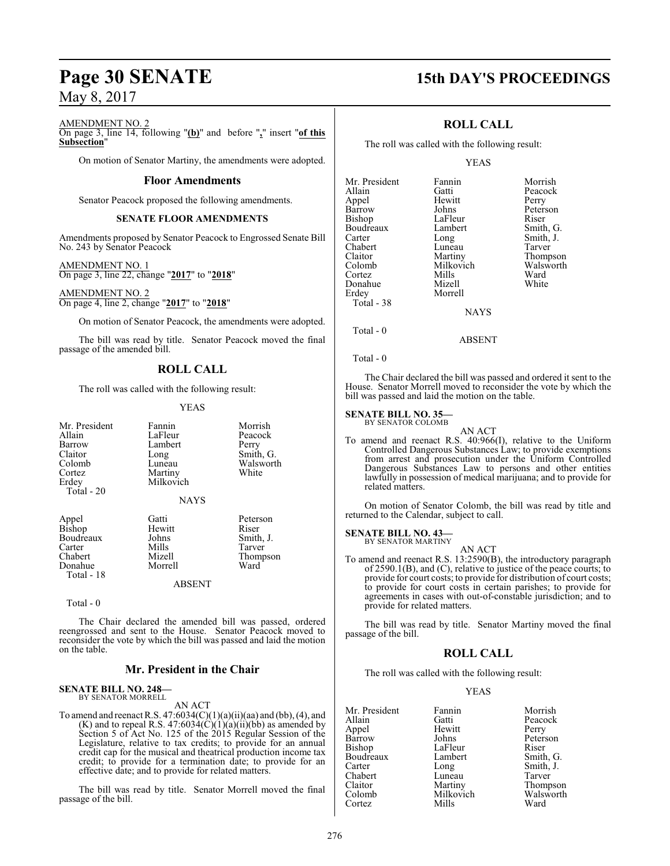## **Page 30 SENATE 15th DAY'S PROCEEDINGS**

#### AMENDMENT NO. 2

On page 3, line 14, following "**(b)**" and before "**,**" insert "**of this Subsection**"

On motion of Senator Martiny, the amendments were adopted.

#### **Floor Amendments**

Senator Peacock proposed the following amendments.

#### **SENATE FLOOR AMENDMENTS**

Amendments proposed by Senator Peacock to Engrossed Senate Bill No. 243 by Senator Peacock

AMENDMENT NO. 1 On page 3, line 22, change "**2017**" to "**2018**"

AMENDMENT NO. 2 On page 4, line 2, change "**2017**" to "**2018**"

On motion of Senator Peacock, the amendments were adopted.

The bill was read by title. Senator Peacock moved the final passage of the amended bill.

#### **ROLL CALL**

The roll was called with the following result:

#### YEAS

| Mr. President<br>Allain<br>Barrow<br>Claitor<br>Colomb<br>Cortez<br>Erdey<br>Total - 20 | Fannin<br>LaFleur<br>Lambert<br>Long<br>Luneau<br>Martiny<br>Milkovich<br><b>NAYS</b> | Morrish<br>Peacock<br>Perry<br>Smith, G.<br>Walsworth<br>White |
|-----------------------------------------------------------------------------------------|---------------------------------------------------------------------------------------|----------------------------------------------------------------|
| Appel<br>Bishop<br>Boudreaux<br>Carter<br>Chabert<br>Donahue<br>Total - 18              | Gatti<br>Hewitt<br>Johns<br>Mills<br>Mizell<br>Morrell<br>ABSENT                      | Peterson<br>Riser<br>Smith, J.<br>Tarver<br>Thompson<br>Ward   |

Total - 0

The Chair declared the amended bill was passed, ordered reengrossed and sent to the House. Senator Peacock moved to reconsider the vote by which the bill was passed and laid the motion on the table.

#### **Mr. President in the Chair**

#### **SENATE BILL NO. 248—** BY SENATOR MORRELL

AN ACT

To amend and reenact R.S.  $47:6034(C)(1)(a)(ii)(aa)$  and (bb), (4), and  $(K)$  and to repeal R.S. 47:6034 $(C)(1)(a)(ii)(bb)$  as amended by Section 5 of Act No. 125 of the 2015 Regular Session of the Legislature, relative to tax credits; to provide for an annual credit cap for the musical and theatrical production income tax credit; to provide for a termination date; to provide for an effective date; and to provide for related matters.

The bill was read by title. Senator Morrell moved the final passage of the bill.

### **ROLL CALL**

The roll was called with the following result:

#### YEAS

| Fannin      | Morrish   |
|-------------|-----------|
| Gatti       | Peacock   |
| Hewitt      | Perry     |
| Johns       | Peterson  |
| LaFleur     | Riser     |
| Lambert     | Smith, G. |
| Long        | Smith, J. |
| Luneau      | Tarver    |
| Martiny     | Thompson  |
| Milkovich   | Walsworth |
| Mills       | Ward      |
| Mizell      | White     |
| Morrell     |           |
|             |           |
| <b>NAYS</b> |           |
|             |           |

Total - 0

Total - 0

The Chair declared the bill was passed and ordered it sent to the House. Senator Morrell moved to reconsider the vote by which the bill was passed and laid the motion on the table.

ABSENT

#### **SENATE BILL NO. 35—**

BY SENATOR COLOMB

AN ACT To amend and reenact R.S. 40:966(I), relative to the Uniform Controlled Dangerous Substances Law; to provide exemptions from arrest and prosecution under the Uniform Controlled Dangerous Substances Law to persons and other entities lawfully in possession of medical marijuana; and to provide for related matters.

On motion of Senator Colomb, the bill was read by title and returned to the Calendar, subject to call.

#### **SENATE BILL NO. 43—** BY SENATOR MARTINY

AN ACT

To amend and reenact R.S. 13:2590(B), the introductory paragraph of 2590.1(B), and (C), relative to justice of the peace courts; to provide for court costs; to provide for distribution of court costs; to provide for court costs in certain parishes; to provide for agreements in cases with out-of-constable jurisdiction; and to provide for related matters.

The bill was read by title. Senator Martiny moved the final passage of the bill.

## **ROLL CALL**

The roll was called with the following result:

#### YEAS

| Mr. President | Fannin    | Morrish   |
|---------------|-----------|-----------|
| Allain        | Gatti     | Peacock   |
| Appel         | Hewitt    | Perry     |
| Barrow        | Johns     | Peterson  |
| Bishop        | LaFleur   | Riser     |
| Boudreaux     | Lambert   | Smith, G. |
| Carter        | Long      | Smith, J. |
| Chabert       | Luneau    | Tarver    |
| Claitor       | Martiny   | Thompson  |
| Colomb        | Milkovich | Walsworth |
| Cortez        | Mills     | Ward      |
|               |           |           |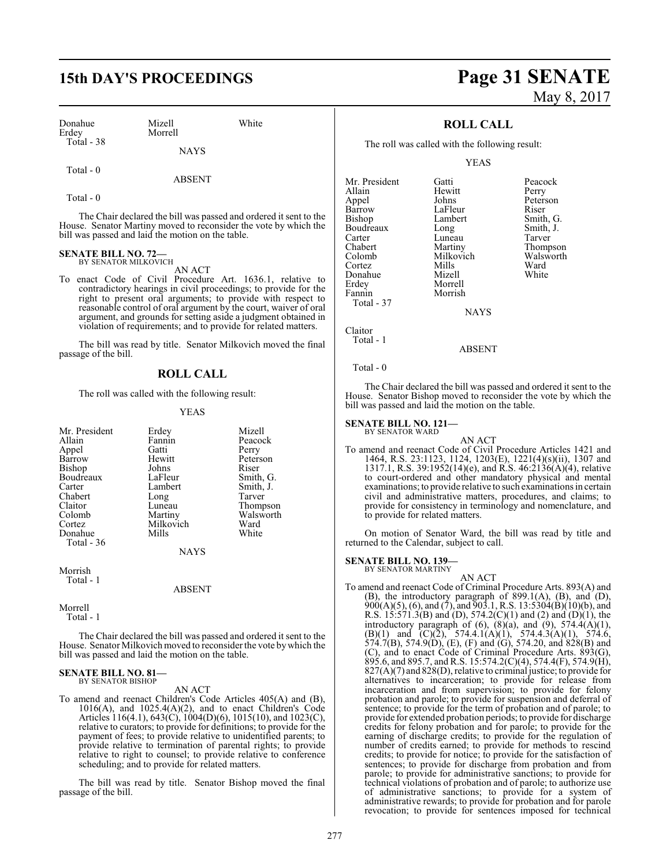## **15th DAY'S PROCEEDINGS Page 31 SENATE**

| Donahue      | Mizell  | White |
|--------------|---------|-------|
| Erdey        | Morrell |       |
| $Total - 38$ |         |       |

**NAYS** 

Total - 0

ABSENT

Total - 0

The Chair declared the bill was passed and ordered it sent to the House. Senator Martiny moved to reconsider the vote by which the bill was passed and laid the motion on the table.

#### **SENATE BILL NO. 72—** BY SENATOR MILKOVICH

AN ACT

To enact Code of Civil Procedure Art. 1636.1, relative to contradictory hearings in civil proceedings; to provide for the right to present oral arguments; to provide with respect to reasonable control of oral argument by the court, waiver of oral argument, and grounds for setting aside a judgment obtained in violation of requirements; and to provide for related matters.

The bill was read by title. Senator Milkovich moved the final passage of the bill.

#### **ROLL CALL**

The roll was called with the following result:

#### YEAS

| Mr. President | Erdey       | Mizell    |
|---------------|-------------|-----------|
| Allain        | Fannin      | Peacock   |
| Appel         | Gatti       | Perry     |
| Barrow        | Hewitt      | Peterson  |
| Bishop        | Johns       | Riser     |
| Boudreaux     | LaFleur     | Smith, G. |
| Carter        | Lambert     | Smith, J. |
| Chabert       | Long        | Tarver    |
| Claitor       | Luneau      | Thompson  |
| Colomb        | Martiny     | Walsworth |
| Cortez        | Milkovich   | Ward      |
| Donahue       | Mills       | White     |
| Total - 36    |             |           |
|               | <b>NAYS</b> |           |
| Morrish       |             |           |

Total - 1

ABSENT

Morrell

Total - 1

The Chair declared the bill was passed and ordered it sent to the House. Senator Milkovich moved to reconsider the vote bywhich the bill was passed and laid the motion on the table.

## **SENATE BILL NO. 81—** BY SENATOR BISHOP

AN ACT

To amend and reenact Children's Code Articles 405(A) and (B), 1016(A), and 1025.4(A)(2), and to enact Children's Code Articles 116(4.1), 643(C), 1004(D)(6), 1015(10), and 1023(C), relative to curators; to provide for definitions; to provide for the payment of fees; to provide relative to unidentified parents; to provide relative to termination of parental rights; to provide relative to right to counsel; to provide relative to conference scheduling; and to provide for related matters.

The bill was read by title. Senator Bishop moved the final passage of the bill.

# May 8, 2017

#### **ROLL CALL**

The roll was called with the following result:

YEAS

| Mr. President<br>Allain<br>Appel<br>Barrow<br><b>Bishop</b><br>Boudreaux<br>Carter<br>Chabert<br>Colomb<br>Cortez<br>Donahue<br>Erdey<br>Fannin | Gatti<br>Hewitt<br>Johns<br>LaFleur<br>Lambert<br>Long<br>Luneau<br>Martiny<br>Milkovich<br>Mills<br>Mizell<br>Morrell<br>Morrish | Peacock<br>Perry<br>Peterson<br>Riser<br>Smith, G.<br>Smith, J.<br>Tarver<br>Thompson<br>Walsworth<br>Ward<br>White |
|-------------------------------------------------------------------------------------------------------------------------------------------------|-----------------------------------------------------------------------------------------------------------------------------------|---------------------------------------------------------------------------------------------------------------------|
| Total - 37                                                                                                                                      |                                                                                                                                   |                                                                                                                     |

**NAYS** 

Claitor Total - 1

ABSENT

Total - 0

The Chair declared the bill was passed and ordered it sent to the House. Senator Bishop moved to reconsider the vote by which the bill was passed and laid the motion on the table.

#### **SENATE BILL NO. 121—** BY SENATOR WARD

AN ACT To amend and reenact Code of Civil Procedure Articles 1421 and 1464, R.S. 23:1123, 1124, 1203(E), 1221(4)(s)(ii), 1307 and 1317.1, R.S. 39:1952(14)(e), and R.S. 46:2136(A)(4), relative to court-ordered and other mandatory physical and mental examinations; to provide relative to such examinations in certain civil and administrative matters, procedures, and claims; to provide for consistency in terminology and nomenclature, and to provide for related matters.

On motion of Senator Ward, the bill was read by title and returned to the Calendar, subject to call.

**SENATE BILL NO. 139—**

BY SENATOR MARTINY

AN ACT To amend and reenact Code of Criminal Procedure Arts. 893(A) and (B), the introductory paragraph of 899.1(A), (B), and (D),  $900(A)(5)$ , (6), and (7), and  $903.1$ , R.S. 13:5304(B)(10)(b), and R.S.  $15:571.3(B)$  and (D),  $574.2(C)(1)$  and (2) and (D)(1), the introductory paragraph of  $(6)$ ,  $(8)(a)$ , and  $(9)$ ,  $574.4(A)(1)$ , (B)(1) and  $(C)(\bar{2})$ , 574.4.1(A)(1), 574.4.3(A)(1), 574.6, 574.7(B), 574.9(D), (E), (F) and (G), 574.20, and 828(B) and (C), and to enact Code of Criminal Procedure Arts. 893(G), 895.6, and 895.7, and R.S. 15:574.2(C)(4), 574.4(F), 574.9(H), 827(A)(7) and 828(D), relative to criminal justice; to provide for alternatives to incarceration; to provide for release from incarceration and from supervision; to provide for felony probation and parole; to provide for suspension and deferral of sentence; to provide for the term of probation and of parole; to provide for extended probation periods; to provide for discharge credits for felony probation and for parole; to provide for the earning of discharge credits; to provide for the regulation of number of credits earned; to provide for methods to rescind credits; to provide for notice; to provide for the satisfaction of sentences; to provide for discharge from probation and from parole; to provide for administrative sanctions; to provide for technical violations of probation and of parole; to authorize use of administrative sanctions; to provide for a system of administrative rewards; to provide for probation and for parole revocation; to provide for sentences imposed for technical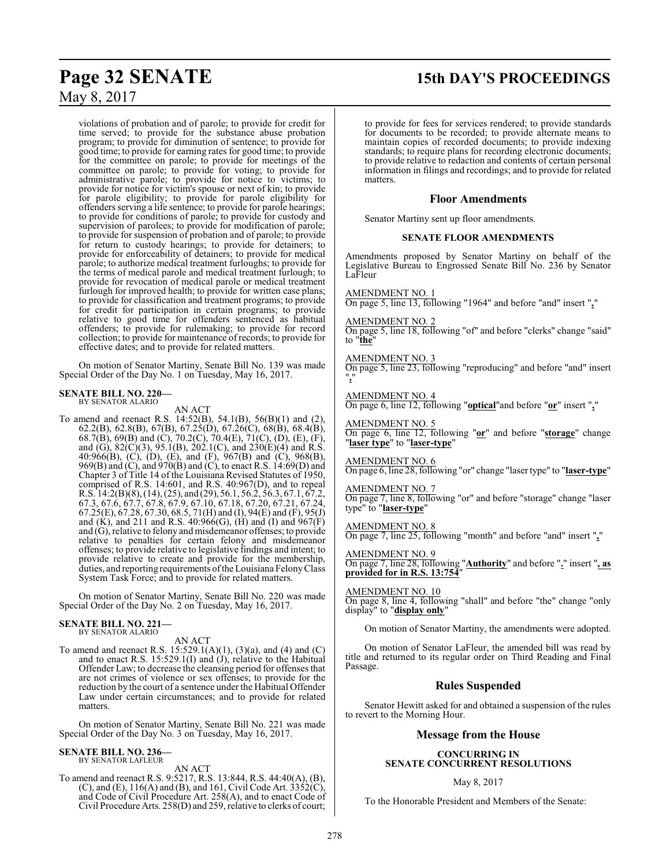# **Page 32 SENATE 15th DAY'S PROCEEDINGS**

## May 8, 2017

violations of probation and of parole; to provide for credit for time served; to provide for the substance abuse probation program; to provide for diminution of sentence; to provide for good time; to provide for earning rates for good time; to provide for the committee on parole; to provide for meetings of the committee on parole; to provide for voting; to provide for administrative parole; to provide for notice to victims; to provide for notice for victim's spouse or next of kin; to provide for parole eligibility; to provide for parole eligibility for offenders serving a life sentence; to provide for parole hearings; to provide for conditions of parole; to provide for custody and supervision of parolees; to provide for modification of parole; to provide for suspension of probation and of parole; to provide for return to custody hearings; to provide for detainers; to provide for enforceability of detainers; to provide for medical parole; to authorize medical treatment furloughs; to provide for the terms of medical parole and medical treatment furlough; to provide for revocation of medical parole or medical treatment furlough for improved health; to provide for written case plans; to provide for classification and treatment programs; to provide for credit for participation in certain programs; to provide relative to good time for offenders sentenced as habitual offenders; to provide for rulemaking; to provide for record collection; to provide for maintenance of records; to provide for effective dates; and to provide for related matters.

On motion of Senator Martiny, Senate Bill No. 139 was made Special Order of the Day No. 1 on Tuesday, May 16, 2017.

# **SENATE BILL NO. 220—** BY SENATOR ALARIO

AN ACT To amend and reenact R.S. 14:52(B), 54.1(B), 56(B)(1) and (2), 62.2(B), 62.8(B), 67(B), 67.25(D), 67.26(C), 68(B), 68.4(B), 68.7(B), 69(B) and (C), 70.2(C), 70.4(E), 71(C), (D), (E), (F), and (G),  $82(C)(3)$ ,  $95.1(B)$ ,  $202.1(C)$ , and  $230(E)(4)$  and R.S. 40:966(B), (C), (D), (E), and (F), 967(B) and (C), 968(B), 969(B) and (C), and 970(B) and (C), to enact R.S. 14:69(D) and Chapter 3 of Title 14 of the Louisiana Revised Statutes of 1950, comprised of R.S. 14:601, and R.S. 40:967(D), and to repeal R.S. 14:2(B)(8), (14), (25), and (29), 56.1, 56.2, 56.3, 67.1, 67.2, 67.3, 67.6, 67.7, 67.8, 67.9, 67.10, 67.18, 67.20, 67.21, 67.24, 67.25(E), 67.28, 67.30, 68.5, 71(H) and (I), 94(E) and (F), 95(J) and (K), and 211 and R.S. 40:966(G), (H) and (I) and 967(F) and (G), relative to felony and misdemeanor offenses; to provide relative to penalties for certain felony and misdemeanor offenses; to provide relative to legislative findings and intent; to provide relative to create and provide for the membership, duties, and reporting requirements of the Louisiana Felony Class System Task Force; and to provide for related matters.

On motion of Senator Martiny, Senate Bill No. 220 was made Special Order of the Day No. 2 on Tuesday, May 16, 2017.

#### **SENATE BILL NO. 221—** BY SENATOR ALARIO

AN ACT

To amend and reenact R.S. 15:529.1(A)(1), (3)(a), and (4) and (C) and to enact R.S. 15:529.1(I) and (I), relative to the Habitual Offender Law; to decrease the cleansing period for offenses that are not crimes of violence or sex offenses; to provide for the reduction by the court of a sentence under the Habitual Offender Law under certain circumstances; and to provide for related matters.

On motion of Senator Martiny, Senate Bill No. 221 was made Special Order of the Day No. 3 on Tuesday, May 16, 2017.

#### **SENATE BILL NO. 236—**

BY SENATOR LAFLEUR

AN ACT To amend and reenact R.S. 9:5217, R.S. 13:844, R.S. 44:40(A), (B), (C), and (E),  $116(A)$  and (B), and 161, Civil Code Art.  $3352(C)$ , and Code of Civil Procedure Art. 258(A), and to enact Code of Civil Procedure Arts. 258(D) and 259, relative to clerks of court;

to provide for fees for services rendered; to provide standards for documents to be recorded; to provide alternate means to maintain copies of recorded documents; to provide indexing standards; to require plans for recording electronic documents; to provide relative to redaction and contents of certain personal information in filings and recordings; and to provide for related matters.

#### **Floor Amendments**

Senator Martiny sent up floor amendments.

#### **SENATE FLOOR AMENDMENTS**

Amendments proposed by Senator Martiny on behalf of the Legislative Bureau to Engrossed Senate Bill No. 236 by Senator LaFleur

AMENDMENT NO. 1 On page 5, line 13, following "1964" and before "and" insert "**,**"

AMENDMENT NO. 2

On page 5, line 18, following "of" and before "clerks" change "said" to "**the**"

AMENDMENT NO. 3

On page 5, line 23, following "reproducing" and before "and" insert "**,**"

AMENDMENT NO. 4 On page 6, line 12, following "**optical**"and before "**or**" insert "**,**"

#### AMENDMENT NO. 5

On page 6, line 12, following "**or**" and before "**storage**" change "**laser type**" to "**laser-type**"

AMENDMENT NO. 6

On page 6, line 28, following "or" change "laser type" to "**laser-type**"

AMENDMENT NO. 7

On page 7, line 8, following "or" and before "storage" change "laser type" to "**laser-type**"

AMENDMENT NO. 8

On page 7, line 25, following "month" and before "and" insert "**,**"

AMENDMENT NO. 9

On page 7, line 28, following "**Authority**" and before "**.**" insert "**, as provided for in R.S. 13:754**"

AMENDMENT NO. 10 On page 8, line 4, following "shall" and before "the" change "only display" to "**display only**"

On motion of Senator Martiny, the amendments were adopted.

On motion of Senator LaFleur, the amended bill was read by title and returned to its regular order on Third Reading and Final Passage.

#### **Rules Suspended**

Senator Hewitt asked for and obtained a suspension of the rules to revert to the Morning Hour.

#### **Message from the House**

#### **CONCURRING IN SENATE CONCURRENT RESOLUTIONS**

#### May 8, 2017

To the Honorable President and Members of the Senate: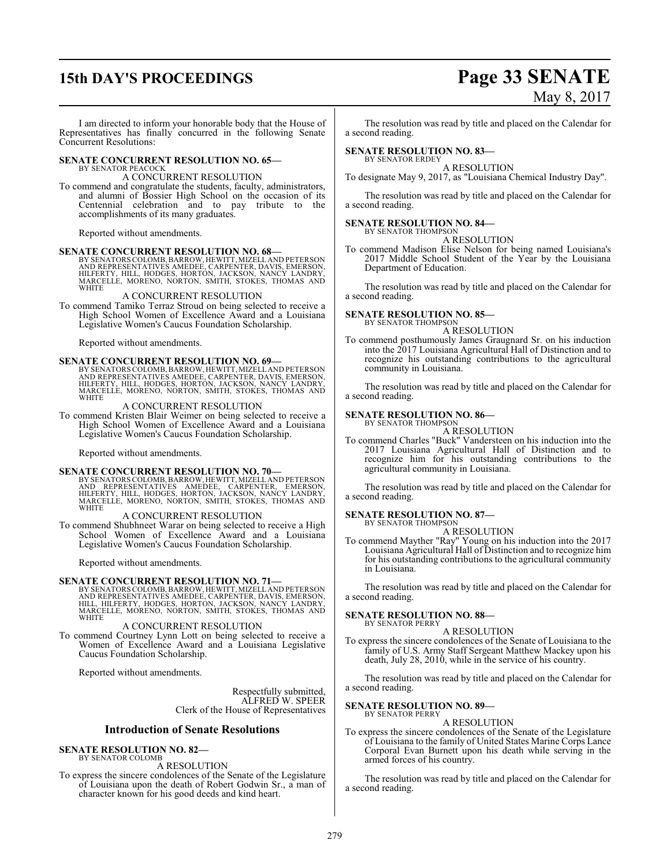# **15th DAY'S PROCEEDINGS Page 33 SENATE**

# May 8, 2017

I am directed to inform your honorable body that the House of Representatives has finally concurred in the following Senate Concurrent Resolutions:

#### **SENATE CONCURRENT RESOLUTION NO. 65—** BY SENATOR PEACOCK

#### A CONCURRENT RESOLUTION

To commend and congratulate the students, faculty, administrators, and alumni of Bossier High School on the occasion of its Centennial celebration and to pay tribute to the accomplishments of its many graduates.

Reported without amendments.

#### **SENATE CONCURRENT RESOLUTION NO. 68—**

BY SENATORS COLOMB, BARROW, HEWITT, MIZELL AND PETERSON<br>AND REPRESENTATIVES AMEDEE, CARPENTER, DAVIS, EMERSON,<br>HILFERTY, HILL, HODGES, HORTON, JACKSON, NANCY LANDRY, MARCELLE, MORENO, NORTON, SMITH, STOKES, THOMAS AND WHITE

#### A CONCURRENT RESOLUTION

To commend Tamiko Terraz Stroud on being selected to receive a High School Women of Excellence Award and a Louisiana Legislative Women's Caucus Foundation Scholarship.

Reported without amendments.

**SENATE CONCURRENT RESOLUTION NO. 69**<br>BY SENATORS COLOMB, BARROW, HEWITT, MIZELL AND REPRESENTATIVES AMEDEE, CARPENTER, DAVIS, EMERSON,<br>HILFERTY, HILL, HODGES, HORTÓN, JACKSON, NANCY LANDRY,<br>MARCELLE, MORENO, NORTON, SMITH

#### A CONCURRENT RESOLUTION

To commend Kristen Blair Weimer on being selected to receive a High School Women of Excellence Award and a Louisiana Legislative Women's Caucus Foundation Scholarship.

Reported without amendments.

**SENATE CONCURRENT RESOLUTION NO. 70—**<br>BY SENATORS COLOMB, BARROW, HEWITT, MIZELLAND PETERSON<br>AND REPRESENTATIVES AMEDEE, CARPENTER, EMERSON,<br>HILFERTY, HILL, HODGES, HORTON, JACKSON, NANCY LANDRY, MARCELLE, MORENO, NORTON, SMITH, STOKES, THOMAS AND **WHITE** 

#### A CONCURRENT RESOLUTION

To commend Shubhneet Warar on being selected to receive a High School Women of Excellence Award and a Louisiana Legislative Women's Caucus Foundation Scholarship.

Reported without amendments.

**SENATE CONCURRENT RESOLUTION NO. 71—**<br>
BY SENATORS COLOMB, BARROW, HEWITT, MIZELL AND PETERSON<br>
AND REPRESENTATIVES AMEDEE, CARPENTER, DAVIS, EMERSON,<br>
HILL, HILFERTY, HODGES, HORTON, JACKSON, NANCY LANDRY, MARCELLE, MORENO, NORTON, SMITH, STOKES, THOMAS AND **WHITE** 

#### A CONCURRENT RESOLUTION

To commend Courtney Lynn Lott on being selected to receive a Women of Excellence Award and a Louisiana Legislative Caucus Foundation Scholarship.

Reported without amendments.

Respectfully submitted, ALFRED W. SPEER Clerk of the House of Representatives

#### **Introduction of Senate Resolutions**

#### **SENATE RESOLUTION NO. 82—** BY SENATOR COLOMB

A RESOLUTION

To express the sincere condolences of the Senate of the Legislature of Louisiana upon the death of Robert Godwin Sr., a man of character known for his good deeds and kind heart.

The resolution was read by title and placed on the Calendar for a second reading.

#### **SENATE RESOLUTION NO. 83—**

BY SENATOR ERDEY A RESOLUTION

To designate May 9, 2017, as "Louisiana Chemical Industry Day".

The resolution was read by title and placed on the Calendar for a second reading.

#### **SENATE RESOLUTION NO. 84—**

BY SENATOR THOMPSON A RESOLUTION

To commend Madison Elise Nelson for being named Louisiana's 2017 Middle School Student of the Year by the Louisiana Department of Education.

The resolution was read by title and placed on the Calendar for a second reading.

#### **SENATE RESOLUTION NO. 85—** BY SENATOR THOMPSON

A RESOLUTION

To commend posthumously James Graugnard Sr. on his induction into the 2017 Louisiana Agricultural Hall of Distinction and to recognize his outstanding contributions to the agricultural community in Louisiana.

The resolution was read by title and placed on the Calendar for a second reading.

#### **SENATE RESOLUTION NO. 86—**

BY SENATOR THOMPSON A RESOLUTION

To commend Charles "Buck" Vandersteen on his induction into the 2017 Louisiana Agricultural Hall of Distinction and to recognize him for his outstanding contributions to the agricultural community in Louisiana.

The resolution was read by title and placed on the Calendar for a second reading.

#### **SENATE RESOLUTION NO. 87—**

BY SENATOR THOMPSON A RESOLUTION

To commend Mayther "Ray" Young on his induction into the 2017 Louisiana Agricultural Hall of Distinction and to recognize him for his outstanding contributions to the agricultural community in Louisiana.

The resolution was read by title and placed on the Calendar for a second reading.

#### **SENATE RESOLUTION NO. 88—**

BY SENATOR PERRY A RESOLUTION

To express the sincere condolences of the Senate of Louisiana to the family of U.S. Army Staff Sergeant Matthew Mackey upon his death, July 28, 2010, while in the service of his country.

The resolution was read by title and placed on the Calendar for a second reading.

#### **SENATE RESOLUTION NO. 89—** BY SENATOR PERRY

A RESOLUTION

To express the sincere condolences of the Senate of the Legislature of Louisiana to the family of United States Marine Corps Lance Corporal Evan Burnett upon his death while serving in the armed forces of his country.

The resolution was read by title and placed on the Calendar for a second reading.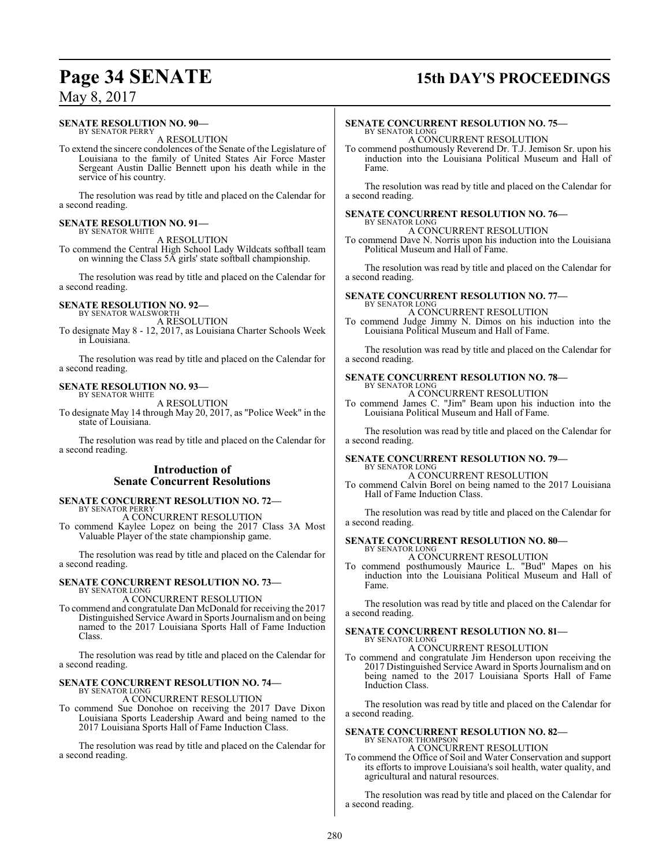## **Page 34 SENATE 15th DAY'S PROCEEDINGS**

## May 8, 2017

#### **SENATE RESOLUTION NO. 90—**

BY SENATOR PERRY A RESOLUTION

To extend the sincere condolences of the Senate of the Legislature of Louisiana to the family of United States Air Force Master Sergeant Austin Dallie Bennett upon his death while in the service of his country.

The resolution was read by title and placed on the Calendar for a second reading.

#### **SENATE RESOLUTION NO. 91—** BY SENATOR WHITE

A RESOLUTION

To commend the Central High School Lady Wildcats softball team on winning the Class 5A girls' state softball championship.

The resolution was read by title and placed on the Calendar for a second reading.

#### **SENATE RESOLUTION NO. 92—**

BY SENATOR WALSWORTH A RESOLUTION

To designate May 8 - 12, 2017, as Louisiana Charter Schools Week in Louisiana.

The resolution was read by title and placed on the Calendar for a second reading.

#### **SENATE RESOLUTION NO. 93—** BY SENATOR WHITE

A RESOLUTION

To designate May 14 through May 20, 2017, as "Police Week" in the state of Louisiana.

The resolution was read by title and placed on the Calendar for a second reading.

## **Introduction of Senate Concurrent Resolutions**

#### **SENATE CONCURRENT RESOLUTION NO. 72—** BY SENATOR PERRY

A CONCURRENT RESOLUTION To commend Kaylee Lopez on being the 2017 Class 3A Most Valuable Player of the state championship game.

The resolution was read by title and placed on the Calendar for a second reading.

#### **SENATE CONCURRENT RESOLUTION NO. 73—** BY SENATOR LONG

## A CONCURRENT RESOLUTION

To commend and congratulate Dan McDonald for receiving the 2017 Distinguished Service Award in Sports Journalismand on being named to the 2017 Louisiana Sports Hall of Fame Induction Class.

The resolution was read by title and placed on the Calendar for a second reading.

#### **SENATE CONCURRENT RESOLUTION NO. 74—** BY SENATOR LONG

A CONCURRENT RESOLUTION

To commend Sue Donohoe on receiving the 2017 Dave Dixon Louisiana Sports Leadership Award and being named to the 2017 Louisiana Sports Hall of Fame Induction Class.

The resolution was read by title and placed on the Calendar for a second reading.

#### **SENATE CONCURRENT RESOLUTION NO. 75—** BY SENATOR LONG

A CONCURRENT RESOLUTION

To commend posthumously Reverend Dr. T.J. Jemison Sr. upon his induction into the Louisiana Political Museum and Hall of Fame.

The resolution was read by title and placed on the Calendar for a second reading.

### **SENATE CONCURRENT RESOLUTION NO. 76—**

BY SENATOR LONG A CONCURRENT RESOLUTION

To commend Dave N. Norris upon his induction into the Louisiana Political Museum and Hall of Fame.

The resolution was read by title and placed on the Calendar for a second reading.

#### **SENATE CONCURRENT RESOLUTION NO. 77—** BY SENATOR LONG

A CONCURRENT RESOLUTION

To commend Judge Jimmy N. Dimos on his induction into the Louisiana Political Museum and Hall of Fame.

The resolution was read by title and placed on the Calendar for a second reading.

## **SENATE CONCURRENT RESOLUTION NO. 78—**

BY SENATOR LONG A CONCURRENT RESOLUTION

To commend James C. "Jim" Beam upon his induction into the Louisiana Political Museum and Hall of Fame.

The resolution was read by title and placed on the Calendar for a second reading.

#### **SENATE CONCURRENT RESOLUTION NO. 79—** BY SENATOR LONG

A CONCURRENT RESOLUTION

To commend Calvin Borel on being named to the 2017 Louisiana Hall of Fame Induction Class.

The resolution was read by title and placed on the Calendar for a second reading.

#### **SENATE CONCURRENT RESOLUTION NO. 80—** BY SENATOR LONG

A CONCURRENT RESOLUTION

To commend posthumously Maurice L. "Bud" Mapes on his induction into the Louisiana Political Museum and Hall of Fame.

The resolution was read by title and placed on the Calendar for a second reading.

#### **SENATE CONCURRENT RESOLUTION NO. 81—** BY SENATOR LONG

A CONCURRENT RESOLUTION

To commend and congratulate Jim Henderson upon receiving the 2017 Distinguished Service Award in Sports Journalism and on being named to the 2017 Louisiana Sports Hall of Fame Induction Class.

The resolution was read by title and placed on the Calendar for a second reading.

## **SENATE CONCURRENT RESOLUTION NO. 82—** BY SENATOR THOMPSON A CONCURRENT RESOLUTION

To commend the Office of Soil and Water Conservation and support its efforts to improve Louisiana's soil health, water quality, and agricultural and natural resources.

The resolution was read by title and placed on the Calendar for a second reading.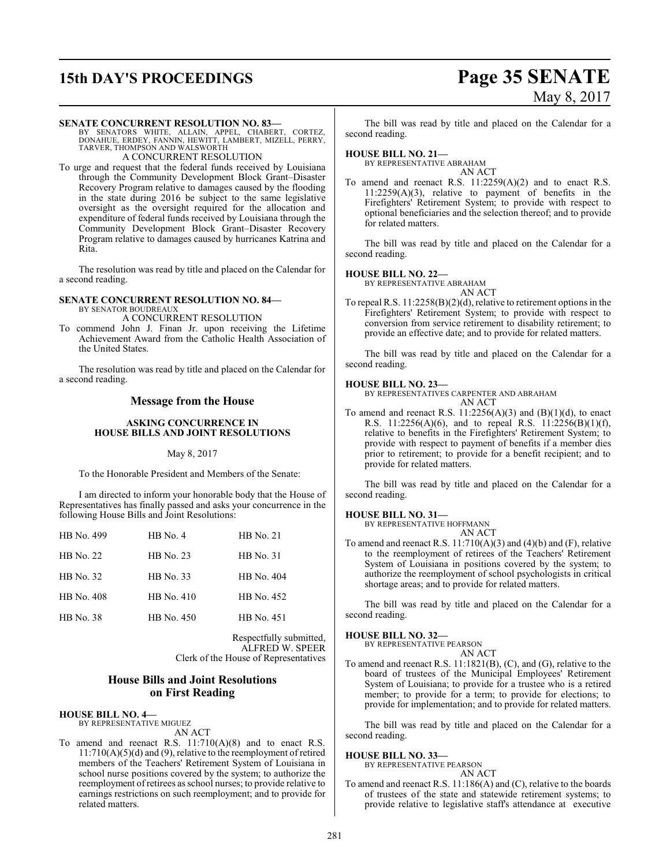# **15th DAY'S PROCEEDINGS Page 35 SENATE**

# May 8, 2017

#### **SENATE CONCURRENT RESOLUTION NO. 83—**

BY SENATORS WHITE, ALLAIN, APPEL, CHABERT, CORTEZ,<br>DONAHUE, ERDEY, FANNIN, HEWITT, LAMBERT, MIZELL, PERRY,<br>TARVER,THOMPSON AND WALSWORTH A CONCURRENT RESOLUTION

To urge and request that the federal funds received by Louisiana through the Community Development Block Grant–Disaster Recovery Program relative to damages caused by the flooding in the state during 2016 be subject to the same legislative oversight as the oversight required for the allocation and expenditure of federal funds received by Louisiana through the Community Development Block Grant–Disaster Recovery Program relative to damages caused by hurricanes Katrina and

The resolution was read by title and placed on the Calendar for a second reading.

#### **SENATE CONCURRENT RESOLUTION NO. 84—** BY SENATOR BOUDREAUX

Rita.

A CONCURRENT RESOLUTION

To commend John J. Finan Jr. upon receiving the Lifetime Achievement Award from the Catholic Health Association of the United States.

The resolution was read by title and placed on the Calendar for a second reading.

### **Message from the House**

#### **ASKING CONCURRENCE IN HOUSE BILLS AND JOINT RESOLUTIONS**

#### May 8, 2017

To the Honorable President and Members of the Senate:

I am directed to inform your honorable body that the House of Representatives has finally passed and asks your concurrence in the following House Bills and Joint Resolutions:

| HB No. 499       | $HB$ No. 4       | <b>HB</b> No. 21 |
|------------------|------------------|------------------|
| <b>HB</b> No. 22 | <b>HB</b> No. 23 | <b>HB</b> No. 31 |
| HB No. 32        | HB No. 33        | HB No. 404       |
| HB No. 408       | HB No. 410       | HB No. 452       |
| <b>HB</b> No. 38 | HB No. 450       | HB No. 451       |
|                  |                  |                  |

Respectfully submitted, ALFRED W. SPEER Clerk of the House of Representatives

#### **House Bills and Joint Resolutions on First Reading**

#### **HOUSE BILL NO. 4—**

BY REPRESENTATIVE MIGUEZ AN ACT

To amend and reenact R.S. 11:710(A)(8) and to enact R.S. 11:710(A)(5)(d) and (9), relative to the reemployment of retired members of the Teachers' Retirement System of Louisiana in school nurse positions covered by the system; to authorize the reemployment of retirees as school nurses; to provide relative to earnings restrictions on such reemployment; and to provide for related matters.

The bill was read by title and placed on the Calendar for a second reading.

#### **HOUSE BILL NO. 21—**

BY REPRESENTATIVE ABRAHAM AN ACT

To amend and reenact R.S. 11:2259(A)(2) and to enact R.S. 11:2259(A)(3), relative to payment of benefits in the Firefighters' Retirement System; to provide with respect to optional beneficiaries and the selection thereof; and to provide for related matters.

The bill was read by title and placed on the Calendar for a second reading.

#### **HOUSE BILL NO. 22—**

BY REPRESENTATIVE ABRAHAM

AN ACT

To repeal R.S. 11:2258(B)(2)(d), relative to retirement options in the Firefighters' Retirement System; to provide with respect to conversion from service retirement to disability retirement; to provide an effective date; and to provide for related matters.

The bill was read by title and placed on the Calendar for a second reading.

#### **HOUSE BILL NO. 23—**

BY REPRESENTATIVES CARPENTER AND ABRAHAM AN ACT

To amend and reenact R.S.  $11:2256(A)(3)$  and  $(B)(1)(d)$ , to enact R.S. 11:2256(A)(6), and to repeal R.S. 11:2256(B)(1)(f), relative to benefits in the Firefighters' Retirement System; to provide with respect to payment of benefits if a member dies prior to retirement; to provide for a benefit recipient; and to provide for related matters.

The bill was read by title and placed on the Calendar for a second reading.

#### **HOUSE BILL NO. 31—**

BY REPRESENTATIVE HOFFMANN AN ACT

To amend and reenact R.S.  $11:710(A)(3)$  and  $(4)(b)$  and  $(F)$ , relative to the reemployment of retirees of the Teachers' Retirement System of Louisiana in positions covered by the system; to authorize the reemployment of school psychologists in critical shortage areas; and to provide for related matters.

The bill was read by title and placed on the Calendar for a second reading.

**HOUSE BILL NO. 32—**

BY REPRESENTATIVE PEARSON AN ACT

To amend and reenact R.S. 11:1821(B), (C), and (G), relative to the board of trustees of the Municipal Employees' Retirement System of Louisiana; to provide for a trustee who is a retired member; to provide for a term; to provide for elections; to provide for implementation; and to provide for related matters.

The bill was read by title and placed on the Calendar for a second reading.

#### **HOUSE BILL NO. 33—**

BY REPRESENTATIVE PEARSON

- AN ACT
- To amend and reenact R.S. 11:186(A) and (C), relative to the boards of trustees of the state and statewide retirement systems; to provide relative to legislative staff's attendance at executive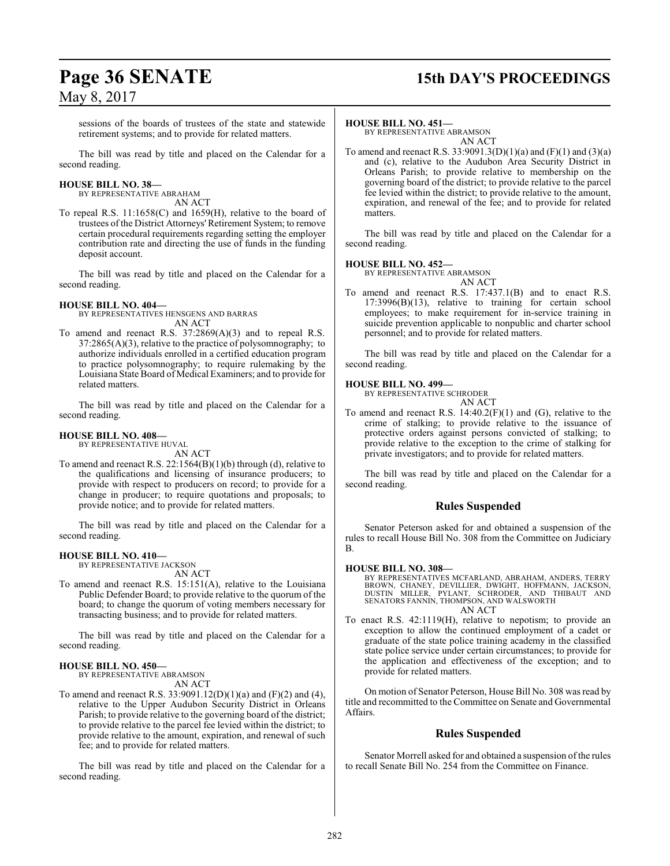sessions of the boards of trustees of the state and statewide retirement systems; and to provide for related matters.

The bill was read by title and placed on the Calendar for a second reading.

#### **HOUSE BILL NO. 38—**

BY REPRESENTATIVE ABRAHAM AN ACT

To repeal R.S. 11:1658(C) and 1659(H), relative to the board of trustees of the District Attorneys' Retirement System; to remove certain procedural requirements regarding setting the employer contribution rate and directing the use of funds in the funding deposit account.

The bill was read by title and placed on the Calendar for a second reading.

## **HOUSE BILL NO. 404—**

BY REPRESENTATIVES HENSGENS AND BARRAS AN ACT

To amend and reenact R.S. 37:2869(A)(3) and to repeal R.S.  $37:2865(A)(3)$ , relative to the practice of polysomnography; to authorize individuals enrolled in a certified education program to practice polysomnography; to require rulemaking by the Louisiana State Board of Medical Examiners; and to provide for related matters.

The bill was read by title and placed on the Calendar for a second reading.

#### **HOUSE BILL NO. 408—**

BY REPRESENTATIVE HUVAL AN ACT

To amend and reenact R.S. 22:1564(B)(1)(b) through (d), relative to the qualifications and licensing of insurance producers; to provide with respect to producers on record; to provide for a change in producer; to require quotations and proposals; to provide notice; and to provide for related matters.

The bill was read by title and placed on the Calendar for a second reading.

#### **HOUSE BILL NO. 410—**

BY REPRESENTATIVE JACKSON AN ACT

To amend and reenact R.S. 15:151(A), relative to the Louisiana Public Defender Board; to provide relative to the quorum of the board; to change the quorum of voting members necessary for transacting business; and to provide for related matters.

The bill was read by title and placed on the Calendar for a second reading.

## **HOUSE BILL NO. 450—**

BY REPRESENTATIVE ABRAMSON

- AN ACT
- To amend and reenact R.S. 33:9091.12(D)(1)(a) and (F)(2) and (4), relative to the Upper Audubon Security District in Orleans Parish; to provide relative to the governing board of the district; to provide relative to the parcel fee levied within the district; to provide relative to the amount, expiration, and renewal of such fee; and to provide for related matters.

The bill was read by title and placed on the Calendar for a second reading.

#### **HOUSE BILL NO. 451—**

BY REPRESENTATIVE ABRAMSON AN ACT

To amend and reenact R.S. 33:9091.3(D)(1)(a) and (F)(1) and (3)(a) and (c), relative to the Audubon Area Security District in Orleans Parish; to provide relative to membership on the governing board of the district; to provide relative to the parcel fee levied within the district; to provide relative to the amount, expiration, and renewal of the fee; and to provide for related matters.

The bill was read by title and placed on the Calendar for a second reading.

#### **HOUSE BILL NO. 452—**

BY REPRESENTATIVE ABRAMSON AN ACT

To amend and reenact R.S. 17:437.1(B) and to enact R.S. 17:3996(B)(13), relative to training for certain school employees; to make requirement for in-service training in suicide prevention applicable to nonpublic and charter school personnel; and to provide for related matters.

The bill was read by title and placed on the Calendar for a second reading.

#### **HOUSE BILL NO. 499—**

BY REPRESENTATIVE SCHRODER

- AN ACT
- To amend and reenact R.S. 14:40.2(F)(1) and (G), relative to the crime of stalking; to provide relative to the issuance of protective orders against persons convicted of stalking; to provide relative to the exception to the crime of stalking for private investigators; and to provide for related matters.

The bill was read by title and placed on the Calendar for a second reading.

#### **Rules Suspended**

Senator Peterson asked for and obtained a suspension of the rules to recall House Bill No. 308 from the Committee on Judiciary B.

#### **HOUSE BILL NO. 308—**

BY REPRESENTATIVES MCFARLAND, ABRAHAM, ANDERS, TERRY BROWN, CHANEY, DEVILLIER, DWIGHT, HOFFMANN, JACKSON,<br>DUSTIN MILLER, PYLANT, SCHRODER, AND THIBAUT AND<br>SENATORS FANNIN,THOMPSON, AND WALSWORTH AN ACT

To enact R.S. 42:1119(H), relative to nepotism; to provide an exception to allow the continued employment of a cadet or graduate of the state police training academy in the classified state police service under certain circumstances; to provide for the application and effectiveness of the exception; and to provide for related matters.

On motion of Senator Peterson, House Bill No. 308 was read by title and recommitted to the Committee on Senate and Governmental Affairs.

## **Rules Suspended**

Senator Morrell asked for and obtained a suspension of the rules to recall Senate Bill No. 254 from the Committee on Finance.

# **Page 36 SENATE 15th DAY'S PROCEEDINGS**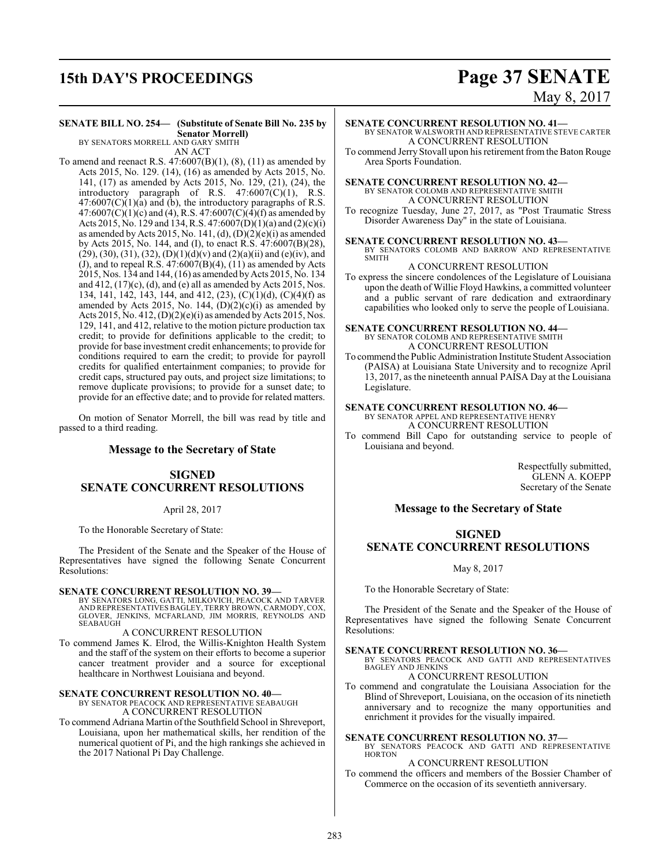## **15th DAY'S PROCEEDINGS Page 37 SENATE**

# May 8, 2017

#### **SENATE BILL NO. 254— (Substitute of Senate Bill No. 235 by Senator Morrell)** BY SENATORS MORRELL AND GARY SMITH

AN ACT

To amend and reenact R.S.  $47:6007(B)(1)$ ,  $(8)$ ,  $(11)$  as amended by Acts 2015, No. 129. (14), (16) as amended by Acts 2015, No. 141, (17) as amended by Acts 2015, No. 129, (21), (24), the introductory paragraph of R.S. 47:6007(C)(1), R.S.  $47:6007(C)(1)(a)$  and (b), the introductory paragraphs of R.S.  $47:6007(C)(1)(c)$  and (4), R.S.  $47:6007(C)(4)(f)$  as amended by Acts 2015, No. 129 and 134, R.S. 47:6007(D)(1)(a) and (2)(c)(i) as amended by Acts 2015, No. 141, (d), (D)(2)(e)(i) as amended by Acts 2015, No. 144, and (I), to enact R.S. 47:6007(B)(28),  $(29)$ ,  $(30)$ ,  $(31)$ ,  $(32)$ ,  $(D)(1)(d)(v)$  and  $(2)(a)(ii)$  and  $(e)(iv)$ , and (J), and to repeal R.S.  $47:6007(B)(4)$ ,  $(11)$  as amended by Acts 2015, Nos. 134 and 144, (16) as amended byActs 2015, No. 134 and  $412$ ,  $(17)(c)$ ,  $(d)$ , and  $(e)$  all as amended by Acts 2015, Nos. 134, 141, 142, 143, 144, and 412, (23), (C)(1)(d), (C)(4)(f) as amended by Acts 2015, No. 144,  $(D)(2)(c)(i)$  as amended by Acts 2015, No. 412,  $(D)(2)(e)(i)$  as amended by Acts 2015, Nos. 129, 141, and 412, relative to the motion picture production tax credit; to provide for definitions applicable to the credit; to provide for base investment credit enhancements; to provide for conditions required to earn the credit; to provide for payroll credits for qualified entertainment companies; to provide for credit caps, structured pay outs, and project size limitations; to remove duplicate provisions; to provide for a sunset date; to provide for an effective date; and to provide for related matters.

On motion of Senator Morrell, the bill was read by title and passed to a third reading.

#### **Message to the Secretary of State**

## **SIGNED SENATE CONCURRENT RESOLUTIONS**

#### April 28, 2017

To the Honorable Secretary of State:

The President of the Senate and the Speaker of the House of Representatives have signed the following Senate Concurrent Resolutions:

#### **SENATE CONCURRENT RESOLUTION NO. 39—**

BY SENATORS LONG, GATTI, MILKOVICH, PEACOCK AND TARVER AND REPRESENTATIVES BAGLEY, TERRY BROWN, CARMODY, COX, GLOVER, JENKINS, MCFARLAND, JIM MORRIS, REYNOLDS AND SEABAUGH

#### A CONCURRENT RESOLUTION

To commend James K. Elrod, the Willis-Knighton Health System and the staff of the system on their efforts to become a superior cancer treatment provider and a source for exceptional healthcare in Northwest Louisiana and beyond.

#### **SENATE CONCURRENT RESOLUTION NO. 40—**

BY SENATOR PEACOCK AND REPRESENTATIVE SEABAUGH A CONCURRENT RESOLUTION

To commend Adriana Martin ofthe Southfield School in Shreveport, Louisiana, upon her mathematical skills, her rendition of the numerical quotient of Pi, and the high rankings she achieved in the 2017 National Pi Day Challenge.

#### **SENATE CONCURRENT RESOLUTION NO. 41—** BY SENATOR WALSWORTH AND REPRESENTATIVE STEVE CARTER A CONCURRENT RESOLUTION

To commend Jerry Stovall upon his retirement fromthe Baton Rouge Area Sports Foundation.

#### **SENATE CONCURRENT RESOLUTION NO. 42—** BY SENATOR COLOMB AND REPRESENTATIVE SMITH A CONCURRENT RESOLUTION

To recognize Tuesday, June 27, 2017, as "Post Traumatic Stress Disorder Awareness Day" in the state of Louisiana.

#### **SENATE CONCURRENT RESOLUTION NO. 43—**

BY SENATORS COLOMB AND BARROW AND REPRESENTATIVE SMITH

#### A CONCURRENT RESOLUTION

To express the sincere condolences of the Legislature of Louisiana upon the death of Willie Floyd Hawkins, a committed volunteer and a public servant of rare dedication and extraordinary capabilities who looked only to serve the people of Louisiana.

#### **SENATE CONCURRENT RESOLUTION NO. 44—** BY SENATOR COLOMB AND REPRESENTATIVE SMITH A CONCURRENT RESOLUTION

To commend the Public Administration Institute Student Association (PAISA) at Louisiana State University and to recognize April 13, 2017, as the nineteenth annual PAISA Day at the Louisiana Legislature.

#### **SENATE CONCURRENT RESOLUTION NO. 46—**

BY SENATOR APPEL AND REPRESENTATIVE HENRY A CONCURRENT RESOLUTION

To commend Bill Capo for outstanding service to people of Louisiana and beyond.

> Respectfully submitted, GLENN A. KOEPP Secretary of the Senate

#### **Message to the Secretary of State**

## **SIGNED SENATE CONCURRENT RESOLUTIONS**

#### May 8, 2017

To the Honorable Secretary of State:

The President of the Senate and the Speaker of the House of Representatives have signed the following Senate Concurrent Resolutions:

#### **SENATE CONCURRENT RESOLUTION NO. 36—**

BY SENATORS PEACOCK AND GATTI AND REPRESENTATIVES BAGLEY AND JENKINS A CONCURRENT RESOLUTION

To commend and congratulate the Louisiana Association for the Blind of Shreveport, Louisiana, on the occasion of its ninetieth anniversary and to recognize the many opportunities and enrichment it provides for the visually impaired.

#### **SENATE CONCURRENT RESOLUTION NO. 37—**

BY SENATORS PEACOCK AND GATTI AND REPRESENTATIVE HORTON

#### A CONCURRENT RESOLUTION

To commend the officers and members of the Bossier Chamber of Commerce on the occasion of its seventieth anniversary.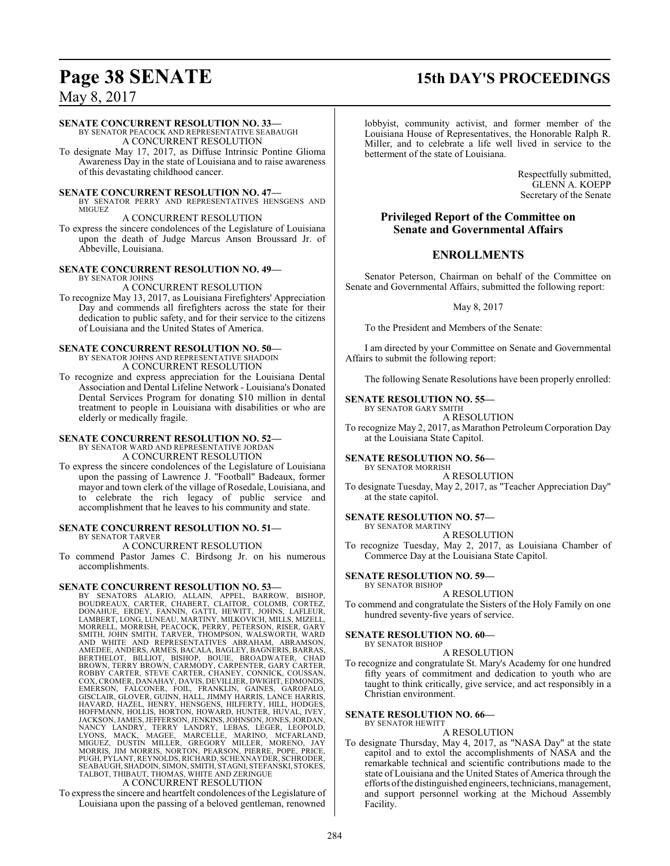## **Page 38 SENATE 15th DAY'S PROCEEDINGS**

## May 8, 2017

#### **SENATE CONCURRENT RESOLUTION NO. 33—**

BY SENATOR PEACOCK AND REPRESENTATIVE SEABAUGH A CONCURRENT RESOLUTION

To designate May 17, 2017, as Diffuse Intrinsic Pontine Glioma Awareness Day in the state of Louisiana and to raise awareness of this devastating childhood cancer.

#### **SENATE CONCURRENT RESOLUTION NO. 47—**

BY SENATOR PERRY AND REPRESENTATIVES HENSGENS AND MIGUEZ

A CONCURRENT RESOLUTION To express the sincere condolences of the Legislature of Louisiana upon the death of Judge Marcus Anson Broussard Jr. of Abbeville, Louisiana.

#### **SENATE CONCURRENT RESOLUTION NO. 49—**

BY SENATOR JOHNS

A CONCURRENT RESOLUTION

To recognize May 13, 2017, as Louisiana Firefighters' Appreciation Day and commends all firefighters across the state for their dedication to public safety, and for their service to the citizens of Louisiana and the United States of America.

#### **SENATE CONCURRENT RESOLUTION NO. 50—** BY SENATOR JOHNS AND REPRESENTATIVE SHADOIN A CONCURRENT RESOLUTION

To recognize and express appreciation for the Louisiana Dental Association and Dental Lifeline Network - Louisiana's Donated Dental Services Program for donating \$10 million in dental treatment to people in Louisiana with disabilities or who are elderly or medically fragile.

#### **SENATE CONCURRENT RESOLUTION NO. 52—** BY SENATOR WARD AND REPRESENTATIVE JORDAN A CONCURRENT RESOLUTION

To express the sincere condolences of the Legislature of Louisiana upon the passing of Lawrence J. "Football" Badeaux, former mayor and town clerk of the village of Rosedale, Louisiana, and to celebrate the rich legacy of public service and accomplishment that he leaves to his community and state.

#### **SENATE CONCURRENT RESOLUTION NO. 51—** BY SENATOR TARVER

A CONCURRENT RESOLUTION

To commend Pastor James C. Birdsong Jr. on his numerous accomplishments.

#### **SENATE CONCURRENT RESOLUTION NO. 53—**

BY SENATORS ALARIO, ALLAIN, APPEL, BARROW, BISHOP, BOUDREAUX, CARTER, CHABERT, CLAITOR, COLOMB, CORTEZ, DONAHUE, ERDEY, FANNIN, GATTI, HEWITT, JOHNS, LAFLEUR,<br>LAMBERT, LONG, LUNEAU, MARTINY, MILKOVICH, MILLS, MIZELL,<br>MORRELL, MORRISH, PEACOCK, PERRY, PETERSON, RISER, GARY<br>SMITH, JOHN SMITH, TARVER, THOMPSON, WALSWORTH, WARD AND WHITE AND REPRESENTATIVES ABRAHAM, ABRAMSON,<br>AMEDEE,ANDERS,ARMES,BACALA,BAGLEY,BAGNERIS,BARRAS,<br>BERTHELOT, BILLIOT, BISHOP, BOUIE, BROADWATER, CHAD<br>BROWN,TERRY BROWN,CARMODY,CARPENTER,GARY CARTER,<br>ROBBY CARTER, STEVE C COX, CROMER, DANAHAY, DAVIS, DEVILLIER, DWIGHT, EDMONDS, EMERSON, FALCONER, FOIL, FRANKLIN, GAINES, GAROFALO,<br>GISCLAIR,GLOVER,GUINN,HALL,JIMMY HARRIS,LANCE HARRIS,<br>HAVARD,HAZEL,HENRY,HENSGENS,HILFERTY,HILL,HODGES, HOFFMANN, HOLLIS, HORTON, HOWARD, HUNTER, HUVAL, IVEY,<br>JACKSON, JAMES, JEFFERSON, JENKINS, JOHNSON, JONES, JORDAN,<br>NANCY LANDRY, TERRY LANDRY, LEBAS, LEGER, LEOPOLD,<br>LYONS, MACK, MAGEE, MARCELLE, MARINO, MCFARLAND,<br>MIGUEZ, SEABAUGH, SHADOIN, SIMON, SMITH, STAGNI, STEFANSKI, STOKES, TALBOT, THIBAUT, THOMAS, WHITE AND ZERINGUE

A CONCURRENT RESOLUTION

To express the sincere and heartfelt condolences of the Legislature of Louisiana upon the passing of a beloved gentleman, renowned

lobbyist, community activist, and former member of the Louisiana House of Representatives, the Honorable Ralph R. Miller, and to celebrate a life well lived in service to the betterment of the state of Louisiana.

> Respectfully submitted, GLENN A. KOEPP Secretary of the Senate

## **Privileged Report of the Committee on Senate and Governmental Affairs**

## **ENROLLMENTS**

Senator Peterson, Chairman on behalf of the Committee on Senate and Governmental Affairs, submitted the following report:

May 8, 2017

To the President and Members of the Senate:

I am directed by your Committee on Senate and Governmental Affairs to submit the following report:

The following Senate Resolutions have been properly enrolled:

#### **SENATE RESOLUTION NO. 55—**

BY SENATOR GARY SMITH A RESOLUTION

To recognize May 2, 2017, as Marathon Petroleum Corporation Day at the Louisiana State Capitol.

#### **SENATE RESOLUTION NO. 56—**

BY SENATOR MORRISH A RESOLUTION

To designate Tuesday, May 2, 2017, as "Teacher Appreciation Day" at the state capitol.

#### **SENATE RESOLUTION NO. 57—** BY SENATOR MARTINY

A RESOLUTION

To recognize Tuesday, May 2, 2017, as Louisiana Chamber of Commerce Day at the Louisiana State Capitol.

#### **SENATE RESOLUTION NO. 59—** BY SENATOR BISHOP

A RESOLUTION

To commend and congratulate the Sisters of the Holy Family on one hundred seventy-five years of service.

## **SENATE RESOLUTION NO. 60—**

BY SENATOR BISHOP

#### A RESOLUTION

To recognize and congratulate St. Mary's Academy for one hundred fifty years of commitment and dedication to youth who are taught to think critically, give service, and act responsibly in a Christian environment.

#### **SENATE RESOLUTION NO. 66—** BY SENATOR HEWITT

A RESOLUTION

To designate Thursday, May 4, 2017, as "NASA Day" at the state capitol and to extol the accomplishments of NASA and the remarkable technical and scientific contributions made to the state of Louisiana and the United States of America through the efforts ofthe distinguished engineers, technicians, management, and support personnel working at the Michoud Assembly Facility.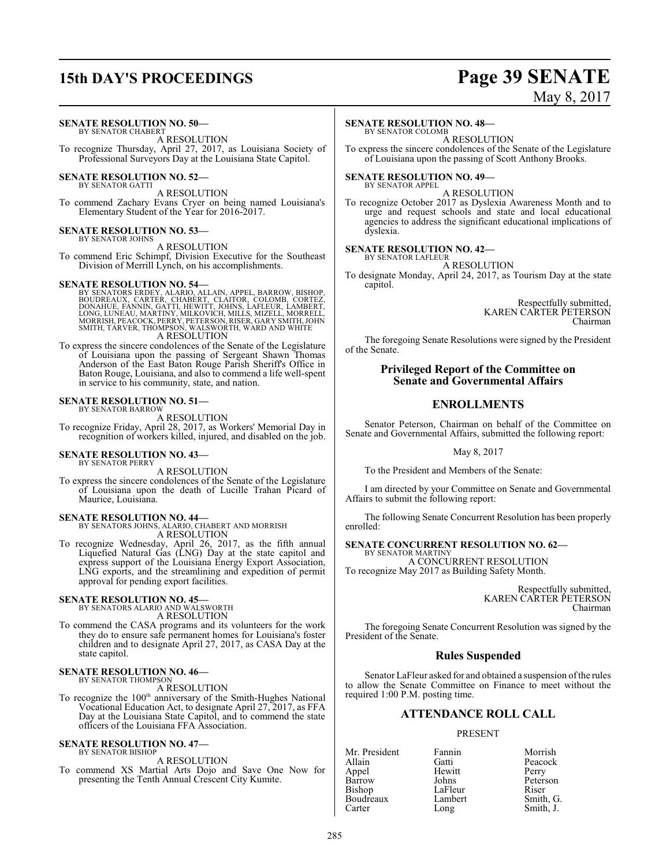## **15th DAY'S PROCEEDINGS Page 39 SENATE**

# May 8, 2017

#### **SENATE RESOLUTION NO. 50—** BY SENATOR CHABERT

A RESOLUTION To recognize Thursday, April 27, 2017, as Louisiana Society of Professional Surveyors Day at the Louisiana State Capitol.

#### **SENATE RESOLUTION NO. 52—**

BY SENATOR GATTI

A RESOLUTION To commend Zachary Evans Cryer on being named Louisiana's Elementary Student of the Year for 2016-2017.

#### **SENATE RESOLUTION NO. 53—** BY SENATOR JOHNS

A RESOLUTION

To commend Eric Schimpf, Division Executive for the Southeast Division of Merrill Lynch, on his accomplishments.

SENATE RESOLUTION NO. 54—<br>BY SENATORS ERDEY, ALARIO, ALLAIN, APPEL, BARROW, BISHOP, BOUDREAUX, CARTER, CHABÉRT, CLAITOR, COLOMB, CORTEZ,<br>DONAHUE, FANNIN, GATTI, HEWITT, JOHNS, LAFLEUR, LAMBERT,<br>LONG, LUNEAU, MARTINY, MILKO A RESOLUTION

To express the sincere condolences of the Senate of the Legislature of Louisiana upon the passing of Sergeant Shawn Thomas Anderson of the East Baton Rouge Parish Sheriff's Office in Baton Rouge, Louisiana, and also to commend a life well-spent in service to his community, state, and nation.

#### **SENATE RESOLUTION NO. 51—** BY SENATOR BARROW

A RESOLUTION

To recognize Friday, April 28, 2017, as Workers' Memorial Day in recognition of workers killed, injured, and disabled on the job.

#### **SENATE RESOLUTION NO. 43—** BY SENATOR PERRY

A RESOLUTION

To express the sincere condolences of the Senate of the Legislature of Louisiana upon the death of Lucille Trahan Picard of Maurice, Louisiana.

**SENATE RESOLUTION NO. 44—**<br>BY SENATORS JOHNS, ALARIO, CHABERT AND MORRISH<br>A RESOLUTION

To recognize Wednesday, April 26, 2017, as the fifth annual Liquefied Natural Gas (LNG) Day at the state capitol and express support of the Louisiana Energy Export Association, LNG exports, and the streamlining and expedition of permit approval for pending export facilities.

## **SENATE RESOLUTION NO. 45—** BY SENATORS ALARIO AND WALSWORTH

A RESOLUTION

To commend the CASA programs and its volunteers for the work they do to ensure safe permanent homes for Louisiana's foster children and to designate April 27, 2017, as CASA Day at the state capitol.

#### **SENATE RESOLUTION NO. 46—** BY SENATOR THOMPSON

#### A RESOLUTION

To recognize the 100<sup>th</sup> anniversary of the Smith-Hughes National Vocational Education Act, to designate April 27, 2017, as FFA Day at the Louisiana State Capitol, and to commend the state officers of the Louisiana FFA Association.

#### **SENATE RESOLUTION NO. 47—** BY SENATOR BISHOP

#### A RESOLUTION

To commend XS Martial Arts Dojo and Save One Now for presenting the Tenth Annual Crescent City Kumite.

#### **SENATE RESOLUTION NO. 48—**

BY SENATOR COLOMB

A RESOLUTION To express the sincere condolences of the Senate of the Legislature of Louisiana upon the passing of Scott Anthony Brooks.

# **SENATE RESOLUTION NO. 49—** BY SENATOR APPEL

A RESOLUTION

To recognize October 2017 as Dyslexia Awareness Month and to urge and request schools and state and local educational agencies to address the significant educational implications of dyslexia.

#### **SENATE RESOLUTION NO. 42—**

BY SENATOR LAFLEUR A RESOLUTION

To designate Monday, April 24, 2017, as Tourism Day at the state capitol.

> Respectfully submitted, KAREN CARTER PETERSON Chairman

The foregoing Senate Resolutions were signed by the President of the Senate.

#### **Privileged Report of the Committee on Senate and Governmental Affairs**

### **ENROLLMENTS**

Senator Peterson, Chairman on behalf of the Committee on Senate and Governmental Affairs, submitted the following report:

May 8, 2017

To the President and Members of the Senate:

I am directed by your Committee on Senate and Governmental Affairs to submit the following report:

The following Senate Concurrent Resolution has been properly enrolled:

#### **SENATE CONCURRENT RESOLUTION NO. 62—**

BY SENATOR MARTINY A CONCURRENT RESOLUTION To recognize May 2017 as Building Safety Month.

> Respectfully submitted, KAREN CARTER PETERSON Chairman

The foregoing Senate Concurrent Resolution was signed by the President of the Senate.

#### **Rules Suspended**

Senator LaFleur asked for and obtained a suspension ofthe rules to allow the Senate Committee on Finance to meet without the required 1:00 P.M. posting time.

## **ATTENDANCE ROLL CALL**

#### PRESENT

Allain Gatti Peacock Appel Hewitt<br>Barrow Johns Bishop LaFleur<br>Boudreaux Lambert

Mr. President Fannin Morrish<br>Allain Gatti Peacock Barrow Johns Peterson<br>Bishop LaFleur Riser Boudreaux Lambert Smith, G.<br>
Carter Long Smith, J. Smith, J.